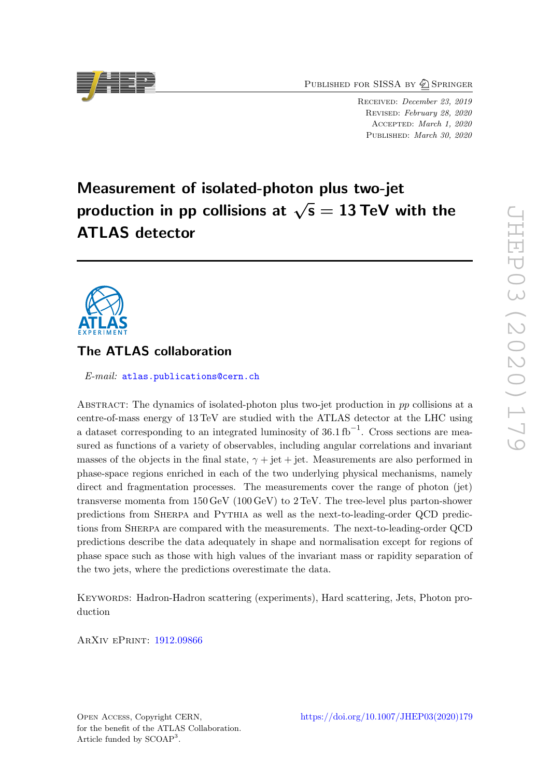PUBLISHED FOR SISSA BY 2 SPRINGER

Received: December 23, 2019 Revised: February 28, 2020 Accepted: March 1, 2020 PUBLISHED: March 30, 2020

# Measurement of isolated-photon plus two-jet  $\begin{array}{l} \text{measurable in some non-occurs} \ \text{production in pp collisions at} \ \sqrt{\mathsf{s}} = 13 \ \text{TeV with the} \end{array}$ ATLAS detector



# The ATLAS collaboration

E-mail: [atlas.publications@cern.ch](mailto:atlas.publications@cern.ch)

ABSTRACT: The dynamics of isolated-photon plus two-jet production in  $pp$  collisions at a centre-of-mass energy of 13 TeV are studied with the ATLAS detector at the LHC using a dataset corresponding to an integrated luminosity of  $36.1 \text{ fb}^{-1}$ . Cross sections are measured as functions of a variety of observables, including angular correlations and invariant masses of the objects in the final state,  $\gamma + \text{jet} + \text{jet}$ . Measurements are also performed in phase-space regions enriched in each of the two underlying physical mechanisms, namely direct and fragmentation processes. The measurements cover the range of photon (jet) transverse momenta from 150 GeV (100 GeV) to 2 TeV. The tree-level plus parton-shower predictions from Sherpa and Pythia as well as the next-to-leading-order QCD predictions from Sherpa are compared with the measurements. The next-to-leading-order QCD predictions describe the data adequately in shape and normalisation except for regions of phase space such as those with high values of the invariant mass or rapidity separation of the two jets, where the predictions overestimate the data.

Keywords: Hadron-Hadron scattering (experiments), Hard scattering, Jets, Photon production

ArXiv ePrint: [1912.09866](https://arxiv.org/abs/1912.09866)

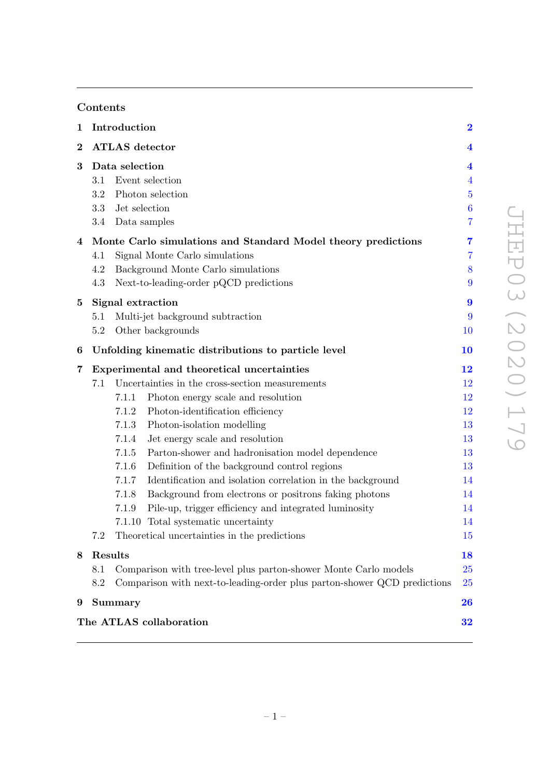# Contents

| $\mathbf 1$             | Introduction                                                                                                                                               |                                                                                                                                                                                                                                                                                                                                                                                                                                                                                                                                                                                                                                                                                                      |                                                                                                    |  |  |  |  |  |  |
|-------------------------|------------------------------------------------------------------------------------------------------------------------------------------------------------|------------------------------------------------------------------------------------------------------------------------------------------------------------------------------------------------------------------------------------------------------------------------------------------------------------------------------------------------------------------------------------------------------------------------------------------------------------------------------------------------------------------------------------------------------------------------------------------------------------------------------------------------------------------------------------------------------|----------------------------------------------------------------------------------------------------|--|--|--|--|--|--|
| $\overline{\mathbf{2}}$ |                                                                                                                                                            | <b>ATLAS</b> detector                                                                                                                                                                                                                                                                                                                                                                                                                                                                                                                                                                                                                                                                                | $\overline{\mathbf{4}}$                                                                            |  |  |  |  |  |  |
| 3                       | 3.1<br>3.2<br>3.3<br>3.4                                                                                                                                   | Data selection<br>Event selection<br>Photon selection<br>Jet selection<br>Data samples<br>Monte Carlo simulations and Standard Model theory predictions<br>Signal Monte Carlo simulations<br>Background Monte Carlo simulations<br>Next-to-leading-order pQCD predictions                                                                                                                                                                                                                                                                                                                                                                                                                            |                                                                                                    |  |  |  |  |  |  |
| 4                       | 4.1<br>4.2<br>4.3                                                                                                                                          |                                                                                                                                                                                                                                                                                                                                                                                                                                                                                                                                                                                                                                                                                                      |                                                                                                    |  |  |  |  |  |  |
| 5                       | 5.1<br>5.2                                                                                                                                                 | Signal extraction<br>Multi-jet background subtraction<br>Other backgrounds<br>10                                                                                                                                                                                                                                                                                                                                                                                                                                                                                                                                                                                                                     |                                                                                                    |  |  |  |  |  |  |
| 6                       |                                                                                                                                                            | Unfolding kinematic distributions to particle level                                                                                                                                                                                                                                                                                                                                                                                                                                                                                                                                                                                                                                                  | 10                                                                                                 |  |  |  |  |  |  |
| 7                       | 7.1                                                                                                                                                        | Experimental and theoretical uncertainties<br>Uncertainties in the cross-section measurements<br>Photon energy scale and resolution<br>7.1.1<br>Photon-identification efficiency<br>7.1.2<br>7.1.3<br>Photon-isolation modelling<br>7.1.4<br>Jet energy scale and resolution<br>7.1.5<br>Parton-shower and hadronisation model dependence<br>7.1.6<br>Definition of the background control regions<br>Identification and isolation correlation in the background<br>7.1.7<br>7.1.8<br>Background from electrons or positrons faking photons<br>Pile-up, trigger efficiency and integrated luminosity<br>7.1.9<br>7.1.10 Total systematic uncertainty<br>Theoretical uncertainties in the predictions | $\overline{1}\overline{2}$<br>12<br>12<br>12<br>13<br>13<br>13<br>13<br>14<br>14<br>14<br>14<br>15 |  |  |  |  |  |  |
| 8                       | Results                                                                                                                                                    |                                                                                                                                                                                                                                                                                                                                                                                                                                                                                                                                                                                                                                                                                                      | 18                                                                                                 |  |  |  |  |  |  |
|                         | 8.1<br>Comparison with tree-level plus parton-shower Monte Carlo models<br>8.2<br>Comparison with next-to-leading-order plus parton-shower QCD predictions |                                                                                                                                                                                                                                                                                                                                                                                                                                                                                                                                                                                                                                                                                                      |                                                                                                    |  |  |  |  |  |  |
| 9                       |                                                                                                                                                            | Summary                                                                                                                                                                                                                                                                                                                                                                                                                                                                                                                                                                                                                                                                                              | 26                                                                                                 |  |  |  |  |  |  |
|                         |                                                                                                                                                            | The ATLAS collaboration                                                                                                                                                                                                                                                                                                                                                                                                                                                                                                                                                                                                                                                                              | 32                                                                                                 |  |  |  |  |  |  |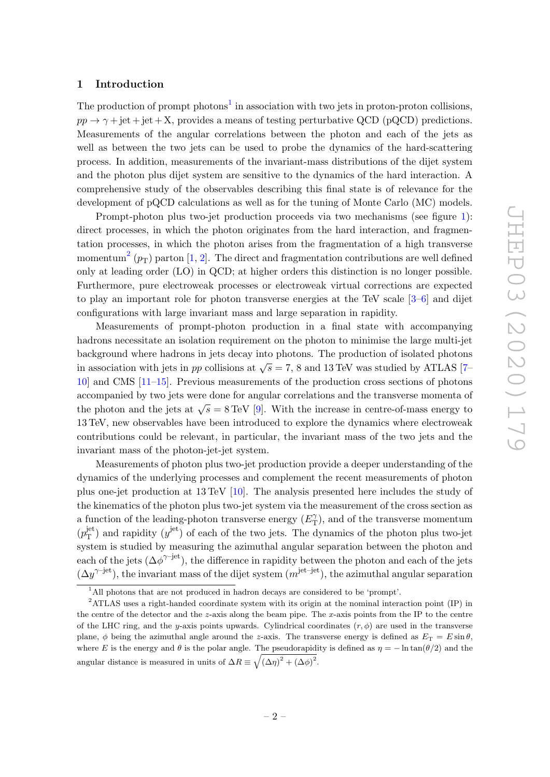#### <span id="page-2-0"></span>1 Introduction

The production of prompt photons<sup>[1](#page-2-1)</sup> in association with two jets in proton-proton collisions,  $pp \rightarrow \gamma + jet + jet + X$ , provides a means of testing perturbative QCD (pQCD) predictions. Measurements of the angular correlations between the photon and each of the jets as well as between the two jets can be used to probe the dynamics of the hard-scattering process. In addition, measurements of the invariant-mass distributions of the dijet system and the photon plus dijet system are sensitive to the dynamics of the hard interaction. A comprehensive study of the observables describing this final state is of relevance for the development of pQCD calculations as well as for the tuning of Monte Carlo (MC) models.

Prompt-photon plus two-jet production proceeds via two mechanisms (see figure [1\)](#page-3-0): direct processes, in which the photon originates from the hard interaction, and fragmentation processes, in which the photon arises from the fragmentation of a high transverse momentum<sup>[2](#page-2-2)</sup> ( $p_T$ ) parton [\[1,](#page-28-0) [2\]](#page-28-1). The direct and fragmentation contributions are well defined only at leading order (LO) in QCD; at higher orders this distinction is no longer possible. Furthermore, pure electroweak processes or electroweak virtual corrections are expected to play an important role for photon transverse energies at the TeV scale [\[3–](#page-28-2)[6\]](#page-28-3) and dijet configurations with large invariant mass and large separation in rapidity.

Measurements of prompt-photon production in a final state with accompanying hadrons necessitate an isolation requirement on the photon to minimise the large multi-jet background where hadrons in jets decay into photons. The production of isolated photons in association with jets in pp collisions at  $\sqrt{s} = 7$ , 8 and 13 TeV was studied by ATLAS [\[7–](#page-28-4) [10\]](#page-28-5) and CMS [\[11](#page-28-6)[–15\]](#page-29-0). Previous measurements of the production cross sections of photons accompanied by two jets were done for angular correlations and the transverse momenta of the photon and the jets at  $\sqrt{s} = 8 \text{ TeV}$  [\[9\]](#page-28-7). With the increase in centre-of-mass energy to 13 TeV, new observables have been introduced to explore the dynamics where electroweak contributions could be relevant, in particular, the invariant mass of the two jets and the invariant mass of the photon-jet-jet system.

Measurements of photon plus two-jet production provide a deeper understanding of the dynamics of the underlying processes and complement the recent measurements of photon plus one-jet production at 13 TeV [\[10\]](#page-28-5). The analysis presented here includes the study of the kinematics of the photon plus two-jet system via the measurement of the cross section as a function of the leading-photon transverse energy  $(E_T^{\gamma})$  $(T<sub>T</sub>)$ , and of the transverse momentum  $(p_{\rm T}^{\rm jet}$  $T_{\text{T}}^{\text{jet}}$ ) and rapidity  $(y^{\text{jet}})$  of each of the two jets. The dynamics of the photon plus two-jet system is studied by measuring the azimuthal angular separation between the photon and each of the jets  $(\Delta \phi^{\gamma - \text{jet}})$ , the difference in rapidity between the photon and each of the jets  $(\Delta y^{\gamma-jet})$ , the invariant mass of the dijet system  $(m^{\text{jet}-\text{jet}})$ , the azimuthal angular separation

<span id="page-2-2"></span><span id="page-2-1"></span><sup>&</sup>lt;sup>1</sup>All photons that are not produced in hadron decays are considered to be 'prompt'.

<sup>&</sup>lt;sup>2</sup>ATLAS uses a right-handed coordinate system with its origin at the nominal interaction point (IP) in the centre of the detector and the  $z$ -axis along the beam pipe. The  $x$ -axis points from the IP to the centre of the LHC ring, and the y-axis points upwards. Cylindrical coordinates  $(r, \phi)$  are used in the transverse plane,  $\phi$  being the azimuthal angle around the z-axis. The transverse energy is defined as  $E_T = E \sin \theta$ , where E is the energy and  $\theta$  is the polar angle. The pseudorapidity is defined as  $\eta = -\ln \tan(\theta/2)$  and the angular distance is measured in units of  $\Delta R \equiv \sqrt{(\Delta \eta)^2 + (\Delta \phi)^2}$ .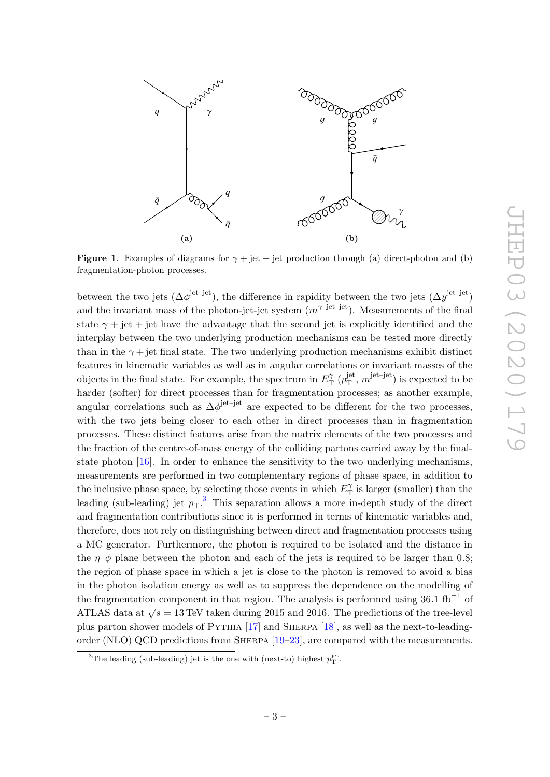<span id="page-3-0"></span>

**Figure 1.** Examples of diagrams for  $\gamma$  + jet + jet production through (a) direct-photon and (b) fragmentation-photon processes.

between the two jets  $(\Delta \phi^{\text{jet}-\text{jet}})$ , the difference in rapidity between the two jets  $(\Delta y^{\text{jet}-\text{jet}})$ and the invariant mass of the photon-jet-jet system  $(m^{\gamma-\text{jet}-\text{jet}})$ . Measurements of the final state  $\gamma$  + jet + jet have the advantage that the second jet is explicitly identified and the interplay between the two underlying production mechanisms can be tested more directly than in the  $\gamma$  + jet final state. The two underlying production mechanisms exhibit distinct features in kinematic variables as well as in angular correlations or invariant masses of the objects in the final state. For example, the spectrum in  $E_{\text{T}}^{\gamma}$  $T_{\rm T}^{\gamma}$   $(p_{\rm T}^{\rm jet}$  $j_{\text{T}}^{\text{jet}}, m^{\text{jet-jet}}$  is expected to be harder (softer) for direct processes than for fragmentation processes; as another example, angular correlations such as  $\Delta \phi^{\text{jet}-\text{jet}}$  are expected to be different for the two processes, with the two jets being closer to each other in direct processes than in fragmentation processes. These distinct features arise from the matrix elements of the two processes and the fraction of the centre-of-mass energy of the colliding partons carried away by the finalstate photon [\[16\]](#page-29-1). In order to enhance the sensitivity to the two underlying mechanisms, measurements are performed in two complementary regions of phase space, in addition to the inclusive phase space, by selecting those events in which  $E_{\text{T}}^{\gamma}$  $T_{\text{T}}^{\gamma}$  is larger (smaller) than the leading (sub-leading) jet  $p_T$ .<sup>[3](#page-3-1)</sup> This separation allows a more in-depth study of the direct and fragmentation contributions since it is performed in terms of kinematic variables and, therefore, does not rely on distinguishing between direct and fragmentation processes using a MC generator. Furthermore, the photon is required to be isolated and the distance in the  $\eta-\phi$  plane between the photon and each of the jets is required to be larger than 0.8; the region of phase space in which a jet is close to the photon is removed to avoid a bias in the photon isolation energy as well as to suppress the dependence on the modelling of the fragmentation component in that region. The analysis is performed using  $36.1 \text{ fb}^{-1}$  of ATLAS data at  $\sqrt{s} = 13$  TeV taken during 2015 and 2016. The predictions of the tree-level plus parton shower models of Pythia [\[17\]](#page-29-2) and Sherpa [\[18\]](#page-29-3), as well as the next-to-leadingorder (NLO) QCD predictions from Sherpa [\[19–](#page-29-4)[23\]](#page-29-5), are compared with the measurements.

<span id="page-3-1"></span><sup>&</sup>lt;sup>3</sup>The leading (sub-leading) jet is the one with (next-to) highest  $p_T^{\text{jet}}$ .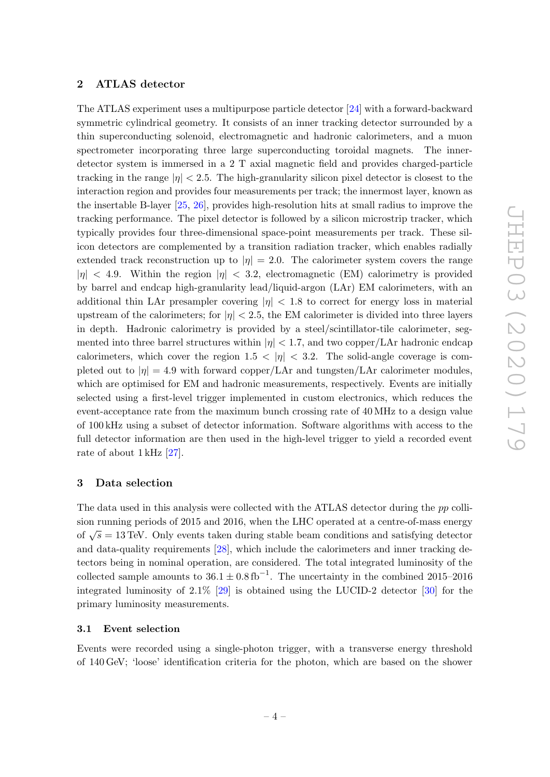# <span id="page-4-0"></span>2 ATLAS detector

The ATLAS experiment uses a multipurpose particle detector [\[24\]](#page-29-6) with a forward-backward symmetric cylindrical geometry. It consists of an inner tracking detector surrounded by a thin superconducting solenoid, electromagnetic and hadronic calorimeters, and a muon spectrometer incorporating three large superconducting toroidal magnets. The innerdetector system is immersed in a 2 T axial magnetic field and provides charged-particle tracking in the range  $|\eta| < 2.5$ . The high-granularity silicon pixel detector is closest to the interaction region and provides four measurements per track; the innermost layer, known as the insertable B-layer [\[25,](#page-29-7) [26\]](#page-29-8), provides high-resolution hits at small radius to improve the tracking performance. The pixel detector is followed by a silicon microstrip tracker, which typically provides four three-dimensional space-point measurements per track. These silicon detectors are complemented by a transition radiation tracker, which enables radially extended track reconstruction up to  $|\eta| = 2.0$ . The calorimeter system covers the range  $|\eta|$  < 4.9. Within the region  $|\eta|$  < 3.2, electromagnetic (EM) calorimetry is provided by barrel and endcap high-granularity lead/liquid-argon (LAr) EM calorimeters, with an additional thin LAr presampler covering  $|\eta|$  < 1.8 to correct for energy loss in material upstream of the calorimeters; for  $|\eta| < 2.5$ , the EM calorimeter is divided into three layers in depth. Hadronic calorimetry is provided by a steel/scintillator-tile calorimeter, segmented into three barrel structures within  $|\eta| < 1.7$ , and two copper/LAr hadronic endcap calorimeters, which cover the region  $1.5 < |\eta| < 3.2$ . The solid-angle coverage is completed out to  $|\eta| = 4.9$  with forward copper/LAr and tungsten/LAr calorimeter modules, which are optimised for EM and hadronic measurements, respectively. Events are initially selected using a first-level trigger implemented in custom electronics, which reduces the event-acceptance rate from the maximum bunch crossing rate of 40 MHz to a design value of 100 kHz using a subset of detector information. Software algorithms with access to the full detector information are then used in the high-level trigger to yield a recorded event rate of about 1 kHz [\[27\]](#page-29-9).

# <span id="page-4-1"></span>3 Data selection

The data used in this analysis were collected with the ATLAS detector during the pp collision running periods of 2015 and 2016, when the LHC operated at a centre-of-mass energy of  $\sqrt{s} = 13$  TeV. Only events taken during stable beam conditions and satisfying detector and data-quality requirements [\[28\]](#page-29-10), which include the calorimeters and inner tracking detectors being in nominal operation, are considered. The total integrated luminosity of the collected sample amounts to  $36.1 \pm 0.8$  fb<sup>-1</sup>. The uncertainty in the combined 2015–2016 integrated luminosity of 2.1% [\[29\]](#page-29-11) is obtained using the LUCID-2 detector [\[30\]](#page-29-12) for the primary luminosity measurements.

#### <span id="page-4-2"></span>3.1 Event selection

Events were recorded using a single-photon trigger, with a transverse energy threshold of 140 GeV; 'loose' identification criteria for the photon, which are based on the shower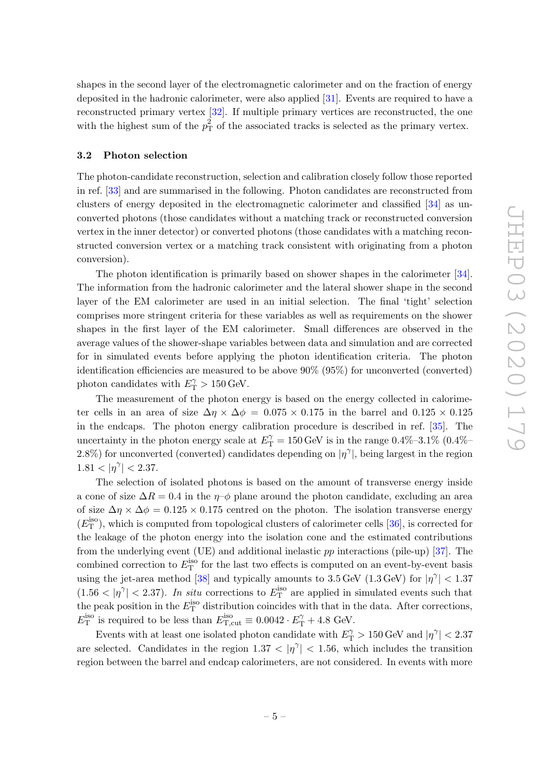shapes in the second layer of the electromagnetic calorimeter and on the fraction of energy deposited in the hadronic calorimeter, were also applied [\[31\]](#page-29-13). Events are required to have a reconstructed primary vertex [\[32\]](#page-29-14). If multiple primary vertices are reconstructed, the one with the highest sum of the  $p_T^2$  of the associated tracks is selected as the primary vertex.

# <span id="page-5-0"></span>3.2 Photon selection

The photon-candidate reconstruction, selection and calibration closely follow those reported in ref. [\[33\]](#page-29-15) and are summarised in the following. Photon candidates are reconstructed from clusters of energy deposited in the electromagnetic calorimeter and classified [\[34\]](#page-30-0) as unconverted photons (those candidates without a matching track or reconstructed conversion vertex in the inner detector) or converted photons (those candidates with a matching reconstructed conversion vertex or a matching track consistent with originating from a photon conversion).

The photon identification is primarily based on shower shapes in the calorimeter [\[34\]](#page-30-0). The information from the hadronic calorimeter and the lateral shower shape in the second layer of the EM calorimeter are used in an initial selection. The final 'tight' selection comprises more stringent criteria for these variables as well as requirements on the shower shapes in the first layer of the EM calorimeter. Small differences are observed in the average values of the shower-shape variables between data and simulation and are corrected for in simulated events before applying the photon identification criteria. The photon identification efficiencies are measured to be above 90% (95%) for unconverted (converted) photon candidates with  $E_{\text{T}}^{\gamma} > 150 \,\text{GeV}$ .

The measurement of the photon energy is based on the energy collected in calorimeter cells in an area of size  $\Delta \eta \times \Delta \phi = 0.075 \times 0.175$  in the barrel and  $0.125 \times 0.125$ in the endcaps. The photon energy calibration procedure is described in ref. [\[35\]](#page-30-1). The uncertainty in the photon energy scale at  $E_{\rm T}^{\gamma} = 150\,\text{GeV}$  is in the range  $0.4\%$ -3.1% (0.4%– 2.8%) for unconverted (converted) candidates depending on  $|\eta^{\gamma}|$ , being largest in the region  $1.81 < |\eta^{\gamma}| < 2.37.$ 

The selection of isolated photons is based on the amount of transverse energy inside a cone of size  $\Delta R = 0.4$  in the  $\eta$ – $\phi$  plane around the photon candidate, excluding an area of size  $\Delta \eta \times \Delta \phi = 0.125 \times 0.175$  centred on the photon. The isolation transverse energy  $(E_{\text{T}}^{\text{iso}})$ , which is computed from topological clusters of calorimeter cells [\[36\]](#page-30-2), is corrected for the leakage of the photon energy into the isolation cone and the estimated contributions from the underlying event (UE) and additional inelastic  $pp$  interactions (pile-up) [\[37\]](#page-30-3). The combined correction to  $E_{\text{T}}^{\text{iso}}$  for the last two effects is computed on an event-by-event basis using the jet-area method [\[38\]](#page-30-4) and typically amounts to  $3.5 \,\text{GeV}$  (1.3 GeV) for  $|\eta^{\gamma}| < 1.37$  $(1.56 < |\eta^{\gamma}| < 2.37)$ . In situ corrections to  $E_{\rm T}^{\rm iso}$  are applied in simulated events such that the peak position in the  $E_{\text{T}}^{\text{iso}}$  distribution coincides with that in the data. After corrections,  $E_{\rm T}^{\rm iso}$  is required to be less than  $E_{\rm T,cut}^{\rm iso} \equiv 0.0042 \cdot E_{\rm T}^{\gamma} + 4.8$  GeV.

Events with at least one isolated photon candidate with  $E_{\rm T}^\gamma > 150\,\text{GeV}$  and  $|\eta^\gamma| < 2.37$ are selected. Candidates in the region  $1.37 < |\eta^{\gamma}| < 1.56$ , which includes the transition region between the barrel and endcap calorimeters, are not considered. In events with more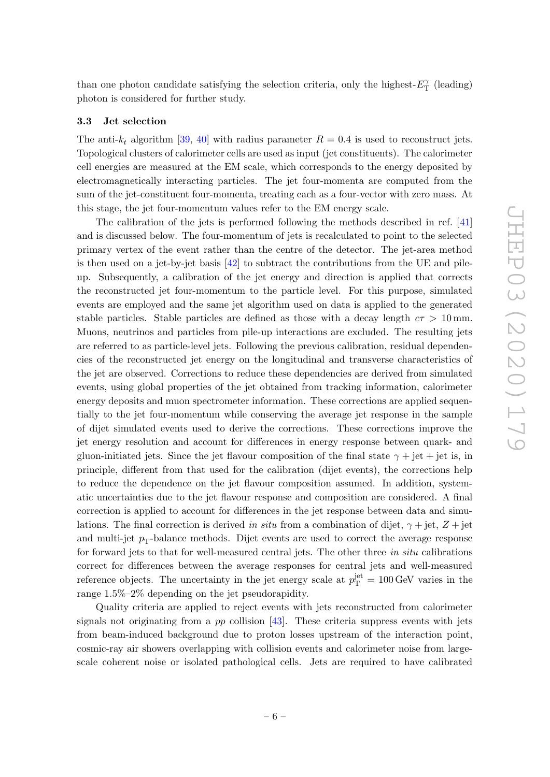than one photon candidate satisfying the selection criteria, only the highest- $E_T^{\gamma}$  $T_{\rm T}^{\gamma}$  (leading) photon is considered for further study.

#### <span id="page-6-0"></span>3.3 Jet selection

The anti- $k_t$  algorithm [\[39,](#page-30-5) [40\]](#page-30-6) with radius parameter  $R = 0.4$  is used to reconstruct jets. Topological clusters of calorimeter cells are used as input (jet constituents). The calorimeter cell energies are measured at the EM scale, which corresponds to the energy deposited by electromagnetically interacting particles. The jet four-momenta are computed from the sum of the jet-constituent four-momenta, treating each as a four-vector with zero mass. At this stage, the jet four-momentum values refer to the EM energy scale.

The calibration of the jets is performed following the methods described in ref. [\[41\]](#page-30-7) and is discussed below. The four-momentum of jets is recalculated to point to the selected primary vertex of the event rather than the centre of the detector. The jet-area method is then used on a jet-by-jet basis  $[42]$  to subtract the contributions from the UE and pileup. Subsequently, a calibration of the jet energy and direction is applied that corrects the reconstructed jet four-momentum to the particle level. For this purpose, simulated events are employed and the same jet algorithm used on data is applied to the generated stable particles. Stable particles are defined as those with a decay length  $c\tau > 10$  mm. Muons, neutrinos and particles from pile-up interactions are excluded. The resulting jets are referred to as particle-level jets. Following the previous calibration, residual dependencies of the reconstructed jet energy on the longitudinal and transverse characteristics of the jet are observed. Corrections to reduce these dependencies are derived from simulated events, using global properties of the jet obtained from tracking information, calorimeter energy deposits and muon spectrometer information. These corrections are applied sequentially to the jet four-momentum while conserving the average jet response in the sample of dijet simulated events used to derive the corrections. These corrections improve the jet energy resolution and account for differences in energy response between quark- and gluon-initiated jets. Since the jet flavour composition of the final state  $\gamma +$  jet + jet is, in principle, different from that used for the calibration (dijet events), the corrections help to reduce the dependence on the jet flavour composition assumed. In addition, systematic uncertainties due to the jet flavour response and composition are considered. A final correction is applied to account for differences in the jet response between data and simulations. The final correction is derived in situ from a combination of dijet,  $\gamma +$ jet,  $Z +$ jet and multi-jet  $p_T$ -balance methods. Dijet events are used to correct the average response for forward jets to that for well-measured central jets. The other three in situ calibrations correct for differences between the average responses for central jets and well-measured reference objects. The uncertainty in the jet energy scale at  $p_{\rm T}^{\rm jet} = 100 \,\text{GeV}$  varies in the range 1.5%–2% depending on the jet pseudorapidity.

Quality criteria are applied to reject events with jets reconstructed from calorimeter signals not originating from a  $pp$  collision [\[43\]](#page-30-9). These criteria suppress events with jets from beam-induced background due to proton losses upstream of the interaction point, cosmic-ray air showers overlapping with collision events and calorimeter noise from largescale coherent noise or isolated pathological cells. Jets are required to have calibrated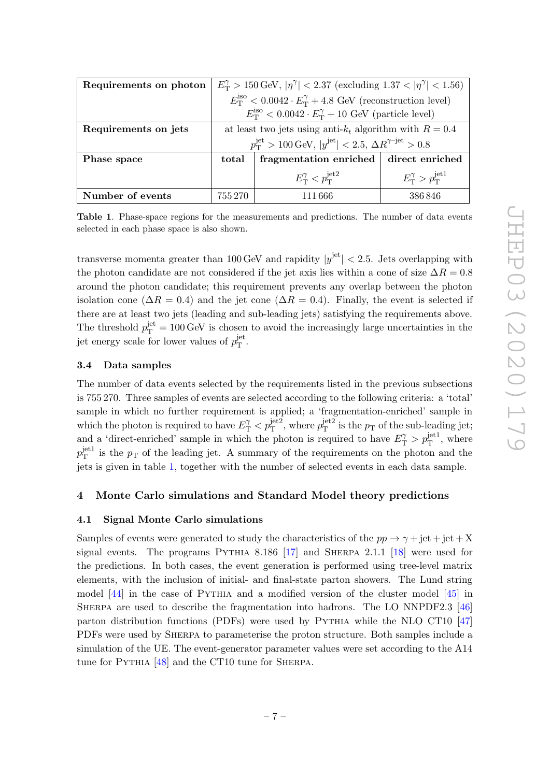<span id="page-7-3"></span>

| Requirements on photon | $E_{\rm T}^{\gamma} > 150 \,\text{GeV},  \eta^{\gamma}  < 2.37$ (excluding $1.37 <  \eta^{\gamma}  < 1.56$ ) |                                                                                                    |                                             |  |  |
|------------------------|--------------------------------------------------------------------------------------------------------------|----------------------------------------------------------------------------------------------------|---------------------------------------------|--|--|
|                        | $E_{\rm T}^{\rm iso} < 0.0042 \cdot E_{\rm T}^{\gamma} + 4.8$ GeV (reconstruction level)                     |                                                                                                    |                                             |  |  |
|                        | $E_{\rm T}^{\rm iso} < 0.0042 \cdot E_{\rm T}^{\gamma} + 10$ GeV (particle level)                            |                                                                                                    |                                             |  |  |
| Requirements on jets   | at least two jets using anti- $k_t$ algorithm with $R = 0.4$                                                 |                                                                                                    |                                             |  |  |
|                        |                                                                                                              | $p_{\rm T}^{\rm jet} > 100 \,\text{GeV},  y^{\rm jet}  < 2.5, \,\Delta R^{\gamma - \rm jet} > 0.8$ |                                             |  |  |
| Phase space            | total                                                                                                        | fragmentation enriched                                                                             | direct enriched                             |  |  |
|                        |                                                                                                              | $E_{\rm T}^{\gamma} < p_{\rm T}^{\rm jet2}$                                                        | $E_{\rm T}^{\gamma} > p_{\rm T}^{\rm jet1}$ |  |  |
| Number of events       | 755 270                                                                                                      | 111 666                                                                                            | 386846                                      |  |  |

Table 1. Phase-space regions for the measurements and predictions. The number of data events selected in each phase space is also shown.

transverse momenta greater than 100 GeV and rapidity  $|y^{\text{jet}}| < 2.5$ . Jets overlapping with the photon candidate are not considered if the jet axis lies within a cone of size  $\Delta R = 0.8$ around the photon candidate; this requirement prevents any overlap between the photon isolation cone ( $\Delta R = 0.4$ ) and the jet cone ( $\Delta R = 0.4$ ). Finally, the event is selected if there are at least two jets (leading and sub-leading jets) satisfying the requirements above. The threshold  $p_{\rm T}^{\rm jet} = 100 \,\text{GeV}$  is chosen to avoid the increasingly large uncertainties in the jet energy scale for lower values of  $p_T^{\text{jet}}$ յeτ<br>T

# <span id="page-7-0"></span>3.4 Data samples

The number of data events selected by the requirements listed in the previous subsections is 755 270. Three samples of events are selected according to the following criteria: a 'total' sample in which no further requirement is applied; a 'fragmentation-enriched' sample in which the photon is required to have  $E_{\rm T}^{\gamma} < p_{\rm T}^{\rm jet2}$ , where  $p_{\rm T}^{\rm jet2}$  $T<sup>jet2</sup>$  is the  $p<sub>T</sub>$  of the sub-leading jet; and a 'direct-enriched' sample in which the photon is required to have  $E_{\rm T}^{\gamma} > p_{\rm T}^{\rm jet1}$ , where  $p_{\rm T}^{\rm jet1}$  $T<sup>pet1</sup>$  is the  $p<sub>T</sub>$  of the leading jet. A summary of the requirements on the photon and the jets is given in table [1,](#page-7-3) together with the number of selected events in each data sample.

# <span id="page-7-1"></span>4 Monte Carlo simulations and Standard Model theory predictions

# <span id="page-7-2"></span>4.1 Signal Monte Carlo simulations

Samples of events were generated to study the characteristics of the  $pp \rightarrow \gamma + jet + jet + X$ signal events. The programs PYTHIA 8.186  $[17]$  and SHERPA 2.1.1  $[18]$  were used for the predictions. In both cases, the event generation is performed using tree-level matrix elements, with the inclusion of initial- and final-state parton showers. The Lund string model  $[44]$  in the case of PYTHIA and a modified version of the cluster model  $[45]$  in SHERPA are used to describe the fragmentation into hadrons. The LO NNPDF2.3 [\[46\]](#page-30-12) parton distribution functions (PDFs) were used by PYTHIA while the NLO CT10 [\[47\]](#page-30-13) PDFs were used by Sherpa to parameterise the proton structure. Both samples include a simulation of the UE. The event-generator parameter values were set according to the A14 tune for PYTHIA [\[48\]](#page-30-14) and the CT10 tune for SHERPA.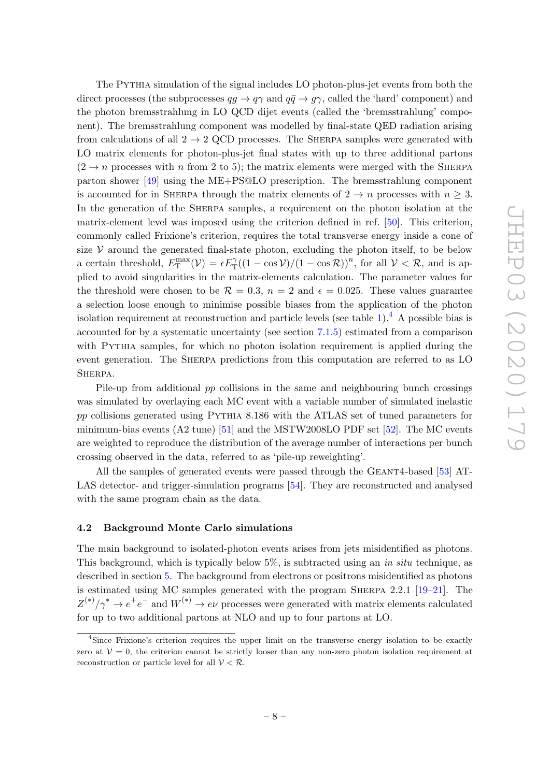The Pythia simulation of the signal includes LO photon-plus-jet events from both the direct processes (the subprocesses  $qq \to q\gamma$  and  $q\bar{q} \to q\gamma$ , called the 'hard' component) and the photon bremsstrahlung in LO QCD dijet events (called the 'bremsstrahlung' component). The bremsstrahlung component was modelled by final-state QED radiation arising from calculations of all  $2 \rightarrow 2$  QCD processes. The SHERPA samples were generated with LO matrix elements for photon-plus-jet final states with up to three additional partons  $(2 \rightarrow n$  processes with n from 2 to 5); the matrix elements were merged with the SHERPA parton shower [\[49\]](#page-30-15) using the ME+PS@LO prescription. The bremsstrahlung component is accounted for in SHERPA through the matrix elements of  $2 \rightarrow n$  processes with  $n \geq 3$ . In the generation of the SHERPA samples, a requirement on the photon isolation at the matrix-element level was imposed using the criterion defined in ref. [\[50\]](#page-30-16). This criterion, commonly called Frixione's criterion, requires the total transverse energy inside a cone of size  $V$  around the generated final-state photon, excluding the photon itself, to be below a certain threshold,  $E_{\rm T}^{\rm max}(\mathcal{V}) = \epsilon E_{\rm T}^{\gamma}((1-\cos\mathcal{V})/(1-\cos\mathcal{R}))^{\gamma}$ , for all  $\mathcal{V} < \mathcal{R}$ , and is applied to avoid singularities in the matrix-elements calculation. The parameter values for the threshold were chosen to be  $\mathcal{R} = 0.3$ ,  $n = 2$  and  $\epsilon = 0.025$ . These values guarantee a selection loose enough to minimise possible biases from the application of the photon isolation requirement at reconstruction and particle levels (see table [1\)](#page-7-3).<sup>[4](#page-8-1)</sup> A possible bias is accounted for by a systematic uncertainty (see section [7.1.5\)](#page-13-2) estimated from a comparison with PYTHIA samples, for which no photon isolation requirement is applied during the event generation. The SHERPA predictions from this computation are referred to as LO SHERPA.

Pile-up from additional pp collisions in the same and neighbouring bunch crossings was simulated by overlaying each MC event with a variable number of simulated inelastic pp collisions generated using Pythia 8.186 with the ATLAS set of tuned parameters for minimum-bias events  $(A2 \text{ tune})$  [\[51\]](#page-30-17) and the MSTW2008LO PDF set [\[52\]](#page-31-0). The MC events are weighted to reproduce the distribution of the average number of interactions per bunch crossing observed in the data, referred to as 'pile-up reweighting'.

All the samples of generated events were passed through the GEANT4-based [\[53\]](#page-31-1) AT-LAS detector- and trigger-simulation programs [\[54\]](#page-31-2). They are reconstructed and analysed with the same program chain as the data.

#### <span id="page-8-0"></span>4.2 Background Monte Carlo simulations

The main background to isolated-photon events arises from jets misidentified as photons. This background, which is typically below  $5\%$ , is subtracted using an *in situ* technique, as described in section [5.](#page-9-1) The background from electrons or positrons misidentified as photons is estimated using MC samples generated with the program Sherpa 2.2.1 [\[19–](#page-29-4)[21\]](#page-29-16). The  $Z^{(*)}/\gamma^* \to e^+e^-$  and  $W^{(*)} \to e\nu$  processes were generated with matrix elements calculated for up to two additional partons at NLO and up to four partons at LO.

<span id="page-8-1"></span><sup>&</sup>lt;sup>4</sup>Since Frixione's criterion requires the upper limit on the transverse energy isolation to be exactly zero at  $V = 0$ , the criterion cannot be strictly looser than any non-zero photon isolation requirement at reconstruction or particle level for all  $V < \mathcal{R}$ .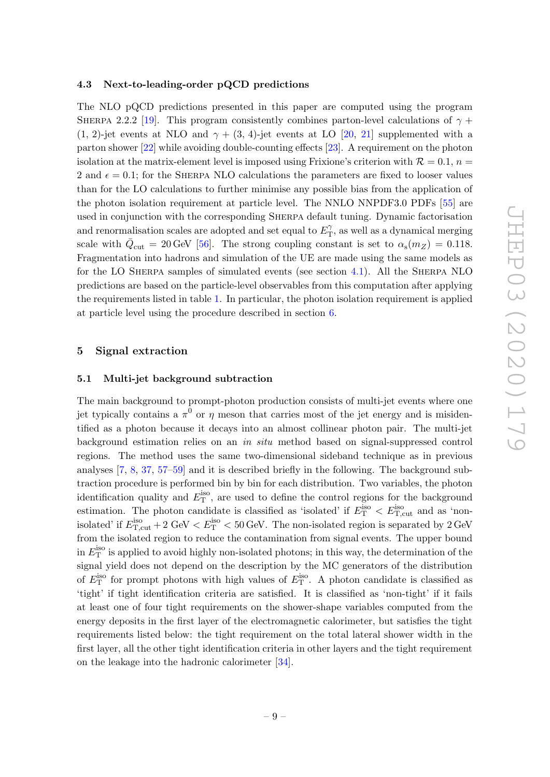#### <span id="page-9-0"></span>4.3 Next-to-leading-order pQCD predictions

The NLO pQCD predictions presented in this paper are computed using the program SHERPA 2.2.2 [\[19\]](#page-29-4). This program consistently combines parton-level calculations of  $\gamma$  + (1, 2)-jet events at NLO and  $\gamma + (3, 4)$ -jet events at LO [\[20,](#page-29-17) [21\]](#page-29-16) supplemented with a parton shower [\[22\]](#page-29-18) while avoiding double-counting effects [\[23\]](#page-29-5). A requirement on the photon isolation at the matrix-element level is imposed using Frixione's criterion with  $\mathcal{R} = 0.1$ ,  $n =$ 2 and  $\epsilon = 0.1$ ; for the SHERPA NLO calculations the parameters are fixed to looser values than for the LO calculations to further minimise any possible bias from the application of the photon isolation requirement at particle level. The NNLO NNPDF3.0 PDFs [\[55\]](#page-31-3) are used in conjunction with the corresponding Sherpa default tuning. Dynamic factorisation and renormalisation scales are adopted and set equal to  $E_{\rm T}^{\gamma}$  $T_{\rm T}^{\gamma}$ , as well as a dynamical merging scale with  $\bar{Q}_{\text{cut}} = 20 \,\text{GeV}$  [\[56\]](#page-31-4). The strong coupling constant is set to  $\alpha_{\text{s}}(m_Z) = 0.118$ . Fragmentation into hadrons and simulation of the UE are made using the same models as for the LO Sherpa samples of simulated events (see section [4.1\)](#page-7-2). All the Sherpa NLO predictions are based on the particle-level observables from this computation after applying the requirements listed in table [1.](#page-7-3) In particular, the photon isolation requirement is applied at particle level using the procedure described in section [6.](#page-10-1)

# <span id="page-9-1"></span>5 Signal extraction

#### <span id="page-9-2"></span>5.1 Multi-jet background subtraction

The main background to prompt-photon production consists of multi-jet events where one jet typically contains a  $\pi^0$  or  $\eta$  meson that carries most of the jet energy and is misidentified as a photon because it decays into an almost collinear photon pair. The multi-jet background estimation relies on an in situ method based on signal-suppressed control regions. The method uses the same two-dimensional sideband technique as in previous analyses [\[7,](#page-28-4) [8,](#page-28-8) [37,](#page-30-3) [57–](#page-31-5)[59\]](#page-31-6) and it is described briefly in the following. The background subtraction procedure is performed bin by bin for each distribution. Two variables, the photon identification quality and  $E_{\text{T}}^{\text{iso}}$ , are used to define the control regions for the background estimation. The photon candidate is classified as 'isolated' if  $E_{\rm T}^{\rm iso} < E_{\rm T,cut}^{\rm iso}$  and as 'nonisolated' if  $E_{\text{T,cut}}^{\text{iso}} + 2 \text{ GeV} < E_{\text{T}}^{\text{iso}} < 50 \text{ GeV}$ . The non-isolated region is separated by 2 GeV from the isolated region to reduce the contamination from signal events. The upper bound in  $E_{\textrm{T}}^{\textrm{iso}}$  is applied to avoid highly non-isolated photons; in this way, the determination of the signal yield does not depend on the description by the MC generators of the distribution of  $E_{\rm T}^{\rm iso}$  for prompt photons with high values of  $E_{\rm T}^{\rm iso}$ . A photon candidate is classified as 'tight' if tight identification criteria are satisfied. It is classified as 'non-tight' if it fails at least one of four tight requirements on the shower-shape variables computed from the energy deposits in the first layer of the electromagnetic calorimeter, but satisfies the tight requirements listed below: the tight requirement on the total lateral shower width in the first layer, all the other tight identification criteria in other layers and the tight requirement on the leakage into the hadronic calorimeter [\[34\]](#page-30-0).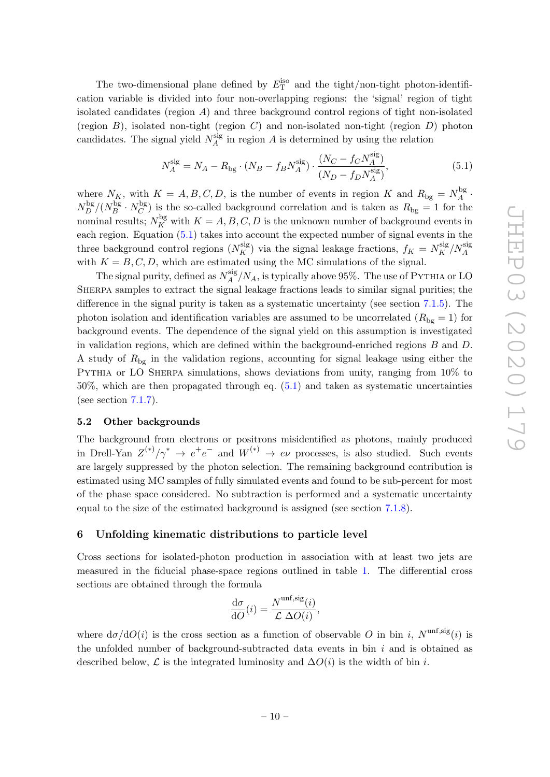The two-dimensional plane defined by  $E_{\text{T}}^{\text{iso}}$  and the tight/non-tight photon-identification variable is divided into four non-overlapping regions: the 'signal' region of tight isolated candidates (region A) and three background control regions of tight non-isolated (region  $B$ ), isolated non-tight (region  $C$ ) and non-isolated non-tight (region  $D$ ) photon candidates. The signal yield  $N_A^{\text{sig}}$  $A_A^{\text{sig}}$  in region A is determined by using the relation

<span id="page-10-2"></span>
$$
N_A^{\text{sig}} = N_A - R_{\text{bg}} \cdot (N_B - f_B N_A^{\text{sig}}) \cdot \frac{(N_C - f_C N_A^{\text{sig}})}{(N_D - f_D N_A^{\text{sig}})},\tag{5.1}
$$

where  $N_K$ , with  $K = A, B, C, D$ , is the number of events in region K and  $R_{\text{bg}} = N_A^{\text{bg}}$  $A^{\log}$ .  $N_D^{\rm bg}/(N_B^{\rm bg}$  $\frac{\log B}{B} \cdot N_C^{\text{bg}}$  $\binom{C}{C}$  is the so-called background correlation and is taken as  $R_{\text{bg}} = 1$  for the nominal results;  $N_K^{\text{bg}}$  with  $K = A, B, C, D$  is the unknown number of background events in each region. Equation [\(5.1\)](#page-10-2) takes into account the expected number of signal events in the three background control regions  $(N_K^{\text{sig}})$  via the signal leakage fractions,  $f_K = N_K^{\text{sig}}/N_A^{\text{sig}}$ with  $K = B, C, D$ , which are estimated using the MC simulations of the signal.

The signal purity, defined as  $N_A^{\text{sig}}$  $A_A^{\text{sig}}/N_A$ , is typically above 95%. The use of PYTHIA or LO Sherpa samples to extract the signal leakage fractions leads to similar signal purities; the difference in the signal purity is taken as a systematic uncertainty (see section [7.1.5\)](#page-13-2). The photon isolation and identification variables are assumed to be uncorrelated  $(R_{bg} = 1)$  for background events. The dependence of the signal yield on this assumption is investigated in validation regions, which are defined within the background-enriched regions B and D. A study of  $R_{\text{bg}}$  in the validation regions, accounting for signal leakage using either the PYTHIA or LO SHERPA simulations, shows deviations from unity, ranging from  $10\%$  to 50%, which are then propagated through eq. [\(5.1\)](#page-10-2) and taken as systematic uncertainties (see section [7.1.7\)](#page-14-0).

#### <span id="page-10-0"></span>5.2 Other backgrounds

The background from electrons or positrons misidentified as photons, mainly produced in Drell-Yan  $Z^{(*)}/\gamma^* \to e^+e^-$  and  $W^{(*)} \to e\nu$  processes, is also studied. Such events are largely suppressed by the photon selection. The remaining background contribution is estimated using MC samples of fully simulated events and found to be sub-percent for most of the phase space considered. No subtraction is performed and a systematic uncertainty equal to the size of the estimated background is assigned (see section [7.1.8\)](#page-14-1).

#### <span id="page-10-1"></span>6 Unfolding kinematic distributions to particle level

Cross sections for isolated-photon production in association with at least two jets are measured in the fiducial phase-space regions outlined in table [1.](#page-7-3) The differential cross sections are obtained through the formula

$$
\frac{\mathrm{d}\sigma}{\mathrm{d}O}(i) = \frac{N^{\text{unf,sig}}(i)}{\mathcal{L}\,\Delta O(i)},
$$

where  $d\sigma/dO(i)$  is the cross section as a function of observable O in bin i,  $N^{\text{unf,sig}}(i)$  is the unfolded number of background-subtracted data events in bin  $i$  and is obtained as described below,  $\mathcal L$  is the integrated luminosity and  $\Delta O(i)$  is the width of bin i.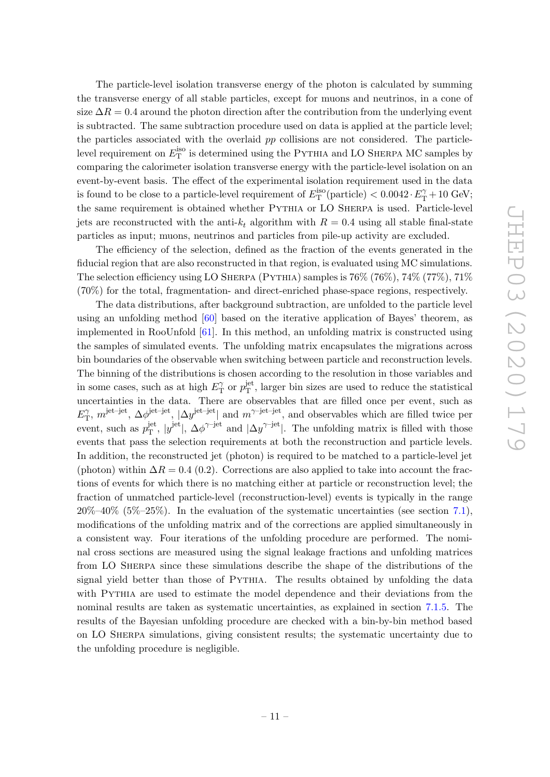The particle-level isolation transverse energy of the photon is calculated by summing the transverse energy of all stable particles, except for muons and neutrinos, in a cone of size  $\Delta R = 0.4$  around the photon direction after the contribution from the underlying event is subtracted. The same subtraction procedure used on data is applied at the particle level; the particles associated with the overlaid pp collisions are not considered. The particlelevel requirement on  $E_{\textrm{T}}^{\textrm{iso}}$  is determined using the PYTHIA and LO SHERPA MC samples by comparing the calorimeter isolation transverse energy with the particle-level isolation on an event-by-event basis. The effect of the experimental isolation requirement used in the data is found to be close to a particle-level requirement of  $E_{\textrm{T}}^{\textrm{iso}}(\textrm{particle}) < 0.0042 \cdot E_{\textrm{T}}^{\gamma} + 10 \textrm{ GeV};$ the same requirement is obtained whether Pythia or LO Sherpa is used. Particle-level jets are reconstructed with the anti- $k_t$  algorithm with  $R = 0.4$  using all stable final-state particles as input; muons, neutrinos and particles from pile-up activity are excluded.

The efficiency of the selection, defined as the fraction of the events generated in the fiducial region that are also reconstructed in that region, is evaluated using MC simulations. The selection efficiency using LO SHERPA (PYTHIA) samples is  $76\%$  ( $76\%$ ),  $74\%$  ( $77\%$ ),  $71\%$ (70%) for the total, fragmentation- and direct-enriched phase-space regions, respectively.

The data distributions, after background subtraction, are unfolded to the particle level using an unfolding method [\[60\]](#page-31-7) based on the iterative application of Bayes' theorem, as implemented in RooUnfold [\[61\]](#page-31-8). In this method, an unfolding matrix is constructed using the samples of simulated events. The unfolding matrix encapsulates the migrations across bin boundaries of the observable when switching between particle and reconstruction levels. The binning of the distributions is chosen according to the resolution in those variables and in some cases, such as at high  $E_{\text{T}}^{\gamma}$  $T_T^{\gamma}$  or  $p_{\rm T}^{\rm jet}$  $T<sub>T</sub><sup>jet</sup>$ , larger bin sizes are used to reduce the statistical uncertainties in the data. There are observables that are filled once per event, such as  $E_{\rm T}^{\gamma}$  $T$ ,  $m^{\text{jet-jet}}, \Delta \phi^{\text{jet-jet}}, |\Delta y^{\text{jet-jet}}|$  and  $m^{\gamma \text{-jet-jet}},$  and observables which are filled twice per event, such as  $p_T^{\text{jet}}$ <sup>jet</sup>,  $|y^{\text{jet}}|$ ,  $\Delta \phi^{\gamma-\text{jet}}$  and  $|\Delta y^{\gamma-\text{jet}}|$ . The unfolding matrix is filled with those events that pass the selection requirements at both the reconstruction and particle levels. In addition, the reconstructed jet (photon) is required to be matched to a particle-level jet (photon) within  $\Delta R = 0.4$  (0.2). Corrections are also applied to take into account the fractions of events for which there is no matching either at particle or reconstruction level; the fraction of unmatched particle-level (reconstruction-level) events is typically in the range  $20\% - 40\%$  (5\% -25\%). In the evaluation of the systematic uncertainties (see section [7.1\)](#page-12-1), modifications of the unfolding matrix and of the corrections are applied simultaneously in a consistent way. Four iterations of the unfolding procedure are performed. The nominal cross sections are measured using the signal leakage fractions and unfolding matrices from LO Sherpa since these simulations describe the shape of the distributions of the signal yield better than those of PYTHIA. The results obtained by unfolding the data with PYTHIA are used to estimate the model dependence and their deviations from the nominal results are taken as systematic uncertainties, as explained in section [7.1.5.](#page-13-2) The results of the Bayesian unfolding procedure are checked with a bin-by-bin method based on LO Sherpa simulations, giving consistent results; the systematic uncertainty due to the unfolding procedure is negligible.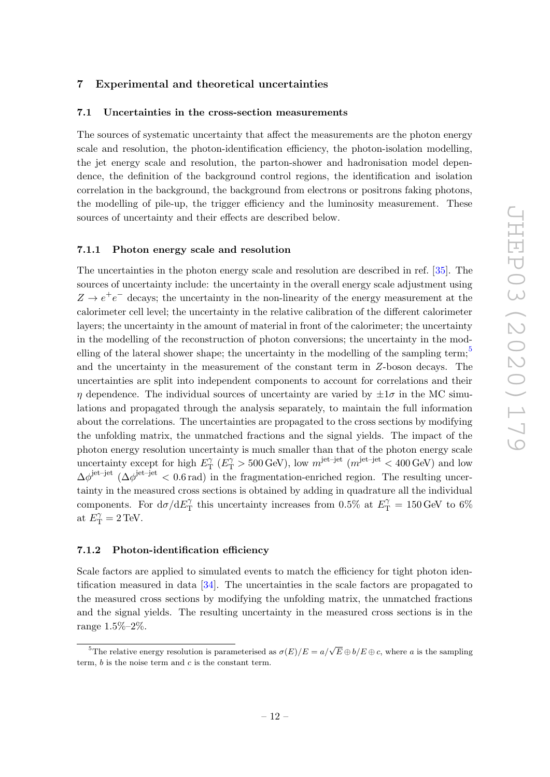# <span id="page-12-0"></span>7 Experimental and theoretical uncertainties

#### <span id="page-12-1"></span>7.1 Uncertainties in the cross-section measurements

The sources of systematic uncertainty that affect the measurements are the photon energy scale and resolution, the photon-identification efficiency, the photon-isolation modelling, the jet energy scale and resolution, the parton-shower and hadronisation model dependence, the definition of the background control regions, the identification and isolation correlation in the background, the background from electrons or positrons faking photons, the modelling of pile-up, the trigger efficiency and the luminosity measurement. These sources of uncertainty and their effects are described below.

#### <span id="page-12-2"></span>7.1.1 Photon energy scale and resolution

The uncertainties in the photon energy scale and resolution are described in ref. [\[35\]](#page-30-1). The sources of uncertainty include: the uncertainty in the overall energy scale adjustment using  $Z \rightarrow e^+e^-$  decays; the uncertainty in the non-linearity of the energy measurement at the calorimeter cell level; the uncertainty in the relative calibration of the different calorimeter layers; the uncertainty in the amount of material in front of the calorimeter; the uncertainty in the modelling of the reconstruction of photon conversions; the uncertainty in the modelling of the lateral shower shape; the uncertainty in the modelling of the sampling term; $\frac{5}{5}$  $\frac{5}{5}$  $\frac{5}{5}$ and the uncertainty in the measurement of the constant term in Z-boson decays. The uncertainties are split into independent components to account for correlations and their  $\eta$  dependence. The individual sources of uncertainty are varied by  $\pm 1\sigma$  in the MC simulations and propagated through the analysis separately, to maintain the full information about the correlations. The uncertainties are propagated to the cross sections by modifying the unfolding matrix, the unmatched fractions and the signal yields. The impact of the photon energy resolution uncertainty is much smaller than that of the photon energy scale uncertainty except for high  $E_{\rm T}^{\gamma}$  $\gamma_{\rm T}^{\gamma}$  ( $E_{\rm T}^{\gamma} > 500$  GeV), low  $m^{\rm jet-jet}$  ( $m^{\rm jet-jet} < 400$  GeV) and low  $\Delta\phi^{\text{jet-jet}}$  ( $\Delta\phi^{\text{jet-jet}}$  < 0.6 rad) in the fragmentation-enriched region. The resulting uncertainty in the measured cross sections is obtained by adding in quadrature all the individual components. For  $d\sigma/dE_T^{\gamma}$  $T_T^{\gamma}$  this uncertainty increases from 0.5% at  $E_T^{\gamma} = 150 \,\text{GeV}$  to 6% at  $E_{\rm T}^{\gamma} = 2 \,\text{TeV}$ .

# <span id="page-12-3"></span>7.1.2 Photon-identification efficiency

Scale factors are applied to simulated events to match the efficiency for tight photon identification measured in data [\[34\]](#page-30-0). The uncertainties in the scale factors are propagated to the measured cross sections by modifying the unfolding matrix, the unmatched fractions and the signal yields. The resulting uncertainty in the measured cross sections is in the range 1.5%–2%.

<span id="page-12-4"></span><sup>&</sup>lt;sup>5</sup>The relative energy resolution is parameterised as  $\sigma(E)/E = a/\sqrt{E} \oplus b/E \oplus c$ , where a is the sampling term,  $b$  is the noise term and  $c$  is the constant term.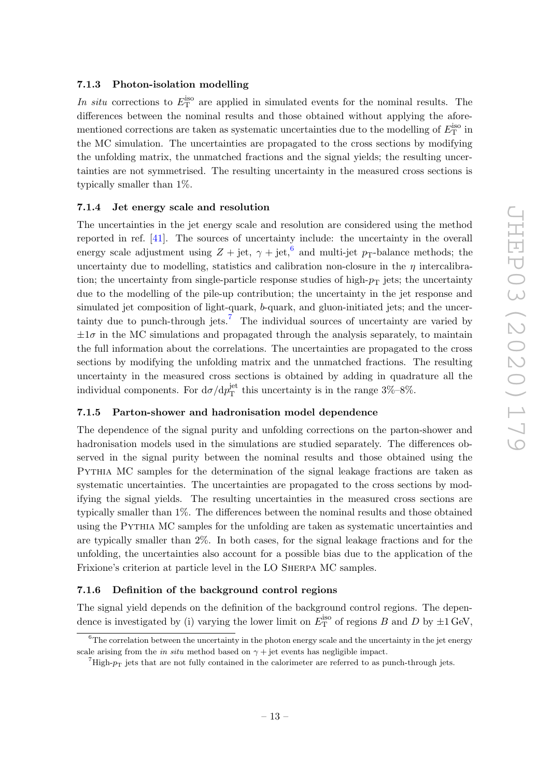# <span id="page-13-0"></span>7.1.3 Photon-isolation modelling

In situ corrections to  $E_{\rm T}^{\rm iso}$  are applied in simulated events for the nominal results. The differences between the nominal results and those obtained without applying the aforementioned corrections are taken as systematic uncertainties due to the modelling of  $E_{\textrm{T}}^{\textrm{iso}}$  in the MC simulation. The uncertainties are propagated to the cross sections by modifying the unfolding matrix, the unmatched fractions and the signal yields; the resulting uncertainties are not symmetrised. The resulting uncertainty in the measured cross sections is typically smaller than 1%.

#### <span id="page-13-1"></span>7.1.4 Jet energy scale and resolution

The uncertainties in the jet energy scale and resolution are considered using the method reported in ref. [\[41\]](#page-30-7). The sources of uncertainty include: the uncertainty in the overall energy scale adjustment using  $Z + jet$ ,  $\gamma + jet$ ,  $\stackrel{6}{\sim}$  $\stackrel{6}{\sim}$  $\stackrel{6}{\sim}$  and multi-jet  $p_T$ -balance methods; the uncertainty due to modelling, statistics and calibration non-closure in the  $\eta$  intercalibration; the uncertainty from single-particle response studies of high- $p<sub>T</sub>$  jets; the uncertainty due to the modelling of the pile-up contribution; the uncertainty in the jet response and simulated jet composition of light-quark, b-quark, and gluon-initiated jets; and the uncer-tainty due to punch-through jets.<sup>[7](#page-13-5)</sup> The individual sources of uncertainty are varied by  $\pm 1\sigma$  in the MC simulations and propagated through the analysis separately, to maintain the full information about the correlations. The uncertainties are propagated to the cross sections by modifying the unfolding matrix and the unmatched fractions. The resulting uncertainty in the measured cross sections is obtained by adding in quadrature all the individual components. For  $d\sigma/dp_T^{\rm jet}$  $T<sub>T</sub><sup>jet</sup>$  this uncertainty is in the range  $3\% - 8\%$ .

# <span id="page-13-2"></span>7.1.5 Parton-shower and hadronisation model dependence

The dependence of the signal purity and unfolding corrections on the parton-shower and hadronisation models used in the simulations are studied separately. The differences observed in the signal purity between the nominal results and those obtained using the Pythia MC samples for the determination of the signal leakage fractions are taken as systematic uncertainties. The uncertainties are propagated to the cross sections by modifying the signal yields. The resulting uncertainties in the measured cross sections are typically smaller than 1%. The differences between the nominal results and those obtained using the Pythia MC samples for the unfolding are taken as systematic uncertainties and are typically smaller than 2%. In both cases, for the signal leakage fractions and for the unfolding, the uncertainties also account for a possible bias due to the application of the Frixione's criterion at particle level in the LO Sherpa MC samples.

#### <span id="page-13-3"></span>7.1.6 Definition of the background control regions

The signal yield depends on the definition of the background control regions. The dependence is investigated by (i) varying the lower limit on  $E_{\rm T}^{\rm iso}$  of regions B and D by  $\pm 1$  GeV,

<span id="page-13-4"></span> ${}^{6}$ The correlation between the uncertainty in the photon energy scale and the uncertainty in the jet energy scale arising from the *in situ* method based on  $\gamma$  + jet events has negligible impact.

<span id="page-13-5"></span> $^{7}$ High- $p_T$  jets that are not fully contained in the calorimeter are referred to as punch-through jets.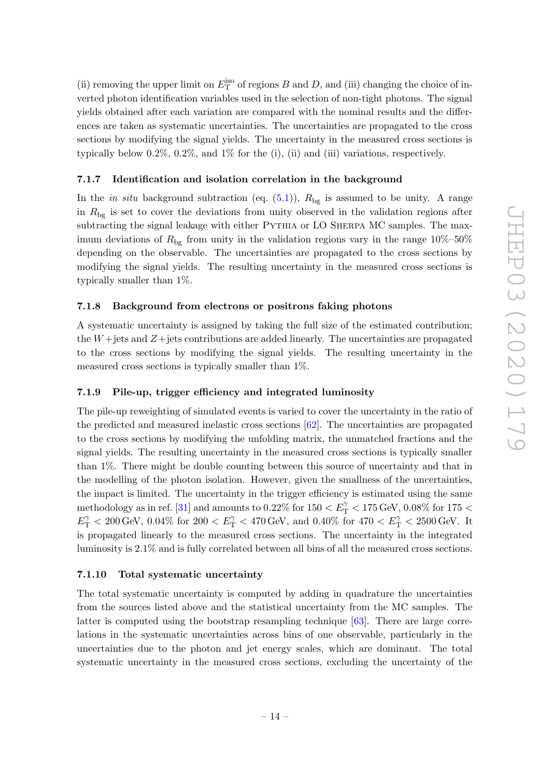(ii) removing the upper limit on  $E_{\rm T}^{\rm iso}$  of regions B and D, and (iii) changing the choice of inverted photon identification variables used in the selection of non-tight photons. The signal yields obtained after each variation are compared with the nominal results and the differences are taken as systematic uncertainties. The uncertainties are propagated to the cross sections by modifying the signal yields. The uncertainty in the measured cross sections is typically below  $0.2\%$ ,  $0.2\%$ , and  $1\%$  for the (i), (ii) and (iii) variations, respectively.

# <span id="page-14-0"></span>7.1.7 Identification and isolation correlation in the background

In the *in situ* background subtraction (eq.  $(5.1)$ ),  $R_{bg}$  is assumed to be unity. A range in  $R_{\text{bg}}$  is set to cover the deviations from unity observed in the validation regions after subtracting the signal leakage with either PYTHIA or LO SHERPA MC samples. The maximum deviations of  $R_{\text{bg}}$  from unity in the validation regions vary in the range 10%–50% depending on the observable. The uncertainties are propagated to the cross sections by modifying the signal yields. The resulting uncertainty in the measured cross sections is typically smaller than 1%.

#### <span id="page-14-1"></span>7.1.8 Background from electrons or positrons faking photons

A systematic uncertainty is assigned by taking the full size of the estimated contribution; the  $W +$ jets and  $Z +$ jets contributions are added linearly. The uncertainties are propagated to the cross sections by modifying the signal yields. The resulting uncertainty in the measured cross sections is typically smaller than  $1\%$ .

#### <span id="page-14-2"></span>7.1.9 Pile-up, trigger efficiency and integrated luminosity

The pile-up reweighting of simulated events is varied to cover the uncertainty in the ratio of the predicted and measured inelastic cross sections [\[62\]](#page-31-9). The uncertainties are propagated to the cross sections by modifying the unfolding matrix, the unmatched fractions and the signal yields. The resulting uncertainty in the measured cross sections is typically smaller than 1%. There might be double counting between this source of uncertainty and that in the modelling of the photon isolation. However, given the smallness of the uncertainties, the impact is limited. The uncertainty in the trigger efficiency is estimated using the same methodology as in ref. [\[31\]](#page-29-13) and amounts to 0.22% for  $150 < E_T^{\gamma} < 175\,\text{GeV},$  0.08% for  $175 <$  $E_{\rm T}^{\gamma} < 200\,\text{GeV},~0.04\%$  for  $200 < E_{\rm T}^{\gamma} < 470\,\text{GeV},$  and  $0.40\%$  for  $470 < E_{\rm T}^{\gamma} < 2500\,\text{GeV}.$  It is propagated linearly to the measured cross sections. The uncertainty in the integrated luminosity is 2.1% and is fully correlated between all bins of all the measured cross sections.

#### <span id="page-14-3"></span>7.1.10 Total systematic uncertainty

The total systematic uncertainty is computed by adding in quadrature the uncertainties from the sources listed above and the statistical uncertainty from the MC samples. The latter is computed using the bootstrap resampling technique [\[63\]](#page-31-10). There are large correlations in the systematic uncertainties across bins of one observable, particularly in the uncertainties due to the photon and jet energy scales, which are dominant. The total systematic uncertainty in the measured cross sections, excluding the uncertainty of the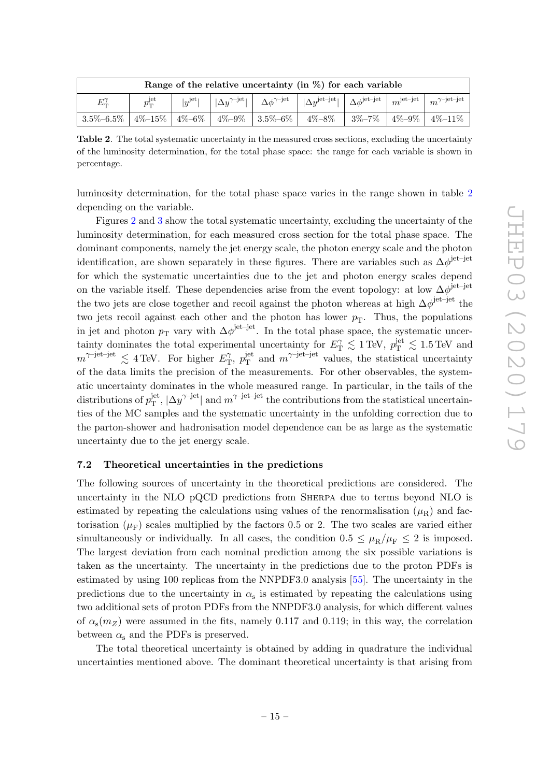<span id="page-15-1"></span>

| Range of the relative uncertainty (in $\%$ ) for each variable     |                 |                    |                                    |  |                                                                                                               |             |             |                                    |  |  |  |  |  |
|--------------------------------------------------------------------|-----------------|--------------------|------------------------------------|--|---------------------------------------------------------------------------------------------------------------|-------------|-------------|------------------------------------|--|--|--|--|--|
| $E_{\rm T}^{\gamma}$                                               | $p_T^{\rm jet}$ | $ y^{\text{jet}} $ | $ \Delta u^{\gamma-\mathrm{jet}} $ |  | $\Delta \phi^{\gamma-\rm jet}$   $ \Delta v^{\rm jet-jet} $   $\Delta \phi^{\rm jet-jet}$   $m^{\rm jet-jet}$ |             |             | $m^{\gamma\text{-jet}-\text{jet}}$ |  |  |  |  |  |
| $3.5\% - 6.5\% + 4\% - 15\% + 4\% - 6\% + 4\% - 9\% + 3.5\% - 6\%$ |                 |                    |                                    |  | $4\% - 8\%$                                                                                                   | $3\% - 7\%$ | $4\% - 9\%$ | $4\%$ – $11\%$                     |  |  |  |  |  |

Table 2. The total systematic uncertainty in the measured cross sections, excluding the uncertainty of the luminosity determination, for the total phase space: the range for each variable is shown in percentage.

luminosity determination, for the total phase space varies in the range shown in table [2](#page-15-1) depending on the variable.

Figures [2](#page-16-0) and [3](#page-17-0) show the total systematic uncertainty, excluding the uncertainty of the luminosity determination, for each measured cross section for the total phase space. The dominant components, namely the jet energy scale, the photon energy scale and the photon identification, are shown separately in these figures. There are variables such as  $\Delta\phi^{\text{jet}-\text{jet}}$ for which the systematic uncertainties due to the jet and photon energy scales depend on the variable itself. These dependencies arise from the event topology: at low  $\Delta\phi^{\text{jet-jet}}$ the two jets are close together and recoil against the photon whereas at high  $\Delta\phi^{\rm jet-jet}$  the two jets recoil against each other and the photon has lower  $p_T$ . Thus, the populations in jet and photon  $p_T$  vary with  $\Delta \phi^{jet-jet}$ . In the total phase space, the systematic uncertainty dominates the total experimental uncertainty for  $E_{\text{T}}^{\gamma} \lesssim 1 \,\text{TeV}$ ,  $p_{\text{T}}^{\text{jet}} \lesssim 1.5 \,\text{TeV}$  and  $m^{\gamma\text{-jet-jet}} \lesssim 4 \,\text{TeV}$ . For higher  $E_T^{\gamma}$  $T$ ,  $p_{\rm T}^{\rm jet}$  $j_{\text{T}}^{\text{jet}}$  and  $m^{\gamma-\text{jet}-\text{jet}}$  values, the statistical uncertainty of the data limits the precision of the measurements. For other observables, the systematic uncertainty dominates in the whole measured range. In particular, in the tails of the distributions of  $p_T^{\text{jet}}$  $T_{\rm T}^{\rm jet}, |\Delta y^{\gamma{\rm -jet}}|$  and  $m^{\gamma{\rm -jet-jet}}$  the contributions from the statistical uncertainties of the MC samples and the systematic uncertainty in the unfolding correction due to the parton-shower and hadronisation model dependence can be as large as the systematic uncertainty due to the jet energy scale.

#### <span id="page-15-0"></span>7.2 Theoretical uncertainties in the predictions

The following sources of uncertainty in the theoretical predictions are considered. The uncertainty in the NLO pQCD predictions from Sherpa due to terms beyond NLO is estimated by repeating the calculations using values of the renormalisation  $(\mu_R)$  and factorisation  $(\mu_F)$  scales multiplied by the factors 0.5 or 2. The two scales are varied either simultaneously or individually. In all cases, the condition  $0.5 \leq \mu_R/\mu_F \leq 2$  is imposed. The largest deviation from each nominal prediction among the six possible variations is taken as the uncertainty. The uncertainty in the predictions due to the proton PDFs is estimated by using 100 replicas from the NNPDF3.0 analysis [\[55\]](#page-31-3). The uncertainty in the predictions due to the uncertainty in  $\alpha_s$  is estimated by repeating the calculations using two additional sets of proton PDFs from the NNPDF3.0 analysis, for which different values of  $\alpha_{s}(m_Z)$  were assumed in the fits, namely 0.117 and 0.119; in this way, the correlation between  $\alpha_s$  and the PDFs is preserved.

The total theoretical uncertainty is obtained by adding in quadrature the individual uncertainties mentioned above. The dominant theoretical uncertainty is that arising from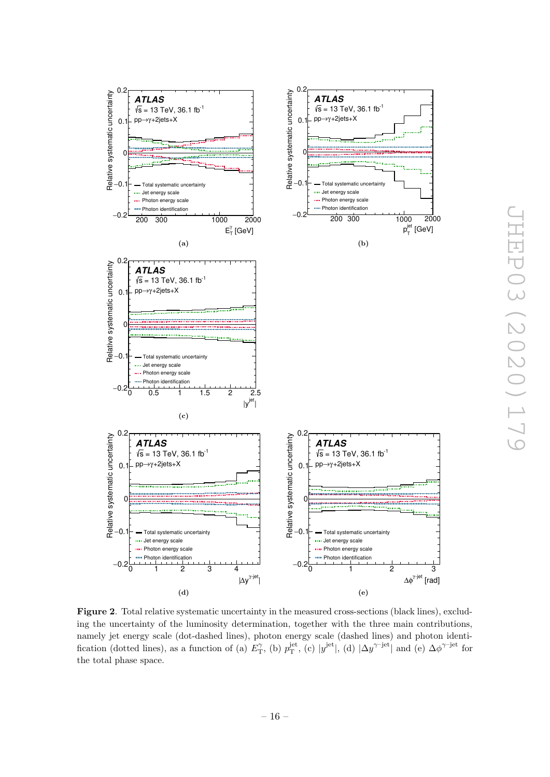<span id="page-16-0"></span>

Figure 2. Total relative systematic uncertainty in the measured cross-sections (black lines), excluding the uncertainty of the luminosity determination, together with the three main contributions, namely jet energy scale (dot-dashed lines), photon energy scale (dashed lines) and photon identification (dotted lines), as a function of (a)  $E_{\rm T}^{\gamma}$ , (b)  $p_{\rm T}^{\rm jet}$ , (c)  $|y^{\rm jet}|$ , (d)  $|\Delta y^{\gamma\rm{-jet}}|$  and (e)  $\Delta \phi^{\gamma\rm{-jet}}$  for the total phase space.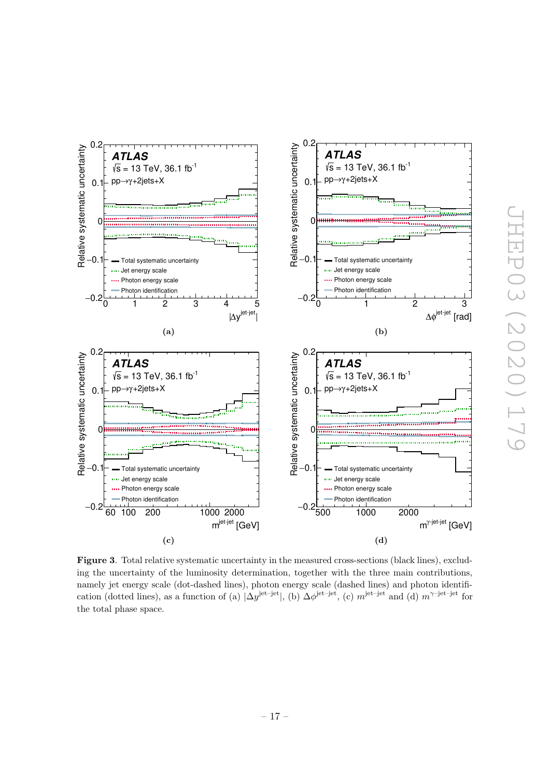<span id="page-17-0"></span>

Figure 3. Total relative systematic uncertainty in the measured cross-sections (black lines), excluding the uncertainty of the luminosity determination, together with the three main contributions, namely jet energy scale (dot-dashed lines), photon energy scale (dashed lines) and photon identification (dotted lines), as a function of (a)  $|\Delta y^{\text{jet}-\text{jet}}|$ , (b)  $\Delta \phi^{\text{jet}-\text{jet}}$ , (c)  $m^{\text{jet}-\text{jet}}$  and (d)  $m^{\gamma-\text{jet}-\text{jet}}$  for the total phase space.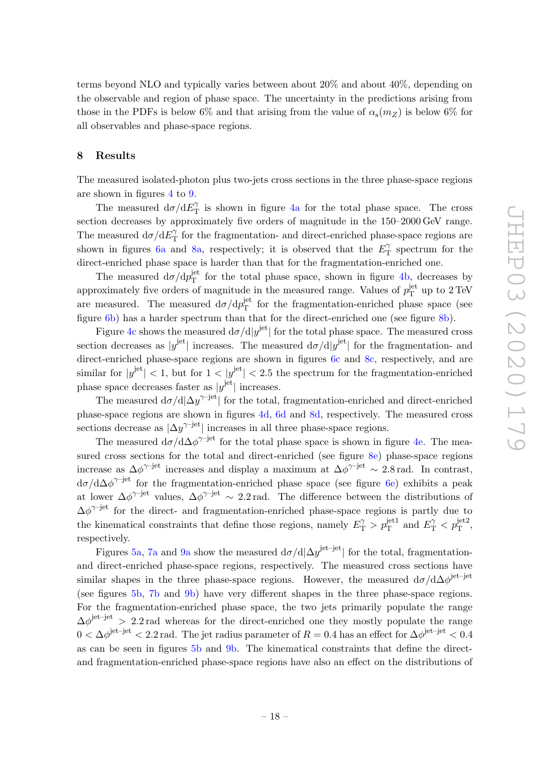terms beyond NLO and typically varies between about 20% and about 40%, depending on the observable and region of phase space. The uncertainty in the predictions arising from those in the PDFs is below 6% and that arising from the value of  $\alpha_{s}(m_Z)$  is below 6% for all observables and phase-space regions.

# <span id="page-18-0"></span>8 Results

The measured isolated-photon plus two-jets cross sections in the three phase-space regions are shown in figures [4](#page-19-0) to [9.](#page-24-0)

The measured  $d\sigma/dE_T^{\gamma}$  $\gamma$  is shown in figure [4a](#page-19-1) for the total phase space. The cross section decreases by approximately five orders of magnitude in the 150–2000 GeV range. The measured  $d\sigma/dE_T^{\gamma}$  $T_{\text{T}}^{\gamma}$  for the fragmentation- and direct-enriched phase-space regions are shown in figures [6a](#page-21-0) and [8a,](#page-23-0) respectively; it is observed that the  $E_{\perp}^{\gamma}$  $T_{\rm T}^{\gamma}$  spectrum for the direct-enriched phase space is harder than that for the fragmentation-enriched one.

The measured  $d\sigma/dp_T^{\rm jet}$  $T<sup>jet</sup>$  for the total phase space, shown in figure [4b,](#page-19-2) decreases by approximately five orders of magnitude in the measured range. Values of  $p_T^{\text{jet}}$  $T_T^{\text{jet}}$  up to  $2 \text{TeV}$ are measured. The measured  $d\sigma/dp_T^{\rm jet}$  $T<sub>T</sub><sup>jet</sup>$  for the fragmentation-enriched phase space (see figure [6b\)](#page-21-1) has a harder spectrum than that for the direct-enriched one (see figure [8b\)](#page-23-1).

Figure [4c](#page-19-3) shows the measured  $d\sigma/d|y^{\rm jet}|$  for the total phase space. The measured cross section decreases as  $|y^{\text{jet}}|$  increases. The measured  $d\sigma/d|y^{\text{jet}}|$  for the fragmentation- and direct-enriched phase-space regions are shown in figures [6c](#page-21-2) and [8c,](#page-23-2) respectively, and are similar for  $|y^{\text{jet}}| < 1$ , but for  $1 < |y^{\text{jet}}| < 2.5$  the spectrum for the fragmentation-enriched phase space decreases faster as  $|y^{\text{jet}}|$  increases.

The measured  $d\sigma/d|\Delta y^{\gamma-jet}|$  for the total, fragmentation-enriched and direct-enriched phase-space regions are shown in figures [4d,](#page-19-4) [6d](#page-21-3) and [8d,](#page-23-3) respectively. The measured cross sections decrease as  $|\Delta y^{\gamma-jet}|$  increases in all three phase-space regions.

The measured  $d\sigma/d\Delta\phi^{\gamma-jet}$  for the total phase space is shown in figure [4e.](#page-19-5) The mea-sured cross sections for the total and direct-enriched (see figure [8e\)](#page-23-4) phase-space regions increase as  $\Delta \phi^{\gamma - \text{jet}}$  increases and display a maximum at  $\Delta \phi^{\gamma - \text{jet}} \sim 2.8 \text{ rad.}$  In contrast,  $d\sigma/d\Delta\phi^{\gamma-jet}$  for the fragmentation-enriched phase space (see figure [6e\)](#page-21-4) exhibits a peak at lower  $\Delta\phi^{\gamma\text{-jet}}$  values,  $\Delta\phi^{\gamma\text{-jet}} \sim 2.2 \text{ rad}$ . The difference between the distributions of  $\Delta \phi^{\gamma - \text{jet}}$  for the direct- and fragmentation-enriched phase-space regions is partly due to the kinematical constraints that define those regions, namely  $E_{\rm T}^{\gamma} > p_{\rm T}^{\rm jet1}$  and  $E_{\rm T}^{\gamma} < p_{\rm T}^{\rm jet2}$ , respectively.

Figures [5a,](#page-20-0) [7a](#page-22-0) and [9a](#page-24-1) show the measured  $d\sigma/d|\Delta y^{\text{jet}-\text{jet}}|$  for the total, fragmentationand direct-enriched phase-space regions, respectively. The measured cross sections have similar shapes in the three phase-space regions. However, the measured  $d\sigma/d\Delta\phi^{\rm jet-jet}$ (see figures [5b,](#page-20-1) [7b](#page-22-1) and [9b\)](#page-24-2) have very different shapes in the three phase-space regions. For the fragmentation-enriched phase space, the two jets primarily populate the range  $\Delta \phi^{\text{jet-jet}} > 2.2 \text{ rad}$  whereas for the direct-enriched one they mostly populate the range  $0<\Delta\phi^\mathrm{jet-jet}< 2.2\,\mathrm{rad}.$  The jet radius parameter of  $R=0.4$  has an effect for  $\Delta\phi^\mathrm{jet-jet}< 0.4$ as can be seen in figures [5b](#page-20-1) and [9b.](#page-24-2) The kinematical constraints that define the directand fragmentation-enriched phase-space regions have also an effect on the distributions of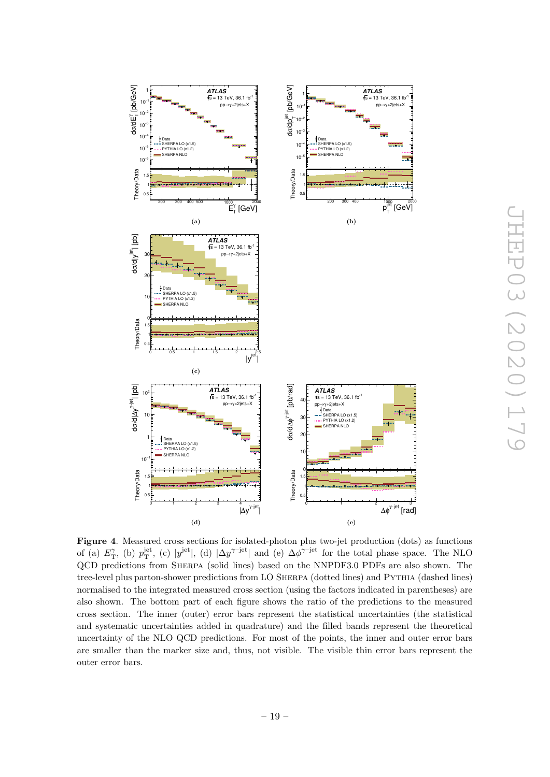<span id="page-19-3"></span><span id="page-19-1"></span><span id="page-19-0"></span>

<span id="page-19-2"></span>JHEP03 (2020)179 JHEP03(2020)179

<span id="page-19-5"></span><span id="page-19-4"></span>Figure 4. Measured cross sections for isolated-photon plus two-jet production (dots) as functions of (a)  $E_T^{\gamma}$ , (b)  $p_T^{\text{jet}}$ , (c)  $|y^{\text{jet}}|$ , (d)  $|\Delta y^{\gamma-\text{jet}}|$  and (e)  $\Delta \phi^{\gamma-\text{jet}}$  for the total phase space. The NLO QCD predictions from Sherpa (solid lines) based on the NNPDF3.0 PDFs are also shown. The tree-level plus parton-shower predictions from LO Sherpa (dotted lines) and Pythia (dashed lines) normalised to the integrated measured cross section (using the factors indicated in parentheses) are also shown. The bottom part of each figure shows the ratio of the predictions to the measured cross section. The inner (outer) error bars represent the statistical uncertainties (the statistical and systematic uncertainties added in quadrature) and the filled bands represent the theoretical uncertainty of the NLO QCD predictions. For most of the points, the inner and outer error bars are smaller than the marker size and, thus, not visible. The visible thin error bars represent the outer error bars.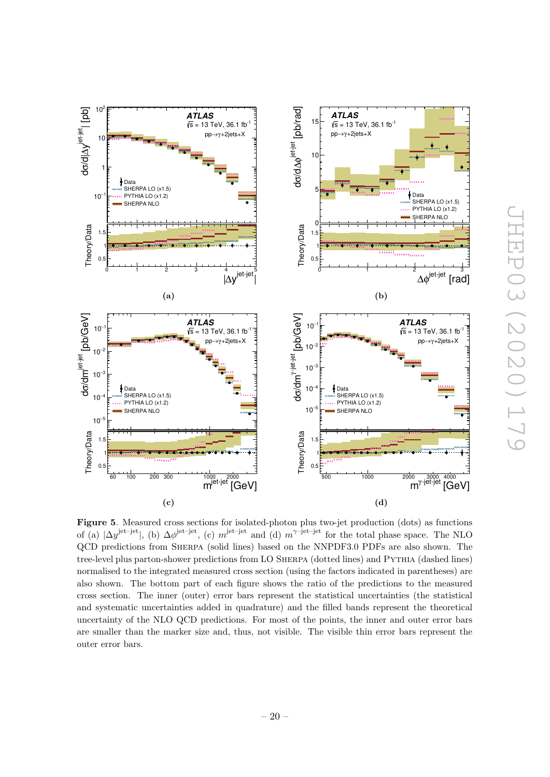

<span id="page-20-3"></span>(d)

Figure 5. Measured cross sections for isolated-photon plus two-jet production (dots) as functions of (a)  $|\Delta y^{\text{jet-jet}}|$ , (b)  $\Delta \phi^{\text{jet-jet}}$ , (c)  $m^{\text{jet-jet}}$  and (d)  $m^{\gamma-\text{jet-jet}}$  for the total phase space. The NLO QCD predictions from Sherpa (solid lines) based on the NNPDF3.0 PDFs are also shown. The tree-level plus parton-shower predictions from LO Sherpa (dotted lines) and Pythia (dashed lines) normalised to the integrated measured cross section (using the factors indicated in parentheses) are also shown. The bottom part of each figure shows the ratio of the predictions to the measured cross section. The inner (outer) error bars represent the statistical uncertainties (the statistical and systematic uncertainties added in quadrature) and the filled bands represent the theoretical uncertainty of the NLO QCD predictions. For most of the points, the inner and outer error bars are smaller than the marker size and, thus, not visible. The visible thin error bars represent the outer error bars.

<span id="page-20-0"></span>| [pb]

dσ/d∣∆y<sup>jet-jet</sup>

<sup>−</sup><sup>1</sup> 10

0.5 ¶1 1.5

Theory/Data

<span id="page-20-2"></span>[pb/GeV]

/dm σd

<sup>−</sup><sup>3</sup> 10

<sup>−</sup><sup>2</sup> 10

<sup>−</sup><sup>1</sup> 10

<sup>−</sup><sup>4</sup> 10

 $10<sup>-</sup>$ 

Theory/Data  $\Omega$ . 1**F** 1.5

jet-jet

1 ⊧

SHERPA LO (x1.5) PYTHIA LO (x1.2) SHERPA NLO

Data

**ATLAS**

 $\begin{array}{ccc} 0 & 1 & 2 & 3 & 4 \ \Delta y^{\text{jet-jet}} & | \end{array}$ 

[GeV] jet-jet m 60 100 200 300 1000 2000

(c)

**ATLAS**

 $\sqrt{s}$  = 13 TeV, 36.1 fb pp→γ+2jets+X

(a)

SHERPA LO (x1.5) PYTHIA LO (x1.2) SHERPA NLO

Data

 $\sqrt{s}$  = 13 TeV, 36.1 fb pp→γ+2jets+X

<span id="page-20-1"></span>|

10

1<sub>0</sub>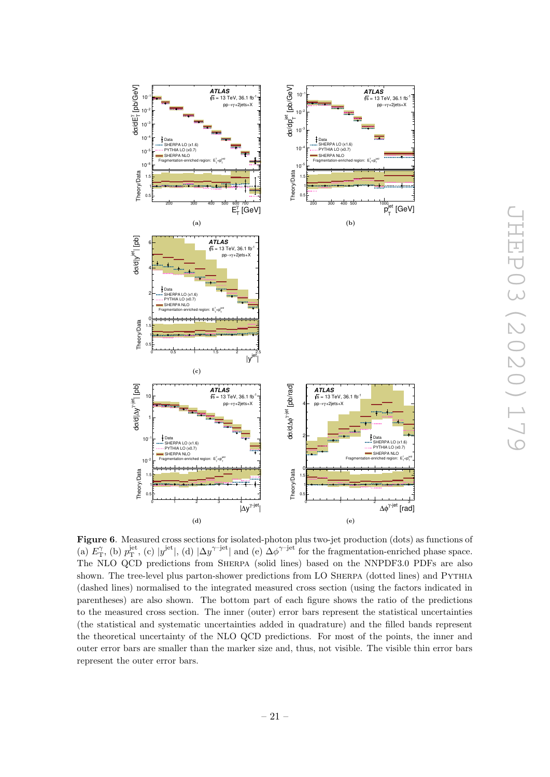<span id="page-21-2"></span><span id="page-21-1"></span><span id="page-21-0"></span>

<span id="page-21-4"></span><span id="page-21-3"></span>Figure 6. Measured cross sections for isolated-photon plus two-jet production (dots) as functions of (a)  $E_{\rm T}^{\gamma}$ , (b)  $p_{\rm T}^{\rm jet}$ , (c)  $|y^{\rm jet}|$ , (d)  $|\Delta y^{\gamma\rm{-jet}}|$  and (e)  $\Delta \phi^{\gamma\rm{-jet}}$  for the fragmentation-enriched phase space. The NLO QCD predictions from Sherpa (solid lines) based on the NNPDF3.0 PDFs are also shown. The tree-level plus parton-shower predictions from LO Sherpa (dotted lines) and Pythia (dashed lines) normalised to the integrated measured cross section (using the factors indicated in parentheses) are also shown. The bottom part of each figure shows the ratio of the predictions to the measured cross section. The inner (outer) error bars represent the statistical uncertainties (the statistical and systematic uncertainties added in quadrature) and the filled bands represent the theoretical uncertainty of the NLO QCD predictions. For most of the points, the inner and outer error bars are smaller than the marker size and, thus, not visible. The visible thin error bars represent the outer error bars.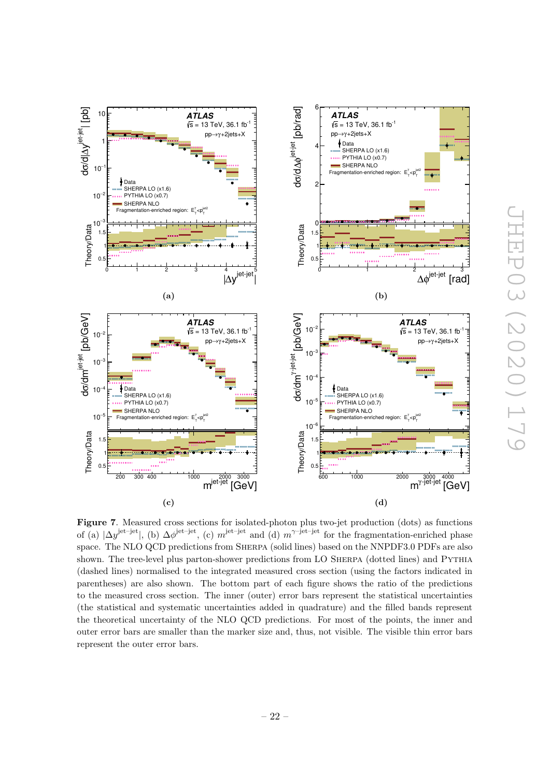<span id="page-22-2"></span><span id="page-22-1"></span><span id="page-22-0"></span>

<span id="page-22-3"></span>Figure 7. Measured cross sections for isolated-photon plus two-jet production (dots) as functions of (a)  $|\Delta y^{\text{jet-jet}}|$ , (b)  $\Delta \phi^{\text{jet-jet}}$ , (c)  $m^{\text{jet-jet}}$  and (d)  $m^{\gamma \text{-jet-jet}}$  for the fragmentation-enriched phase space. The NLO QCD predictions from Sherpa (solid lines) based on the NNPDF3.0 PDFs are also shown. The tree-level plus parton-shower predictions from LO SHERPA (dotted lines) and PYTHIA (dashed lines) normalised to the integrated measured cross section (using the factors indicated in parentheses) are also shown. The bottom part of each figure shows the ratio of the predictions to the measured cross section. The inner (outer) error bars represent the statistical uncertainties (the statistical and systematic uncertainties added in quadrature) and the filled bands represent the theoretical uncertainty of the NLO QCD predictions. For most of the points, the inner and outer error bars are smaller than the marker size and, thus, not visible. The visible thin error bars represent the outer error bars.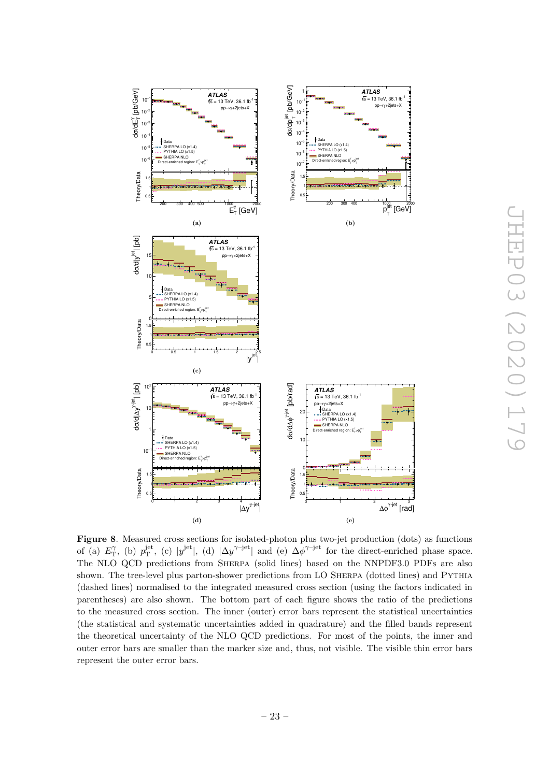<span id="page-23-2"></span><span id="page-23-1"></span><span id="page-23-0"></span>

<span id="page-23-4"></span><span id="page-23-3"></span>Figure 8. Measured cross sections for isolated-photon plus two-jet production (dots) as functions of (a)  $E_{\rm T}^{\gamma}$ , (b)  $p_{\rm T}^{\rm jet}$ , (c)  $|y^{\rm jet}|$ , (d)  $|\Delta y^{\gamma - \rm jet}|$  and (e)  $\Delta \phi^{\gamma - \rm jet}$  for the direct-enriched phase space. The NLO QCD predictions from Sherpa (solid lines) based on the NNPDF3.0 PDFs are also shown. The tree-level plus parton-shower predictions from LO Sherpa (dotted lines) and Pythia (dashed lines) normalised to the integrated measured cross section (using the factors indicated in parentheses) are also shown. The bottom part of each figure shows the ratio of the predictions to the measured cross section. The inner (outer) error bars represent the statistical uncertainties (the statistical and systematic uncertainties added in quadrature) and the filled bands represent the theoretical uncertainty of the NLO QCD predictions. For most of the points, the inner and outer error bars are smaller than the marker size and, thus, not visible. The visible thin error bars represent the outer error bars.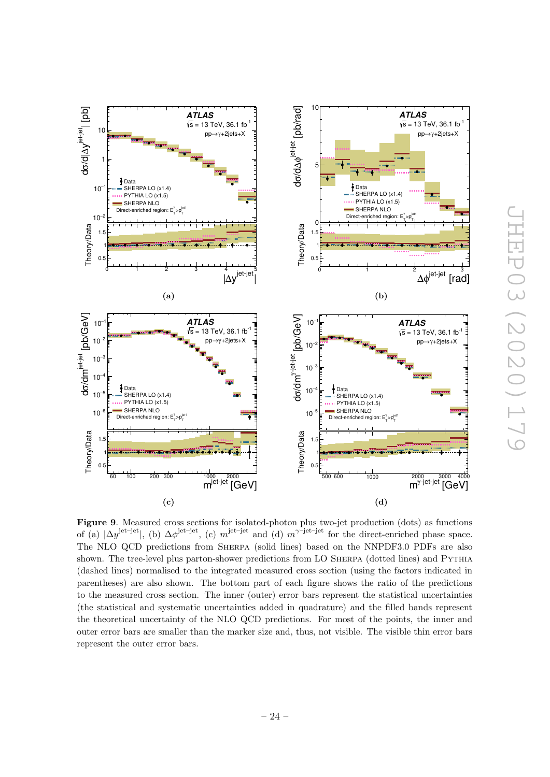<span id="page-24-3"></span><span id="page-24-1"></span><span id="page-24-0"></span>

<span id="page-24-2"></span>JHEP03 (2020) 179 JHEP03(2020)179

<span id="page-24-4"></span>Figure 9. Measured cross sections for isolated-photon plus two-jet production (dots) as functions of (a)  $|\Delta y^{\text{jet-jet}}|$ , (b)  $\Delta \phi^{\text{jet-jet}}$ , (c)  $m^{\text{jet-jet}}$  and (d)  $m^{\gamma \text{-jet-jet}}$  for the direct-enriched phase space. The NLO QCD predictions from Sherpa (solid lines) based on the NNPDF3.0 PDFs are also shown. The tree-level plus parton-shower predictions from LO SHERPA (dotted lines) and PYTHIA (dashed lines) normalised to the integrated measured cross section (using the factors indicated in parentheses) are also shown. The bottom part of each figure shows the ratio of the predictions to the measured cross section. The inner (outer) error bars represent the statistical uncertainties (the statistical and systematic uncertainties added in quadrature) and the filled bands represent the theoretical uncertainty of the NLO QCD predictions. For most of the points, the inner and outer error bars are smaller than the marker size and, thus, not visible. The visible thin error bars represent the outer error bars.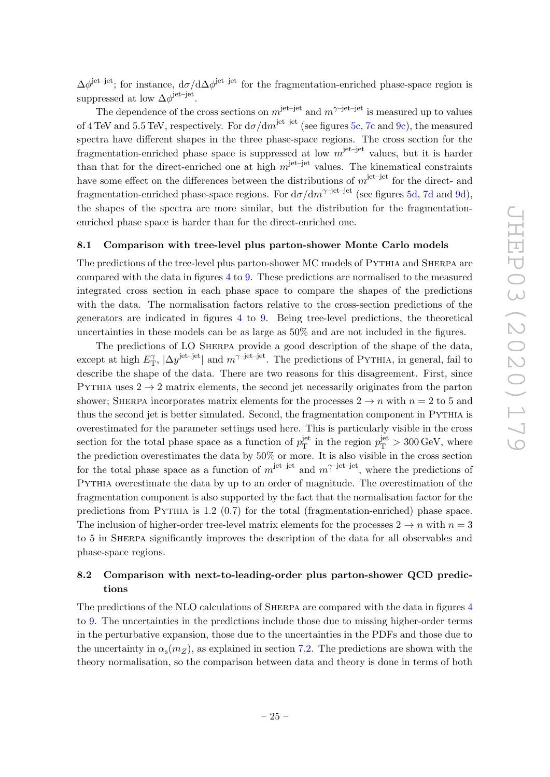$\Delta\phi^{\text{jet-jet}}$ ; for instance,  $d\sigma/d\Delta\phi^{\text{jet-jet}}$  for the fragmentation-enriched phase-space region is suppressed at low  $\Delta\phi^{\rm jet-jet}$ .

The dependence of the cross sections on  $m^{jet-jet}$  and  $m^{\gamma-jet-jet}$  is measured up to values of 4 TeV and 5.5 TeV, respectively. For  $d\sigma/dm^{jet-jet}$  (see figures [5c,](#page-20-2) [7c](#page-22-2) and [9c\)](#page-24-3), the measured spectra have different shapes in the three phase-space regions. The cross section for the fragmentation-enriched phase space is suppressed at low  $m^{\text{jet-jet}}$  values, but it is harder than that for the direct-enriched one at high  $m^{\text{jet}-\text{jet}}$  values. The kinematical constraints have some effect on the differences between the distributions of  $m^{\text{jet}-\text{jet}}$  for the direct- and fragmentation-enriched phase-space regions. For  $d\sigma/dm^{\gamma-jet-jet}$  (see figures [5d,](#page-20-3) [7d](#page-22-3) and [9d\)](#page-24-4), the shapes of the spectra are more similar, but the distribution for the fragmentationenriched phase space is harder than for the direct-enriched one.

#### <span id="page-25-0"></span>8.1 Comparison with tree-level plus parton-shower Monte Carlo models

The predictions of the tree-level plus parton-shower MC models of Pythia and Sherpa are compared with the data in figures [4](#page-19-0) to [9.](#page-24-0) These predictions are normalised to the measured integrated cross section in each phase space to compare the shapes of the predictions with the data. The normalisation factors relative to the cross-section predictions of the generators are indicated in figures [4](#page-19-0) to [9.](#page-24-0) Being tree-level predictions, the theoretical uncertainties in these models can be as large as 50% and are not included in the figures.

The predictions of LO Sherpa provide a good description of the shape of the data, except at high  $E_{\text{T}}^{\gamma}$  $T_{\rm T}$ ,  $|\Delta y^{\rm jet-jet}|$  and  $m^{\gamma\rm-jet-jet}$ . The predictions of PYTHIA, in general, fail to describe the shape of the data. There are two reasons for this disagreement. First, since PYTHIA uses  $2 \rightarrow 2$  matrix elements, the second jet necessarily originates from the parton shower; SHERPA incorporates matrix elements for the processes  $2 \rightarrow n$  with  $n = 2$  to 5 and thus the second jet is better simulated. Second, the fragmentation component in Pythia is overestimated for the parameter settings used here. This is particularly visible in the cross section for the total phase space as a function of  $p_T^{\text{jet}}$  $j_T^{\text{jet}}$  in the region  $p_T^{\text{jet}} > 300 \,\text{GeV}$ , where the prediction overestimates the data by 50% or more. It is also visible in the cross section for the total phase space as a function of  $m^{\text{jet-jet}}$  and  $m^{\gamma-\text{jet-jet}}$ , where the predictions of Pythia overestimate the data by up to an order of magnitude. The overestimation of the fragmentation component is also supported by the fact that the normalisation factor for the predictions from Pythia is 1.2 (0.7) for the total (fragmentation-enriched) phase space. The inclusion of higher-order tree-level matrix elements for the processes  $2 \rightarrow n$  with  $n = 3$ to 5 in Sherpa significantly improves the description of the data for all observables and phase-space regions.

# <span id="page-25-1"></span>8.2 Comparison with next-to-leading-order plus parton-shower QCD predictions

The predictions of the NLO calculations of Sherpa are compared with the data in figures [4](#page-19-0) to [9.](#page-24-0) The uncertainties in the predictions include those due to missing higher-order terms in the perturbative expansion, those due to the uncertainties in the PDFs and those due to the uncertainty in  $\alpha_{s}(m_Z)$ , as explained in section [7.2.](#page-15-0) The predictions are shown with the theory normalisation, so the comparison between data and theory is done in terms of both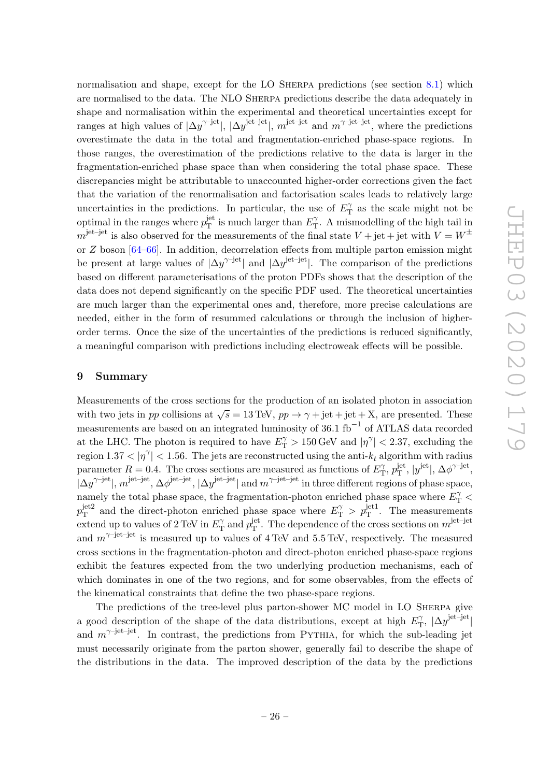normalisation and shape, except for the LO SHERPA predictions (see section [8.1\)](#page-25-0) which are normalised to the data. The NLO Sherpa predictions describe the data adequately in shape and normalisation within the experimental and theoretical uncertainties except for ranges at high values of  $|\Delta y^{\gamma-jet}|$ ,  $|\Delta y^{\text{jet}-\text{jet}}|$ ,  $m^{\text{jet}-\text{jet}}$  and  $m^{\gamma-jet-jet}$ , where the predictions overestimate the data in the total and fragmentation-enriched phase-space regions. In those ranges, the overestimation of the predictions relative to the data is larger in the fragmentation-enriched phase space than when considering the total phase space. These discrepancies might be attributable to unaccounted higher-order corrections given the fact that the variation of the renormalisation and factorisation scales leads to relatively large uncertainties in the predictions. In particular, the use of  $E_{\rm T}^{\gamma}$  $T_{\rm T}^{\gamma}$  as the scale might not be optimal in the ranges where  $p_T^{\text{jet}}$ <sup>jet</sup> is much larger than  $E_{\text{T}}^{\gamma}$  $T<sub>T</sub>$ . A mismodelling of the high tail in  $m^{\text{jet-jet}}$  is also observed for the measurements of the final state  $V + \text{jet} + \text{jet}$  with  $V = W^{\pm}$ or Z boson [\[64–](#page-31-11)[66\]](#page-31-12). In addition, decorrelation effects from multiple parton emission might be present at large values of  $|\Delta y^{\gamma-jet}|$  and  $|\Delta y^{\text{jet}-\text{jet}}|$ . The comparison of the predictions based on different parameterisations of the proton PDFs shows that the description of the data does not depend significantly on the specific PDF used. The theoretical uncertainties are much larger than the experimental ones and, therefore, more precise calculations are needed, either in the form of resummed calculations or through the inclusion of higherorder terms. Once the size of the uncertainties of the predictions is reduced significantly, a meaningful comparison with predictions including electroweak effects will be possible.

#### <span id="page-26-0"></span>9 Summary

Measurements of the cross sections for the production of an isolated photon in association with two jets in pp collisions at  $\sqrt{s} = 13$  TeV,  $pp \rightarrow \gamma + \text{jet} + \text{jet} + \text{X}$ , are presented. These measurements are based on an integrated luminosity of 36.1 fb<sup>-1</sup> of ATLAS data recorded at the LHC. The photon is required to have  $E_{\rm T}^{\gamma} > 150 \,\text{GeV}$  and  $|\eta^{\gamma}| < 2.37$ , excluding the region  $1.37 < |\eta^{\gamma}| < 1.56$ . The jets are reconstructed using the anti- $k_t$  algorithm with radius parameter  $R = 0.4$ . The cross sections are measured as functions of  $E_{\rm T}^{\gamma}$  $v_{\rm T}^{\gamma},\, p_{\rm T}^{\rm jet}$  $j^{\text{jet}}_{\text{T}}$ ,  $|y^{\text{jet}}|$ ,  $\Delta \phi^{\gamma \text{-jet}}$ ,  $|\Delta y^{\gamma-\text{jet}}|$ ,  $m^{\text{jet}-\text{jet}}, \Delta \phi^{\text{jet}-\text{jet}}, |\Delta y^{\text{jet}-\text{jet}}|$  and  $m^{\gamma-\text{jet}-\text{jet}}$  in three different regions of phase space, namely the total phase space, the fragmentation-photon enriched phase space where  $E_{\rm T}^{\gamma}$  $p_{\rm T}^{\rm jet2}$  $T_{\rm T}^{\rm jet2}$  and the direct-photon enriched phase space where  $E_{\rm T}^{\gamma} > p_{\rm T}^{\rm jet1}$ . The measurements extend up to values of 2 TeV in  $E_{\text{T}}^{\gamma}$  $p_{\rm T}^{\gamma}$  and  $p_{\rm T}^{\rm jet}$  $T<sub>T</sub><sup>jet</sup>$ . The dependence of the cross sections on  $m<sup>jet-jet</sup>$ and  $m^{\gamma-\text{jet}-\text{jet}}$  is measured up to values of 4 TeV and 5.5 TeV, respectively. The measured cross sections in the fragmentation-photon and direct-photon enriched phase-space regions exhibit the features expected from the two underlying production mechanisms, each of which dominates in one of the two regions, and for some observables, from the effects of the kinematical constraints that define the two phase-space regions.

The predictions of the tree-level plus parton-shower MC model in LO Sherpa give a good description of the shape of the data distributions, except at high  $E_{\rm T}^{\gamma}$  $T$ ,  $|\Delta y^{\mathrm{jet-jet}}|$ and  $m^{\gamma-jet-jet}$ . In contrast, the predictions from PYTHIA, for which the sub-leading jet must necessarily originate from the parton shower, generally fail to describe the shape of the distributions in the data. The improved description of the data by the predictions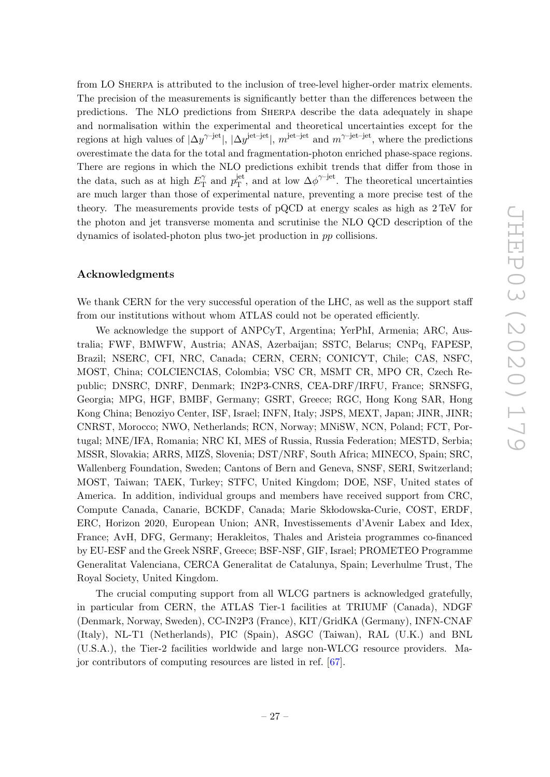from LO Sherpa is attributed to the inclusion of tree-level higher-order matrix elements. The precision of the measurements is significantly better than the differences between the predictions. The NLO predictions from Sherpa describe the data adequately in shape and normalisation within the experimental and theoretical uncertainties except for the regions at high values of  $|\Delta y^{\gamma-jet}|$ ,  $|\Delta y^{\text{jet}-\text{jet}}|$ ,  $m^{\text{jet}-\text{jet}}$  and  $m^{\gamma-\text{jet}-\text{jet}}$ , where the predictions overestimate the data for the total and fragmentation-photon enriched phase-space regions. There are regions in which the NLO predictions exhibit trends that differ from those in the data, such as at high  $E_{\rm T}^{\gamma}$  $v_{\rm T}^{\gamma}$  and  $p_{\rm T}^{\rm jet}$  $T<sup>jet</sup>$ , and at low  $\Delta \phi^{\gamma-jet}$ . The theoretical uncertainties are much larger than those of experimental nature, preventing a more precise test of the theory. The measurements provide tests of pQCD at energy scales as high as 2 TeV for the photon and jet transverse momenta and scrutinise the NLO QCD description of the dynamics of isolated-photon plus two-jet production in pp collisions.

# Acknowledgments

We thank CERN for the very successful operation of the LHC, as well as the support staff from our institutions without whom ATLAS could not be operated efficiently.

We acknowledge the support of ANPCyT, Argentina; YerPhI, Armenia; ARC, Australia; FWF, BMWFW, Austria; ANAS, Azerbaijan; SSTC, Belarus; CNPq, FAPESP, Brazil; NSERC, CFI, NRC, Canada; CERN, CERN; CONICYT, Chile; CAS, NSFC, MOST, China; COLCIENCIAS, Colombia; VSC CR, MSMT CR, MPO CR, Czech Republic; DNSRC, DNRF, Denmark; IN2P3-CNRS, CEA-DRF/IRFU, France; SRNSFG, Georgia; MPG, HGF, BMBF, Germany; GSRT, Greece; RGC, Hong Kong SAR, Hong Kong China; Benoziyo Center, ISF, Israel; INFN, Italy; JSPS, MEXT, Japan; JINR, JINR; CNRST, Morocco; NWO, Netherlands; RCN, Norway; MNiSW, NCN, Poland; FCT, Portugal; MNE/IFA, Romania; NRC KI, MES of Russia, Russia Federation; MESTD, Serbia; MSSR, Slovakia; ARRS, MIZS, Slovenia; DST/NRF, South Africa; MINECO, Spain; SRC, Wallenberg Foundation, Sweden; Cantons of Bern and Geneva, SNSF, SERI, Switzerland; MOST, Taiwan; TAEK, Turkey; STFC, United Kingdom; DOE, NSF, United states of America. In addition, individual groups and members have received support from CRC, Compute Canada, Canarie, BCKDF, Canada; Marie Skłodowska-Curie, COST, ERDF, ERC, Horizon 2020, European Union; ANR, Investissements d'Avenir Labex and Idex, France; AvH, DFG, Germany; Herakleitos, Thales and Aristeia programmes co-financed by EU-ESF and the Greek NSRF, Greece; BSF-NSF, GIF, Israel; PROMETEO Programme Generalitat Valenciana, CERCA Generalitat de Catalunya, Spain; Leverhulme Trust, The Royal Society, United Kingdom.

The crucial computing support from all WLCG partners is acknowledged gratefully, in particular from CERN, the ATLAS Tier-1 facilities at TRIUMF (Canada), NDGF (Denmark, Norway, Sweden), CC-IN2P3 (France), KIT/GridKA (Germany), INFN-CNAF (Italy), NL-T1 (Netherlands), PIC (Spain), ASGC (Taiwan), RAL (U.K.) and BNL (U.S.A.), the Tier-2 facilities worldwide and large non-WLCG resource providers. Major contributors of computing resources are listed in ref. [\[67\]](#page-31-13).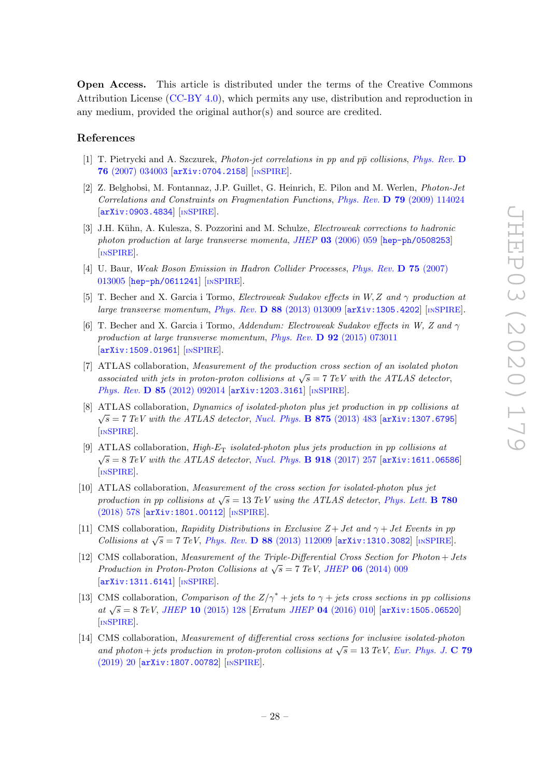Open Access. This article is distributed under the terms of the Creative Commons Attribution License [\(CC-BY 4.0\)](https://creativecommons.org/licenses/by/4.0/), which permits any use, distribution and reproduction in any medium, provided the original author(s) and source are credited.

# References

- <span id="page-28-0"></span>[1] T. Pietrycki and A. Szczurek, *Photon-jet correlations in pp and*  $p\bar{p}$  *collisions, [Phys. Rev.](https://doi.org/10.1103/PhysRevD.76.034003)* D 76 [\(2007\) 034003](https://doi.org/10.1103/PhysRevD.76.034003) [[arXiv:0704.2158](https://arxiv.org/abs/0704.2158)] [IN[SPIRE](https://inspirehep.net/search?p=find+EPRINT+arXiv:0704.2158)].
- <span id="page-28-1"></span>[2] Z. Belghobsi, M. Fontannaz, J.P. Guillet, G. Heinrich, E. Pilon and M. Werlen, Photon-Jet Correlations and Constraints on Fragmentation Functions, Phys. Rev. D 79 [\(2009\) 114024](https://doi.org/10.1103/PhysRevD.79.114024) [[arXiv:0903.4834](https://arxiv.org/abs/0903.4834)] [IN[SPIRE](https://inspirehep.net/search?p=find+EPRINT+arXiv:0903.4834)].
- <span id="page-28-2"></span>[3] J.H. Kühn, A. Kulesza, S. Pozzorini and M. Schulze, *Electroweak corrections to hadronic* photon production at large transverse momenta, JHEP 03 [\(2006\) 059](https://doi.org/10.1088/1126-6708/2006/03/059) [[hep-ph/0508253](https://arxiv.org/abs/hep-ph/0508253)] [IN[SPIRE](https://inspirehep.net/search?p=find+EPRINT+hep-ph/0508253)].
- [4] U. Baur, Weak Boson Emission in Hadron Collider Processes, [Phys. Rev.](https://doi.org/10.1103/PhysRevD.75.013005) D 75 (2007) [013005](https://doi.org/10.1103/PhysRevD.75.013005) [[hep-ph/0611241](https://arxiv.org/abs/hep-ph/0611241)] [IN[SPIRE](https://inspirehep.net/search?p=find+EPRINT+hep-ph/0611241)].
- [5] T. Becher and X. Garcia i Tormo, Electroweak Sudakov effects in W, Z and γ production at large transverse momentum, Phys. Rev. D 88 [\(2013\) 013009](https://doi.org/10.1103/PhysRevD.88.013009) [[arXiv:1305.4202](https://arxiv.org/abs/1305.4202)] [IN[SPIRE](https://inspirehep.net/search?p=find+EPRINT+arXiv:1305.4202)].
- <span id="page-28-3"></span>[6] T. Becher and X. Garcia i Tormo, Addendum: Electroweak Sudakov effects in W, Z and  $\gamma$ production at large transverse momentum, Phys. Rev. D 92 [\(2015\) 073011](https://doi.org/10.1103/PhysRevD.92.073011) [[arXiv:1509.01961](https://arxiv.org/abs/1509.01961)] [IN[SPIRE](https://inspirehep.net/search?p=find+EPRINT+arXiv:1509.01961)].
- <span id="page-28-4"></span>[7] ATLAS collaboration, Measurement of the production cross section of an isolated photon associated with jets in proton-proton collisions at  $\sqrt{s} = 7$  TeV with the ATLAS detector, Phys. Rev. D 85 [\(2012\) 092014](https://doi.org/10.1103/PhysRevD.85.092014) [[arXiv:1203.3161](https://arxiv.org/abs/1203.3161)] [IN[SPIRE](https://inspirehep.net/search?p=find+EPRINT+arXiv:1203.3161)].
- <span id="page-28-8"></span>[8] ATLAS collaboration, Dynamics of isolated-photon plus jet production in pp collisions at  $\sqrt{s}$  = 7 TeV with the ATLAS detector, [Nucl. Phys.](https://doi.org/10.1016/j.nuclphysb.2013.07.025) **B 875** (2013) 483 [[arXiv:1307.6795](https://arxiv.org/abs/1307.6795)] [IN[SPIRE](https://inspirehep.net/search?p=find+EPRINT+arXiv:1307.6795)].
- <span id="page-28-7"></span>[9] ATLAS collaboration,  $High-E_T$  isolated-photon plus jets production in pp collisions at  $\sqrt{s} = 8 \text{ TeV}$  with the ATLAS detector, [Nucl. Phys.](https://doi.org/10.1016/j.nuclphysb.2017.03.006) **B** 918 (2017) 257 [[arXiv:1611.06586](https://arxiv.org/abs/1611.06586)] [IN[SPIRE](https://inspirehep.net/search?p=find+EPRINT+arXiv:1611.06586)].
- <span id="page-28-5"></span>[10] ATLAS collaboration, Measurement of the cross section for isolated-photon plus jet production in pp collisions at  $\sqrt{s} = 13 \text{ TeV}$  using the ATLAS detector, [Phys. Lett.](https://doi.org/10.1016/j.physletb.2018.03.035) **B** 780 [\(2018\) 578](https://doi.org/10.1016/j.physletb.2018.03.035) [[arXiv:1801.00112](https://arxiv.org/abs/1801.00112)] [IN[SPIRE](https://inspirehep.net/search?p=find+EPRINT+arXiv:1801.00112)].
- <span id="page-28-6"></span>[11] CMS collaboration, Rapidity Distributions in Exclusive  $Z + Jet$  and  $\gamma + Jet$  Events in pp Collisions at  $\sqrt{s}$  = 7 TeV, Phys. Rev. **D** 88 [\(2013\) 112009](https://doi.org/10.1103/PhysRevD.88.112009) [[arXiv:1310.3082](https://arxiv.org/abs/1310.3082)] [IN[SPIRE](https://inspirehep.net/search?p=find+EPRINT+arXiv:1310.3082)].
- [12] CMS collaboration, Measurement of the Triple-Differential Cross Section for Photon + Jets  $P_{\text{rad}}$  in Proton-Proton Collisions at  $\sqrt{s} = 7 \text{ TeV}$ , JHEP 06 [\(2014\) 009](https://doi.org/10.1007/JHEP06(2014)009)  $\left[$ [arXiv:1311.6141](https://arxiv.org/abs/1311.6141) $\right]$   $\left[$ IN[SPIRE](https://inspirehep.net/search?p=find+EPRINT+arXiv:1311.6141) $\right]$ .
- [13] CMS collaboration, Comparison of the  $Z/\gamma^*$  + jets to  $\gamma$  + jets cross sections in pp collisions at  $\sqrt{s} = 8 \text{ TeV}$ , JHEP 10 [\(2015\) 128](https://doi.org/10.1007/JHEP10(2015)128) [Erratum JHEP 04 [\(2016\) 010\]](https://doi.org/10.1007/JHEP04(2016)010) [[arXiv:1505.06520](https://arxiv.org/abs/1505.06520)] [IN[SPIRE](https://inspirehep.net/search?p=find+EPRINT+arXiv:1505.06520)].
- [14] CMS collaboration, Measurement of differential cross sections for inclusive isolated-photon and photon + jets production in proton-proton collisions at  $\sqrt{s} = 13 \text{ TeV}$ , [Eur. Phys. J.](https://doi.org/10.1140/epjc/s10052-018-6482-9) C 79 [\(2019\) 20](https://doi.org/10.1140/epjc/s10052-018-6482-9) [[arXiv:1807.00782](https://arxiv.org/abs/1807.00782)] [IN[SPIRE](https://inspirehep.net/search?p=find+EPRINT+arXiv:1807.00782)].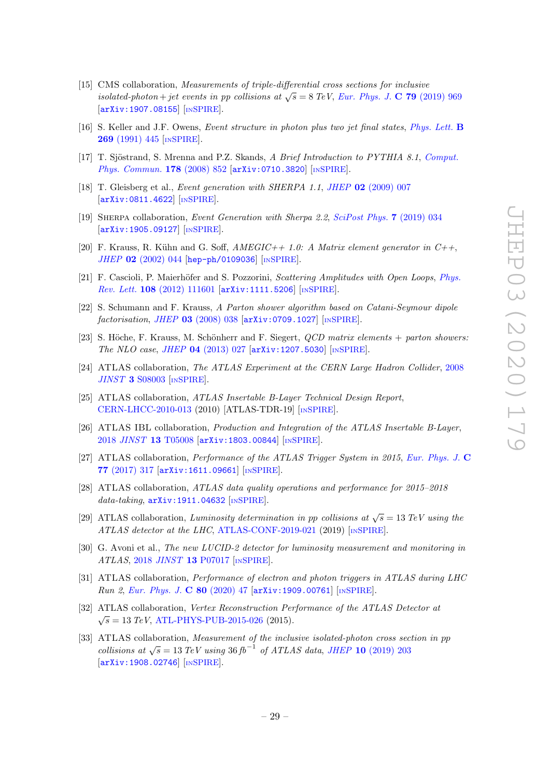- <span id="page-29-0"></span>[15] CMS collaboration, Measurements of triple-differential cross sections for inclusive isolated-photon + jet events in pp collisions at  $\sqrt{s} = 8$  TeV, [Eur. Phys. J.](https://doi.org/10.1140/epjc/s10052-019-7451-7) C 79 (2019) 969 [[arXiv:1907.08155](https://arxiv.org/abs/1907.08155)] [IN[SPIRE](https://inspirehep.net/search?p=find+EPRINT+arXiv:1907.08155)].
- <span id="page-29-1"></span>[16] S. Keller and J.F. Owens, Event structure in photon plus two jet final states, [Phys. Lett.](https://doi.org/10.1016/0370-2693(91)90198-Y) B 269 [\(1991\) 445](https://doi.org/10.1016/0370-2693(91)90198-Y) [IN[SPIRE](https://inspirehep.net/search?p=find+J+%22Phys.Lett.,B269,445%22)].
- <span id="page-29-2"></span>[17] T. Sjöstrand, S. Mrenna and P.Z. Skands, A Brief Introduction to PYTHIA 8.1, [Comput.](https://doi.org/10.1016/j.cpc.2008.01.036) [Phys. Commun.](https://doi.org/10.1016/j.cpc.2008.01.036) 178 (2008) 852 [arXiv: 0710.3820] [IN[SPIRE](https://inspirehep.net/search?p=find+EPRINT+arXiv:0710.3820)].
- <span id="page-29-3"></span>[18] T. Gleisberg et al., *Event generation with SHERPA 1.1*, *JHEP* 02 [\(2009\) 007](https://doi.org/10.1088/1126-6708/2009/02/007) [[arXiv:0811.4622](https://arxiv.org/abs/0811.4622)] [IN[SPIRE](https://inspirehep.net/search?p=find+EPRINT+arXiv:0811.4622)].
- <span id="page-29-4"></span>[19] Sherpa collaboration, Event Generation with Sherpa 2.2, [SciPost Phys.](https://doi.org/10.21468/SciPostPhys.7.3.034) 7 (2019) 034 [[arXiv:1905.09127](https://arxiv.org/abs/1905.09127)] [IN[SPIRE](https://inspirehep.net/search?p=find+EPRINT+arXiv:1905.09127)].
- <span id="page-29-17"></span>[20] F. Krauss, R. Kühn and G. Soff,  $AMEGIC++ 1.0: A Matrix element generator in  $C++$ ,$ JHEP 02 [\(2002\) 044](https://doi.org/10.1088/1126-6708/2002/02/044) [[hep-ph/0109036](https://arxiv.org/abs/hep-ph/0109036)] [IN[SPIRE](https://inspirehep.net/search?p=find+EPRINT+hep-ph/0109036)].
- <span id="page-29-16"></span>[21] F. Cascioli, P. Maierhöfer and S. Pozzorini, *Scattering Amplitudes with Open Loops*, *[Phys.](https://doi.org/10.1103/PhysRevLett.108.111601)* Rev. Lett. 108 [\(2012\) 111601](https://doi.org/10.1103/PhysRevLett.108.111601) [[arXiv:1111.5206](https://arxiv.org/abs/1111.5206)] [IN[SPIRE](https://inspirehep.net/search?p=find+EPRINT+arXiv:1111.5206)].
- <span id="page-29-18"></span>[22] S. Schumann and F. Krauss, A Parton shower algorithm based on Catani-Seymour dipole  $factorisation, JHEP$  03 [\(2008\) 038](https://doi.org/10.1088/1126-6708/2008/03/038)  $[ary1:0709.1027]$   $[insPIRE]$ .
- <span id="page-29-5"></span>[23] S. Höche, F. Krauss, M. Schönherr and F. Siegert,  $QCD$  matrix elements + parton showers: The NLO case, JHEP 04 [\(2013\) 027](https://doi.org/10.1007/JHEP04(2013)027) [[arXiv:1207.5030](https://arxiv.org/abs/1207.5030)] [IN[SPIRE](https://inspirehep.net/search?p=find+EPRINT+arXiv:1207.5030)].
- <span id="page-29-6"></span>[24] ATLAS collaboration, The ATLAS Experiment at the CERN Large Hadron Collider, [2008](https://doi.org/10.1088/1748-0221/3/08/S08003)  $JINST$  3 [S08003](https://doi.org/10.1088/1748-0221/3/08/S08003) [IN[SPIRE](https://inspirehep.net/search?p=find+J+%22JINST,3,S08003%22)].
- <span id="page-29-7"></span>[25] ATLAS collaboration, ATLAS Insertable B-Layer Technical Design Report, [CERN-LHCC-2010-013](http://cds.cern.ch/record/1291633) (2010) [ATLAS-TDR-19] [IN[SPIRE](https://inspirehep.net/search?p=find+R+%22CERN-LHCC-2010-013%22)].
- <span id="page-29-8"></span>[26] ATLAS IBL collaboration, Production and Integration of the ATLAS Insertable B-Layer, 2018 JINST 13 [T05008](https://doi.org/10.1088/1748-0221/13/05/T05008) [[arXiv:1803.00844](https://arxiv.org/abs/1803.00844)] [IN[SPIRE](https://inspirehep.net/search?p=find+EPRINT+arXiv:1803.00844)].
- <span id="page-29-9"></span>[27] ATLAS collaboration, Performance of the ATLAS Trigger System in 2015, [Eur. Phys. J.](https://doi.org/10.1140/epjc/s10052-017-4852-3) C 77 [\(2017\) 317](https://doi.org/10.1140/epjc/s10052-017-4852-3) [[arXiv:1611.09661](https://arxiv.org/abs/1611.09661)] [IN[SPIRE](https://inspirehep.net/search?p=find+EPRINT+arXiv:1611.09661)].
- <span id="page-29-10"></span>[28] ATLAS collaboration, ATLAS data quality operations and performance for 2015–2018  $data\text{-}taking, \text{ }$ [arXiv:1911.04632](https://arxiv.org/abs/1911.04632) [IN[SPIRE](https://inspirehep.net/search?p=find+EPRINT+arXiv:1911.04632)].
- <span id="page-29-11"></span>[29] ATLAS collaboration, Luminosity determination in pp collisions at  $\sqrt{s} = 13 \text{ TeV}$  using the ATLAS detector at the LHC, [ATLAS-CONF-2019-021](http://cds.cern.ch/record/2677054) (2019) [IN[SPIRE](https://inspirehep.net/search?p=find+R+%22ATLAS-CONF-2019-021%22)].
- <span id="page-29-12"></span>[30] G. Avoni et al., The new LUCID-2 detector for luminosity measurement and monitoring in ATLAS, 2018 JINST 13 [P07017](https://doi.org/10.1088/1748-0221/13/07/P07017) [IN[SPIRE](https://inspirehep.net/search?p=find+J+%22JINST,13,P07017%22)].
- <span id="page-29-13"></span>[31] ATLAS collaboration, Performance of electron and photon triggers in ATLAS during LHC Run 2, [Eur. Phys. J.](https://doi.org/10.1140/epjc/s10052-019-7500-2) C 80 (2020) 47 [[arXiv:1909.00761](https://arxiv.org/abs/1909.00761)] [IN[SPIRE](https://inspirehep.net/search?p=find+EPRINT+arXiv:1909.00761)].
- <span id="page-29-14"></span>[32] ATLAS collaboration, Vertex Reconstruction Performance of the ATLAS Detector at  $\sqrt{s}$  = 13 TeV, [ATL-PHYS-PUB-2015-026](http://cds.cern.ch/record/2037717) (2015).
- <span id="page-29-15"></span>[33] ATLAS collaboration, Measurement of the inclusive isolated-photon cross section in pp collisions at  $\sqrt{s} = 13 \text{ TeV}$  using 36 fb<sup>-1</sup> of ATLAS data, JHEP 10 [\(2019\) 203](https://doi.org/10.1007/JHEP10(2019)203) [[arXiv:1908.02746](https://arxiv.org/abs/1908.02746)] [IN[SPIRE](https://inspirehep.net/search?p=find+EPRINT+arXiv:1908.02746)].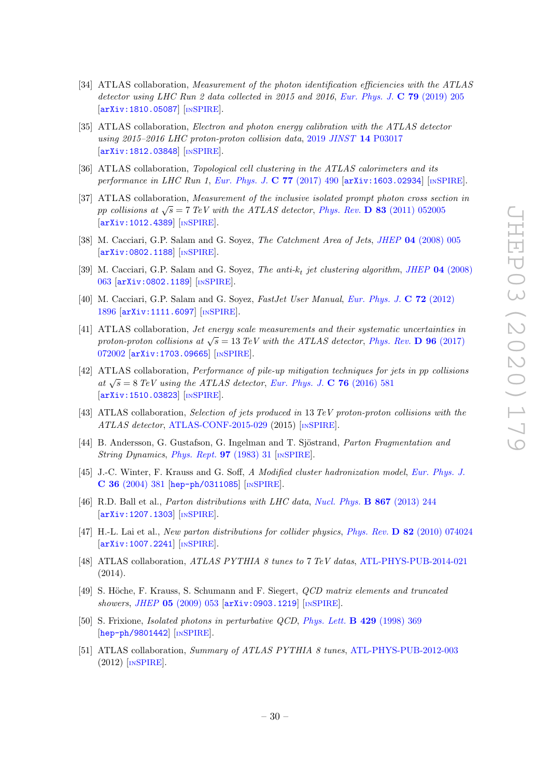- <span id="page-30-0"></span>[34] ATLAS collaboration, Measurement of the photon identification efficiencies with the ATLAS detector using LHC Run 2 data collected in 2015 and 2016, [Eur. Phys. J.](https://doi.org/10.1140/epjc/s10052-019-6650-6) **C 79** (2019) 205 [[arXiv:1810.05087](https://arxiv.org/abs/1810.05087)] [IN[SPIRE](https://inspirehep.net/search?p=find+EPRINT+arXiv:1810.05087)].
- <span id="page-30-1"></span>[35] ATLAS collaboration, *Electron and photon energy calibration with the ATLAS detector* using 2015–2016 LHC proton-proton collision data, 2019 JINST 14 [P03017](https://doi.org/10.1088/1748-0221/14/03/P03017) [[arXiv:1812.03848](https://arxiv.org/abs/1812.03848)] [IN[SPIRE](https://inspirehep.net/search?p=find+EPRINT+arXiv:1812.03848)].
- <span id="page-30-2"></span>[36] ATLAS collaboration, *Topological cell clustering in the ATLAS calorimeters and its* performance in LHC Run 1, [Eur. Phys. J.](https://doi.org/10.1140/epjc/s10052-017-5004-5) C 77 (2017) 490 [[arXiv:1603.02934](https://arxiv.org/abs/1603.02934)] [IN[SPIRE](https://inspirehep.net/search?p=find+EPRINT+arXiv:1603.02934)].
- <span id="page-30-3"></span>[37] ATLAS collaboration, Measurement of the inclusive isolated prompt photon cross section in pp collisions at  $\sqrt{s} = 7$  TeV with the ATLAS detector, Phys. Rev. **D 83** [\(2011\) 052005](https://doi.org/10.1103/PhysRevD.83.052005) [[arXiv:1012.4389](https://arxiv.org/abs/1012.4389)] [IN[SPIRE](https://inspirehep.net/search?p=find+EPRINT+arXiv:1012.4389)].
- <span id="page-30-4"></span>[38] M. Cacciari, G.P. Salam and G. Soyez, *The Catchment Area of Jets, JHEP* 04 [\(2008\) 005](https://doi.org/10.1088/1126-6708/2008/04/005) [[arXiv:0802.1188](https://arxiv.org/abs/0802.1188)] [IN[SPIRE](https://inspirehep.net/search?p=find+EPRINT+arXiv:0802.1188)].
- <span id="page-30-5"></span>[39] M. Cacciari, G.P. Salam and G. Soyez, The anti- $k_t$  jet clustering algorithm, JHEP 04 [\(2008\)](https://doi.org/10.1088/1126-6708/2008/04/063) [063](https://doi.org/10.1088/1126-6708/2008/04/063) [[arXiv:0802.1189](https://arxiv.org/abs/0802.1189)] [IN[SPIRE](https://inspirehep.net/search?p=find+EPRINT+arXiv:0802.1189)].
- <span id="page-30-6"></span>[40] M. Cacciari, G.P. Salam and G. Soyez, FastJet User Manual, [Eur. Phys. J.](https://doi.org/10.1140/epjc/s10052-012-1896-2) C 72 (2012) [1896](https://doi.org/10.1140/epjc/s10052-012-1896-2) [[arXiv:1111.6097](https://arxiv.org/abs/1111.6097)] [IN[SPIRE](https://inspirehep.net/search?p=find+EPRINT+arXiv:1111.6097)].
- <span id="page-30-7"></span>[41] ATLAS collaboration, Jet energy scale measurements and their systematic uncertainties in proton-proton collisions at  $\sqrt{s} = 13 \text{ TeV}$  with the ATLAS detector, [Phys. Rev.](https://doi.org/10.1103/PhysRevD.96.072002) **D** 96 (2017) [072002](https://doi.org/10.1103/PhysRevD.96.072002) [[arXiv:1703.09665](https://arxiv.org/abs/1703.09665)] [IN[SPIRE](https://inspirehep.net/search?p=find+EPRINT+arXiv:1703.09665)].
- <span id="page-30-8"></span>[42] ATLAS collaboration, Performance of pile-up mitigation techniques for jets in pp collisions at  $\sqrt{s} = 8 \text{ TeV}$  using the ATLAS detector, [Eur. Phys. J.](https://doi.org/10.1140/epjc/s10052-016-4395-z) C 76 (2016) 581 [[arXiv:1510.03823](https://arxiv.org/abs/1510.03823)] [IN[SPIRE](https://inspirehep.net/search?p=find+EPRINT+arXiv:1510.03823)].
- <span id="page-30-9"></span>[43] ATLAS collaboration, Selection of jets produced in 13 TeV proton-proton collisions with the ATLAS detector, [ATLAS-CONF-2015-029](http://cds.cern.ch/record/2037702) (2015) [IN[SPIRE](https://inspirehep.net/search?p=find+R+%22ATLAS-CONF-2015-029%22)].
- <span id="page-30-10"></span>[44] B. Andersson, G. Gustafson, G. Ingelman and T. Sjöstrand, Parton Fragmentation and String Dynamics, [Phys. Rept.](https://doi.org/10.1016/0370-1573(83)90080-7) **97** (1983) 31 [IN[SPIRE](https://inspirehep.net/search?p=find+J+%22Phys.Rept.,97,31%22)].
- <span id="page-30-11"></span>[45] J.-C. Winter, F. Krauss and G. Soff, A Modified cluster hadronization model, [Eur. Phys. J.](https://doi.org/10.1140/epjc/s2004-01960-8) C 36 [\(2004\) 381](https://doi.org/10.1140/epjc/s2004-01960-8) [[hep-ph/0311085](https://arxiv.org/abs/hep-ph/0311085)] [IN[SPIRE](https://inspirehep.net/search?p=find+EPRINT+hep-ph/0311085)].
- <span id="page-30-12"></span>[46] R.D. Ball et al., Parton distributions with LHC data, [Nucl. Phys.](https://doi.org/10.1016/j.nuclphysb.2012.10.003) B 867 (2013) 244 [[arXiv:1207.1303](https://arxiv.org/abs/1207.1303)] [IN[SPIRE](https://inspirehep.net/search?p=find+EPRINT+arXiv:1207.1303)].
- <span id="page-30-13"></span>[47] H.-L. Lai et al., New parton distributions for collider physics, Phys. Rev. D 82 [\(2010\) 074024](https://doi.org/10.1103/PhysRevD.82.074024) [[arXiv:1007.2241](https://arxiv.org/abs/1007.2241)] [IN[SPIRE](https://inspirehep.net/search?p=find+EPRINT+arXiv:1007.2241)].
- <span id="page-30-14"></span>[48] ATLAS collaboration, ATLAS PYTHIA 8 tunes to 7 TeV datas, [ATL-PHYS-PUB-2014-021](http://cds.cern.ch/record/1966419) (2014).
- <span id="page-30-15"></span>[49] S. Höche, F. Krauss, S. Schumann and F. Siegert, *QCD matrix elements and truncated* showers, JHEP 05 [\(2009\) 053](https://doi.org/10.1088/1126-6708/2009/05/053) [[arXiv:0903.1219](https://arxiv.org/abs/0903.1219)] [IN[SPIRE](https://inspirehep.net/search?p=find+EPRINT+arXiv:0903.1219)].
- <span id="page-30-16"></span>[50] S. Frixione, Isolated photons in perturbative QCD, [Phys. Lett.](https://doi.org/10.1016/S0370-2693(98)00454-7) B 429 (1998) 369 [[hep-ph/9801442](https://arxiv.org/abs/hep-ph/9801442)] [IN[SPIRE](https://inspirehep.net/search?p=find+EPRINT+hep-ph/9801442)].
- <span id="page-30-17"></span>[51] ATLAS collaboration, Summary of ATLAS PYTHIA 8 tunes, [ATL-PHYS-PUB-2012-003](http://cds.cern.ch/record/1474107) (2012) [IN[SPIRE](https://inspirehep.net/search?p=find+R+%22ATL-PHYS-PUB-2012-003%22)].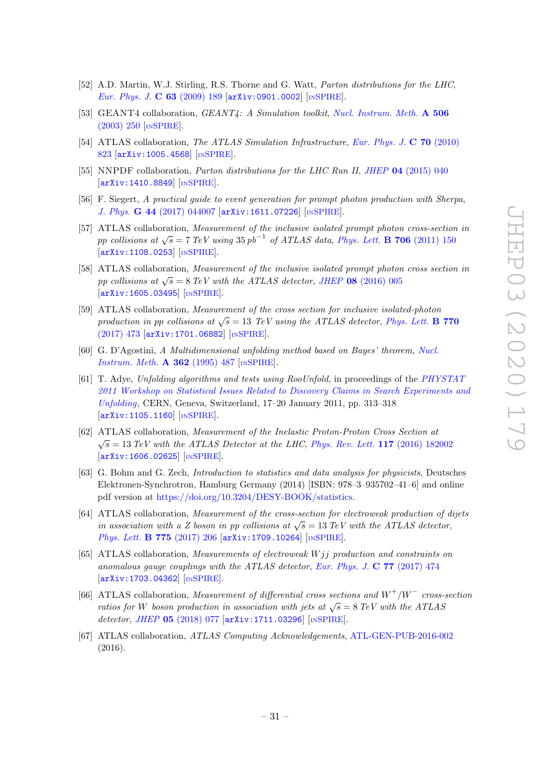- <span id="page-31-0"></span>[52] A.D. Martin, W.J. Stirling, R.S. Thorne and G. Watt, Parton distributions for the LHC, [Eur. Phys. J.](https://doi.org/10.1140/epjc/s10052-009-1072-5) C 63 (2009) 189 [[arXiv:0901.0002](https://arxiv.org/abs/0901.0002)] [IN[SPIRE](https://inspirehep.net/search?p=find+EPRINT+arXiv:0901.0002)].
- <span id="page-31-1"></span>[53] GEANT4 collaboration, GEANT4: A Simulation toolkit, [Nucl. Instrum. Meth.](https://doi.org/10.1016/S0168-9002(03)01368-8) A 506 [\(2003\) 250](https://doi.org/10.1016/S0168-9002(03)01368-8) [IN[SPIRE](https://inspirehep.net/search?p=find+J+%22Nucl.Instrum.Meth.,A506,250%22)].
- <span id="page-31-2"></span>[54] ATLAS collaboration, The ATLAS Simulation Infrastructure, [Eur. Phys. J.](https://doi.org/10.1140/epjc/s10052-010-1429-9) C 70 (2010) [823](https://doi.org/10.1140/epjc/s10052-010-1429-9) [[arXiv:1005.4568](https://arxiv.org/abs/1005.4568)] [IN[SPIRE](https://inspirehep.net/search?p=find+EPRINT+arXiv:1005.4568)].
- <span id="page-31-3"></span>[55] NNPDF collaboration, *Parton distributions for the LHC Run II, JHEP* 04 [\(2015\) 040](https://doi.org/10.1007/JHEP04(2015)040) [[arXiv:1410.8849](https://arxiv.org/abs/1410.8849)] [IN[SPIRE](https://inspirehep.net/search?p=find+EPRINT+arXiv:1410.8849)].
- <span id="page-31-4"></span>[56] F. Siegert, A practical guide to event generation for prompt photon production with Sherpa, J. Phys. G 44 [\(2017\) 044007](https://doi.org/10.1088/1361-6471/aa5f29) [[arXiv:1611.07226](https://arxiv.org/abs/1611.07226)] [IN[SPIRE](https://inspirehep.net/search?p=find+EPRINT+arXiv:1611.07226)].
- <span id="page-31-5"></span>[57] ATLAS collaboration, Measurement of the inclusive isolated prompt photon cross-section in pp collisions at  $\sqrt{s} = 7 \text{ TeV}$  using  $35 \text{ pb}^{-1}$  of ATLAS data, [Phys. Lett.](https://doi.org/10.1016/j.physletb.2011.11.010) **B 706** (2011) 150 [[arXiv:1108.0253](https://arxiv.org/abs/1108.0253)] [IN[SPIRE](https://inspirehep.net/search?p=find+EPRINT+arXiv:1108.0253)].
- [58] ATLAS collaboration, Measurement of the inclusive isolated prompt photon cross section in pp collisions at  $\sqrt{s} = 8 \text{ TeV}$  with the ATLAS detector, JHEP 08 [\(2016\) 005](https://doi.org/10.1007/JHEP08(2016)005) [[arXiv:1605.03495](https://arxiv.org/abs/1605.03495)] [IN[SPIRE](https://inspirehep.net/search?p=find+EPRINT+arXiv:1605.03495)].
- <span id="page-31-6"></span>[59] ATLAS collaboration, Measurement of the cross section for inclusive isolated-photon production in pp collisions at  $\sqrt{s} = 13$  TeV using the ATLAS detector, [Phys. Lett.](https://doi.org/10.1016/j.physletb.2017.04.072) **B** 770 [\(2017\) 473](https://doi.org/10.1016/j.physletb.2017.04.072) [[arXiv:1701.06882](https://arxiv.org/abs/1701.06882)] [IN[SPIRE](https://inspirehep.net/search?p=find+EPRINT+arXiv:1701.06882)].
- <span id="page-31-7"></span>[60] G. D'Agostini, A Multidimensional unfolding method based on Bayes' theorem, [Nucl.](https://doi.org/10.1016/0168-9002(95)00274-X) [Instrum. Meth.](https://doi.org/10.1016/0168-9002(95)00274-X) A 362 (1995) 487 [IN[SPIRE](https://inspirehep.net/search?p=find+J+%22Nucl.Instrum.Meth.,A362,487%22)].
- <span id="page-31-8"></span>[61] T. Adye, Unfolding algorithms and tests using RooUnfold, in proceedings of the [PHYSTAT](https://doi.org/10.5170/CERN-2011-006.313) [2011 Workshop on Statistical Issues Related to Discovery Claims in Search Experiments and](https://doi.org/10.5170/CERN-2011-006.313) [Unfolding](https://doi.org/10.5170/CERN-2011-006.313), CERN, Geneva, Switzerland, 17–20 January 2011, pp. 313–318 [[arXiv:1105.1160](https://arxiv.org/abs/1105.1160)] [IN[SPIRE](https://inspirehep.net/search?p=find+EPRINT+arXiv:1105.1160)].
- <span id="page-31-9"></span>[62] ATLAS collaboration, Measurement of the Inelastic Proton-Proton Cross Section at  $\sqrt{s} = 13 \text{ TeV}$  with the ATLAS Detector at the LHC, [Phys. Rev. Lett.](https://doi.org/10.1103/PhysRevLett.117.182002) 117 (2016) 182002 [[arXiv:1606.02625](https://arxiv.org/abs/1606.02625)] [IN[SPIRE](https://inspirehep.net/search?p=find+EPRINT+arXiv:1606.02625)].
- <span id="page-31-10"></span>[63] G. Bohm and G. Zech, Introduction to statistics and data analysis for physicists, Deutsches Elektronen-Synchrotron, Hamburg Germany (2014) [ISBN: 978–3–935702–41–6] and online pdf version at [https://doi.org/10.3204/DESY-BOOK/statistics.](https://doi.org/10.3204/DESY-BOOK/statistics)
- <span id="page-31-11"></span>[64] ATLAS collaboration, Measurement of the cross-section for electroweak production of dijets in association with a Z boson in pp collisions at  $\sqrt{s} = 13 \text{ TeV}$  with the ATLAS detector, [Phys. Lett.](https://doi.org/10.1016/j.physletb.2017.10.040) **B 775** (2017) 206 [[arXiv:1709.10264](https://arxiv.org/abs/1709.10264)] [IN[SPIRE](https://inspirehep.net/search?p=find+EPRINT+arXiv:1709.10264)].
- [65] ATLAS collaboration, Measurements of electroweak W jj production and constraints on anomalous gauge couplings with the ATLAS detector, [Eur. Phys. J.](https://doi.org/10.1140/epjc/s10052-017-5007-2) C 77 (2017) 474 [[arXiv:1703.04362](https://arxiv.org/abs/1703.04362)] [IN[SPIRE](https://inspirehep.net/search?p=find+EPRINT+arXiv:1703.04362)].
- <span id="page-31-12"></span>[66] ATLAS collaboration, Measurement of differential cross sections and  $W^+/W^-$  cross-section ratios for W boson production in association with jets at  $\sqrt{s} = 8$  TeV with the ATLAS detector, JHEP 05 [\(2018\) 077](https://doi.org/10.1007/JHEP05(2018)077) [[arXiv:1711.03296](https://arxiv.org/abs/1711.03296)] [IN[SPIRE](https://inspirehep.net/search?p=find+EPRINT+arXiv:1711.03296)].
- <span id="page-31-13"></span>[67] ATLAS collaboration, ATLAS Computing Acknowledgements, [ATL-GEN-PUB-2016-002](http://cds.cern.ch/record/2202407) (2016).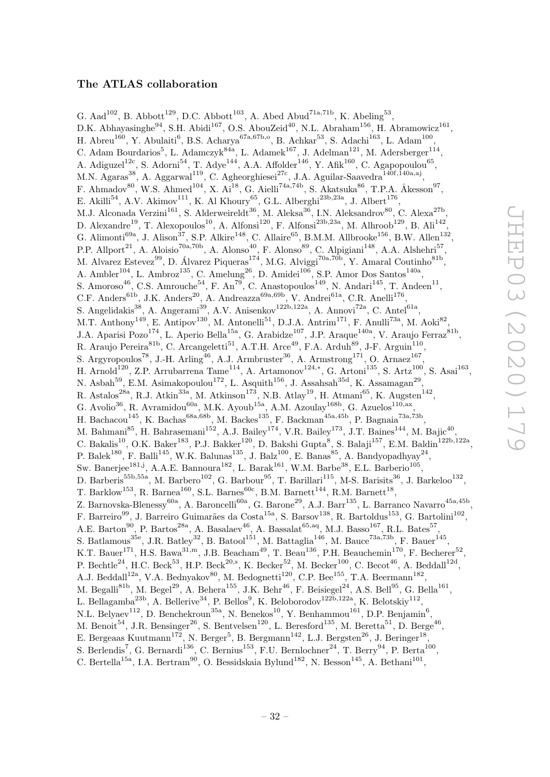# The ATLAS collaboration

<span id="page-32-0"></span>G. Aad<sup>102</sup>, B. Abbott<sup>129</sup>, D.C. Abbott<sup>103</sup>, A. Abed Abud<sup>71a,71b</sup>, K. Abeling<sup>53</sup>, D.K. Abhayasinghe<sup>94</sup>, S.H. Abidi<sup>167</sup>, O.S. AbouZeid<sup>40</sup>, N.L. Abraham<sup>156</sup>, H. Abramowicz<sup>161</sup>, H. Abreu<sup>160</sup>, Y. Abulaiti<sup>6</sup>, B.S. Acharya<sup>67a,67b,o</sup>, B. Achkar<sup>53</sup>, S. Adachi<sup>163</sup>, L. Adam<sup>100</sup>, C. Adam Bourdarios<sup>5</sup>, L. Adamczyk<sup>84a</sup>, L. Adamek<sup>167</sup>, J. Adelman<sup>121</sup>, M. Adersberger<sup>114</sup>, A. Adiguzel<sup>12c</sup>, S. Adorni<sup>54</sup>, T. Adye<sup>144</sup>, A.A. Affolder<sup>146</sup>, Y. Afik<sup>160</sup>, C. Agapopoulou<sup>65</sup>, M.N. Agaras<sup>38</sup>, A. Aggarwal<sup>119</sup>, C. Agheorghiesei<sup>27c</sup>, J.A. Aguilar-Saavedra<sup>140f,140a,aj</sup>, F. Ahmadov<sup>80</sup>, W.S. Ahmed<sup>104</sup>, X. Ai<sup>18</sup>, G. Aielli<sup>74a,74b</sup>, S. Akatsuka<sup>86</sup>, T.P.A. Åkesson<sup>97</sup>, E. Akilli<sup>54</sup>, A.V. Akimov<sup>111</sup>, K. Al Khoury<sup>65</sup>, G.L. Alberghi<sup>23b,23a</sup>, J. Albert<sup>176</sup>, M.J. Alconada Verzini<sup>161</sup>, S. Alderweireldt<sup>36</sup>, M. Aleksa<sup>36</sup>, I.N. Aleksandrov<sup>80</sup>, C. Alexa<sup>27b</sup>, D. Alexandre<sup>19</sup>, T. Alexopoulos<sup>10</sup>, A. Alfonsi<sup>120</sup>, F. Alfonsi<sup>23b,23a</sup>, M. Alhroob<sup>129</sup>, B. Ali<sup>142</sup>, G. Alimonti<sup>69a</sup>, J. Alison<sup>37</sup>, S.P. Alkire<sup>148</sup>, C. Allaire<sup>65</sup>, B.M.M. Allbrooke<sup>156</sup>, B.W. Allen<sup>132</sup>, P.P. Allport<sup>21</sup>, A. Aloisio<sup>70a,70b</sup>, A. Alonso<sup>40</sup>, F. Alonso<sup>89</sup>, C. Alpigiani<sup>148</sup>, A.A. Alshehri<sup>57</sup>, M. Alvarez Estevez<sup>99</sup>, D. Álvarez Piqueras<sup>174</sup>, M.G. Alviggi<sup>70a,70b</sup>, Y. Amaral Coutinho<sup>81b</sup>, A. Ambler<sup>104</sup>, L. Ambroz<sup>135</sup>, C. Amelung<sup>26</sup>, D. Amidei<sup>106</sup>, S.P. Amor Dos Santos<sup>140a</sup>, S. Amoroso<sup>46</sup>, C.S. Amrouche<sup>54</sup>, F. An<sup>79</sup>, C. Anastopoulos<sup>149</sup>, N. Andari<sup>145</sup>, T. Andeen<sup>11</sup>, C.F. Anders<sup>61b</sup>, J.K. Anders<sup>20</sup>, A. Andreazza<sup>69a,69b</sup>, V. Andrei<sup>61a</sup>, C.R. Anelli<sup>176</sup>, S. Angelidakis<sup>38</sup>, A. Angerami<sup>39</sup>, A.V. Anisenkov<sup>122b,122a</sup>, A. Annovi<sup>72a</sup>, C. Antel<sup>61a</sup>, M.T. Anthony<sup>149</sup>, E. Antipov<sup>130</sup>, M. Antonelli<sup>51</sup>, D.J.A. Antrim<sup>171</sup>, F. Anulli<sup>73a</sup>, M. Aoki<sup>82</sup>, J.A. Aparisi Pozo<sup>174</sup>, L. Aperio Bella<sup>15a</sup>, G. Arabidze<sup>107</sup>, J.P. Araque<sup>140a</sup>, V. Araujo Ferraz<sup>81b</sup>, R. Araujo Pereira ${}^{81b}$ , C. Arcangeletti ${}^{51}$ , A.T.H. Arce<sup>49</sup>, F.A. Arduh<sup>89</sup>, J-F. Arguin<sup>110</sup>, S. Argyropoulos<sup>78</sup>, J.-H. Arling<sup>46</sup>, A.J. Armbruster<sup>36</sup>, A. Armstrong<sup>171</sup>, O. Arnaez<sup>167</sup>, H. Arnold<sup>120</sup>, Z.P. Arrubarrena Tame<sup>114</sup>, A. Artamonov<sup>124,\*</sup>, G. Artoni<sup>135</sup>, S. Artz<sup>100</sup>, S. Asai<sup>163</sup>, N. Asbah<sup>59</sup>, E.M. Asimakopoulou<sup>172</sup>, L. Asquith<sup>156</sup>, J. Assahsah<sup>35d</sup>, K. Assamagan<sup>29</sup>, R. Astalos<sup>28a</sup>, R.J. Atkin<sup>33a</sup>, M. Atkinson<sup>173</sup>, N.B. Atlay<sup>19</sup>, H. Atmani<sup>65</sup>, K. Augsten<sup>142</sup>, G. Avolio<sup>36</sup>, R. Avramidou<sup>60a</sup>, M.K. Ayoub<sup>15a</sup>, A.M. Azoulay<sup>168b</sup>, G. Azuelos<sup>110,ax</sup>, H. Bachacou<sup>145</sup>, K. Bachas<sup>68a,68b</sup>, M. Backes<sup>135</sup>, F. Backman<sup>45a,45b</sup>, P. Bagnaia<sup>73a,73b</sup>, M. Bahmani<sup>85</sup>, H. Bahrasemani<sup>152</sup>, A.J. Bailey<sup>174</sup>, V.R. Bailey<sup>173</sup>, J.T. Baines<sup>144</sup>, M. Bajic<sup>40</sup> , C. Bakalis<sup>10</sup>, O.K. Baker<sup>183</sup>, P.J. Bakker<sup>120</sup>, D. Bakshi Gupta<sup>8</sup>, S. Balaji<sup>157</sup>, E.M. Baldin<sup>122b,122a</sup>, P. Balek<sup>180</sup>, F. Balli<sup>145</sup>, W.K. Balunas<sup>135</sup>, J. Balz<sup>100</sup>, E. Banas<sup>85</sup>, A. Bandyopadhyay<sup>24</sup>, Sw. Banerjee<sup>181,j</sup>, A.A.E. Bannoura<sup>182</sup>, L. Barak<sup>161</sup>, W.M. Barbe<sup>38</sup>, E.L. Barberio<sup>105</sup>, D. Barberis<sup>55b,55a</sup>, M. Barbero<sup>102</sup>, G. Barbour<sup>95</sup>, T. Barillari<sup>115</sup>, M-S. Barisits<sup>36</sup>, J. Barkeloo<sup>132</sup>, T. Barklow<sup>153</sup>, R. Barnea<sup>160</sup>, S.L. Barnes<sup>60c</sup>, B.M. Barnett<sup>144</sup>, R.M. Barnett<sup>18</sup>, Z. Barnovska-Blenessy<sup>60a</sup>, A. Baroncelli<sup>60a</sup>, G. Barone<sup>29</sup>, A.J. Barr<sup>135</sup>, L. Barranco Navarro<sup>45a,45b</sup>, F. Barreiro<sup>99</sup>, J. Barreiro Guimarães da Costa<sup>15a</sup>, S. Barsov<sup>138</sup>, R. Bartoldus<sup>153</sup>, G. Bartolini<sup>102</sup>, A.E. Barton<sup>90</sup>, P. Bartos<sup>28a</sup>, A. Basalaev<sup>46</sup>, A. Bassalat<sup>65, aq</sup>, M.J. Basso<sup>167</sup>, R.L. Bates<sup>57</sup>, S. Batlamous<sup>35e</sup>, J.R. Batley<sup>32</sup>, B. Batool<sup>151</sup>, M. Battaglia<sup>146</sup>, M. Bauce<sup>73a,73b</sup>, F. Bauer<sup>145</sup>, K.T. Bauer<sup>171</sup>, H.S. Bawa<sup>31,m</sup>, J.B. Beacham<sup>49</sup>, T. Beau<sup>136</sup>, P.H. Beauchemin<sup>170</sup>, F. Becherer<sup>52</sup>, P. Bechtle<sup>24</sup>, H.C. Beck<sup>53</sup>, H.P. Beck<sup>20,s</sup>, K. Becker<sup>52</sup>, M. Becker<sup>100</sup>, C. Becot<sup>46</sup>, A. Beddall<sup>12d</sup>, A.J. Beddall<sup>12a</sup>, V.A. Bednyakov<sup>80</sup>, M. Bedognetti<sup>120</sup>, C.P. Bee<sup>155</sup>, T.A. Beermann<sup>182</sup>, M. Begalli<sup>81b</sup>, M. Begel<sup>29</sup>, A. Behera<sup>155</sup>, J.K. Behr<sup>46</sup>, F. Beisiegel<sup>24</sup>, A.S. Bell<sup>95</sup>, G. Bella<sup>161</sup>, L. Bellagamba<sup>23b</sup>, A. Bellerive<sup>34</sup>, P. Bellos<sup>9</sup>, K. Beloborodov<sup>122b,122a</sup>, K. Belotskiy<sup>112</sup>, N.L. Belyaev<sup>112</sup>, D. Benchekroun<sup>35a</sup>, N. Benekos<sup>10</sup>, Y. Benhammou<sup>161</sup>, D.P. Benjamin<sup>6</sup>, M. Benoit<sup>54</sup>, J.R. Bensinger<sup>26</sup>, S. Bentvelsen<sup>120</sup>, L. Beresford<sup>135</sup>, M. Beretta<sup>51</sup>, D. Berge<sup>46</sup>, E. Bergeaas Kuutmann<sup>172</sup>, N. Berger<sup>5</sup>, B. Bergmann<sup>142</sup>, L.J. Bergsten<sup>26</sup>, J. Beringer<sup>18</sup>, S. Berlendis<sup>7</sup>, G. Bernardi<sup>136</sup>, C. Bernius<sup>153</sup>, F.U. Bernlochner<sup>24</sup>, T. Berry<sup>94</sup>, P. Berta<sup>100</sup>, C. Bertella<sup>15a</sup>, I.A. Bertram<sup>90</sup>, O. Bessidskaia Bylund<sup>182</sup>, N. Besson<sup>145</sup>, A. Bethani<sup>101</sup>,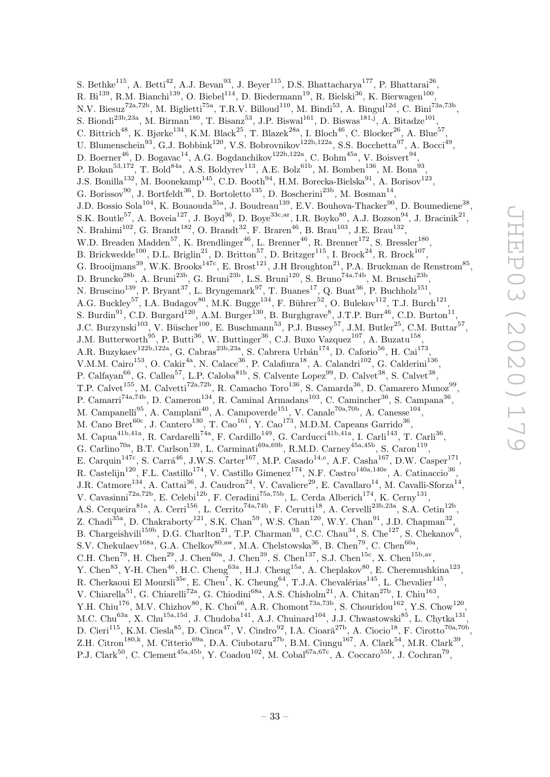S. Bethke<sup>115</sup>, A. Betti<sup>42</sup>, A.J. Bevan<sup>93</sup>, J. Beyer<sup>115</sup>, D.S. Bhattacharya<sup>177</sup>, P. Bhattarai<sup>26</sup>, R. Bi $^{139}$ , R.M. Bianchi $^{139}$ , O. Biebel $^{114}$ , D. Biedermann $^{19}$ , R. Bielski $^{36}$ , K. Bierwagen $^{100}$ , N.V. Biesuz<sup>72a,72b</sup>, M. Biglietti<sup>75a</sup>, T.R.V. Billoud<sup>110</sup>, M. Bindi<sup>53</sup>, A. Bingul<sup>12d</sup>, C. Bini<sup>73a,73b</sup>, S. Biondi<sup>23b,23a</sup>, M. Birman<sup>180</sup>, T. Bisanz<sup>53</sup>, J.P. Biswal<sup>161</sup>, D. Biswas<sup>181,j</sup>, A. Bitadze<sup>101</sup>, C. Bittrich<sup>48</sup>, K. Bjørke<sup>134</sup>, K.M. Black<sup>25</sup>, T. Blazek<sup>28a</sup>, I. Bloch<sup>46</sup>, C. Blocker<sup>26</sup>, A. Blue<sup>57</sup>, U. Blumenschein<sup>93</sup>, G.J. Bobbink<sup>120</sup>, V.S. Bobrovnikov<sup>122b,122a</sup>, S.S. Bocchetta<sup>97</sup>, A. Bocci<sup>49</sup>, D. Boerner<sup>46</sup>, D. Bogavac<sup>14</sup>, A.G. Bogdanchikov<sup>122b,122a</sup>, C. Bohm<sup>45a</sup>, V. Boisvert<sup>94</sup>, P. Bokan<sup>53,172</sup>, T. Bold<sup>84a</sup>, A.S. Boldyrev<sup>113</sup>, A.E. Bolz<sup>61b</sup>, M. Bomben<sup>136</sup>, M. Bona<sup>93</sup>, J.S. Bonilla<sup>132</sup>, M. Boonekamp<sup>145</sup>, C.D. Booth<sup>94</sup>, H.M. Borecka-Bielska<sup>91</sup>, A. Borisov<sup>123</sup>, G. Borissov<sup>90</sup>, J. Bortfeldt<sup>36</sup>, D. Bortoletto<sup>135</sup>, D. Boscherini<sup>23b</sup>, M. Bosman<sup>14</sup>, J.D. Bossio Sola<sup>104</sup>, K. Bouaouda<sup>35a</sup>, J. Boudreau<sup>139</sup>, E.V. Bouhova-Thacker<sup>90</sup>, D. Boumediene<sup>38</sup>, S.K. Boutle<sup>57</sup>, A. Boveia<sup>127</sup>, J. Boyd<sup>36</sup>, D. Boye<sup>33c,ar</sup>, I.R. Boyko<sup>80</sup>, A.J. Bozson<sup>94</sup>, J. Bracinik<sup>21</sup>, N. Brahimi<sup>102</sup>, G. Brandt<sup>182</sup>, O. Brandt<sup>32</sup>, F. Braren<sup>46</sup>, B. Brau<sup>103</sup>, J.E. Brau<sup>132</sup>, W.D. Breaden Madden<sup>57</sup>, K. Brendlinger<sup>46</sup>, L. Brenner<sup>46</sup>, R. Brenner<sup>172</sup>, S. Bressler<sup>180</sup>, B. Brickwedde<sup>100</sup>, D.L. Briglin<sup>21</sup>, D. Britton<sup>57</sup>, D. Britzger<sup>115</sup>, I. Brock<sup>24</sup>, R. Brock<sup>107</sup>, G. Brooijmans<sup>39</sup>, W.K. Brooks<sup>147c</sup>, E. Brost<sup>121</sup>, J.H Broughton<sup>21</sup>, P.A. Bruckman de Renstrom<sup>85</sup>, D. Bruncko<sup>28b</sup>, A. Bruni<sup>23b</sup>, G. Bruni<sup>23b</sup>, L.S. Bruni<sup>120</sup>, S. Bruno<sup>74a,74b</sup>, M. Bruschi<sup>23b</sup>, N. Bruscino<sup>139</sup>, P. Bryant<sup>37</sup>, L. Bryngemark<sup>97</sup>, T. Buanes<sup>17</sup>, Q. Buat<sup>36</sup>, P. Buchholz<sup>151</sup>, A.G. Buckley<sup>57</sup>, I.A. Budagov<sup>80</sup>, M.K. Bugge<sup>134</sup>, F. Bührer<sup>52</sup>, O. Bulekov<sup>112</sup>, T.J. Burch<sup>121</sup>, S. Burdin<sup>91</sup>, C.D. Burgard<sup>120</sup>, A.M. Burger<sup>130</sup>, B. Burghgrave<sup>8</sup>, J.T.P. Burr<sup>46</sup>, C.D. Burton<sup>11</sup>, J.C. Burzynski<sup>103</sup>, V. Büscher<sup>100</sup>, E. Buschmann<sup>53</sup>, P.J. Bussey<sup>57</sup>, J.M. Butler<sup>25</sup>, C.M. Buttar<sup>57</sup>, J.M. Butterworth<sup>95</sup>, P. Butti<sup>36</sup>, W. Buttinger<sup>36</sup>, C.J. Buxo Vazquez<sup>107</sup>, A. Buzatu<sup>158</sup>, A.R. Buzykaev<sup>122b,122a</sup>, G. Cabras<sup>23b,23a</sup>, S. Cabrera Urbán<sup>174</sup>, D. Caforio<sup>56</sup>, H. Cai<sup>173</sup>, V.M.M. Cairo<sup>153</sup>, O. Cakir<sup>4a</sup>, N. Calace<sup>36</sup>, P. Calafiura<sup>18</sup>, A. Calandri<sup>102</sup>, G. Calderini<sup>136</sup>, P. Calfayan<sup>66</sup>, G. Callea<sup>57</sup>, L.P. Caloba<sup>81b</sup>, S. Calvente Lopez<sup>99</sup>, D. Calvet<sup>38</sup>, S. Calvet<sup>38</sup>, T.P. Calvet<sup>155</sup>, M. Calvetti<sup>72a,72b</sup>, R. Camacho Toro<sup>136</sup>, S. Camarda<sup>36</sup>, D. Camarero Munoz<sup>99</sup>, P. Camarri<sup>74a,74b</sup>, D. Cameron<sup>134</sup>, R. Caminal Armadans<sup>103</sup>, C. Camincher<sup>36</sup>, S. Campana<sup>36</sup>, M. Campanelli<sup>95</sup>, A. Camplani<sup>40</sup>, A. Campoverde<sup>151</sup>, V. Canale<sup>70a,70b</sup>, A. Canesse<sup>104</sup>, M. Cano Bret<sup>60c</sup>, J. Cantero<sup>130</sup>, T. Cao<sup>161</sup>, Y. Cao<sup>173</sup>, M.D.M. Capeans Garrido<sup>36</sup>, M. Capua<sup>41b,41a</sup>, R. Cardarelli<sup>74a</sup>, F. Cardillo<sup>149</sup>, G. Carducci<sup>41b,41a</sup>, I. Carli<sup>143</sup>, T. Carli<sup>36</sup>, G. Carlino<sup>70a</sup>, B.T. Carlson<sup>139</sup>, L. Carminati<sup>69a,69b</sup>, R.M.D. Carney<sup>45a,45b</sup>, S. Caron<sup>119</sup>, E. Carquin<sup>147c</sup>, S. Carrá<sup>46</sup>, J.W.S. Carter<sup>167</sup>, M.P. Casado<sup>14,e</sup>, A.F. Casha<sup>167</sup>, D.W. Casper<sup>171</sup>, R. Castelijn<sup>120</sup>, F.L. Castillo<sup>174</sup>, V. Castillo Gimenez<sup>174</sup>, N.F. Castro<sup>140a,140e</sup>, A. Catinaccio<sup>36</sup>, J.R. Catmore<sup>134</sup>, A. Cattai<sup>36</sup>, J. Caudron<sup>24</sup>, V. Cavaliere<sup>29</sup>, E. Cavallaro<sup>14</sup>, M. Cavalli-Sforza<sup>14</sup>, V. Cavasinni<sup>72a,72b</sup>, E. Celebi<sup>12b</sup>, F. Ceradini<sup>75a,75b</sup>, L. Cerda Alberich<sup>174</sup>, K. Cerny<sup>131</sup>, A.S. Cerqueira<sup>81a</sup>, A. Cerri<sup>156</sup>, L. Cerrito<sup>74a,74b</sup>, F. Cerutti<sup>18</sup>, A. Cervelli<sup>23b,23a</sup>, S.A. Cetin<sup>12b</sup>, Z. Chadi<sup>35a</sup>, D. Chakraborty<sup>121</sup>, S.K. Chan<sup>59</sup>, W.S. Chan<sup>120</sup>, W.Y. Chan<sup>91</sup>, J.D. Chapman<sup>32</sup>, B. Chargeishvili<sup>159b</sup>, D.G. Charlton<sup>21</sup>, T.P. Charman<sup>93</sup>, C.C. Chau<sup>34</sup>, S. Che<sup>127</sup>, S. Chekanov<sup>6</sup>, S.V. Chekulaev<sup>168a</sup>, G.A. Chelkov<sup>80,aw</sup>, M.A. Chelstowska<sup>36</sup>, B. Chen<sup>79</sup>, C. Chen<sup>60a</sup>, C.H. Chen<sup>79</sup>, H. Chen<sup>29</sup>, J. Chen<sup>60a</sup>, J. Chen<sup>39</sup>, S. Chen<sup>137</sup>, S.J. Chen<sup>15c</sup>, X. Chen<sup>15b,av</sup>, Y. Chen<sup>83</sup>, Y-H. Chen<sup>46</sup>, H.C. Cheng<sup>63a</sup>, H.J. Cheng<sup>15a</sup>, A. Cheplakov<sup>80</sup>, E. Cheremushkina<sup>123</sup>, R. Cherkaoui El Moursli<sup>35e</sup>, E. Cheu<sup>7</sup>, K. Cheung<sup>64</sup>, T.J.A. Chevalérias<sup>145</sup>, L. Chevalier<sup>145</sup>, V. Chiarella<sup>51</sup>, G. Chiarelli<sup>72a</sup>, G. Chiodini<sup>68a</sup>, A.S. Chisholm<sup>21</sup>, A. Chitan<sup>27b</sup>, I. Chiu<sup>163</sup>, Y.H. Chiu<sup>176</sup>, M.V. Chizhov<sup>80</sup>, K. Choi<sup>66</sup>, A.R. Chomont<sup>73a,73b</sup>, S. Chouridou<sup>162</sup>, Y.S. Chow<sup>120</sup>, M.C. Chu<sup>63a</sup>, X. Chu<sup>15a,15d</sup>, J. Chudoba<sup>141</sup>, A.J. Chuinard<sup>104</sup>, J.J. Chwastowski<sup>85</sup>, L. Chytka<sup>131</sup>, D. Cieri<sup>115</sup>, K.M. Ciesla<sup>85</sup>, D. Cinca<sup>47</sup>, V. Cindro<sup>92</sup>, I.A. Cioară<sup>27b</sup>, A. Ciocio<sup>18</sup>, F. Cirotto<sup>70a,70b</sup>, Z.H. Citron<sup>180,k</sup>, M. Citterio<sup>69a</sup>, D.A. Ciubotaru<sup>27b</sup>, B.M. Ciungu<sup>167</sup>, A. Clark<sup>54</sup>, M.R. Clark<sup>39</sup>,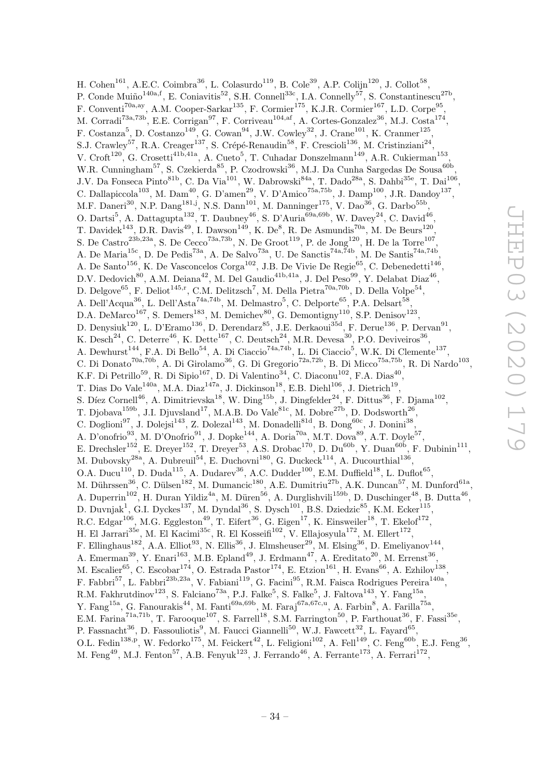H. Cohen<sup>161</sup>, A.E.C. Coimbra<sup>36</sup>, L. Colasurdo<sup>119</sup>, B. Cole<sup>39</sup>, A.P. Colijn<sup>120</sup>, J. Collot<sup>58</sup>, P. Conde Muiño<sup>140a,f</sup>, E. Coniavitis<sup>52</sup>, S.H. Connell<sup>33c</sup>, I.A. Connelly<sup>57</sup>, S. Constantinescu<sup>27b</sup>, F. Conventi<sup>70a,ay</sup>, A.M. Cooper-Sarkar<sup>135</sup>, F. Cormier<sup>175</sup>, K.J.R. Cormier<sup>167</sup>, L.D. Corpe<sup>95</sup>, M. Corradi<sup>73a,73b</sup>, E.E. Corrigan<sup>97</sup>, F. Corriveau<sup>104,af</sup>, A. Cortes-Gonzalez<sup>36</sup>, M.J. Costa<sup>174</sup>, F. Costanza<sup>5</sup>, D. Costanzo<sup>149</sup>, G. Cowan<sup>94</sup>, J.W. Cowley<sup>32</sup>, J. Crane<sup>101</sup>, K. Cranmer<sup>125</sup>, S.J. Crawley<sup>57</sup>, R.A. Creager<sup>137</sup>, S. Crépé-Renaudin<sup>58</sup>, F. Crescioli<sup>136</sup>, M. Cristinziani<sup>24</sup>, V. Croft<sup>120</sup>, G. Crosetti<sup>41b,41a</sup>, A. Cueto<sup>5</sup>, T. Cuhadar Donszelmann<sup>149</sup>, A.R. Cukierman<sup>153</sup> , W.R. Cunningham<sup>57</sup>, S. Czekierda<sup>85</sup>, P. Czodrowski<sup>36</sup>, M.J. Da Cunha Sargedas De Sousa<sup>60b</sup>, J.V. Da Fonseca Pinto<sup>81b</sup>, C. Da Via<sup>101</sup>, W. Dabrowski<sup>84a</sup>, T. Dado<sup>28a</sup>, S. Dahbi<sup>35e</sup>, T. Dai<sup>106</sup>, C. Dallapiccola<sup>103</sup>, M. Dam<sup>40</sup>, G. D'amen<sup>29</sup>, V. D'Amico<sup>75a,75b</sup>, J. Damp<sup>100</sup>, J.R. Dandoy<sup>137</sup>, M.F. Daneri<sup>30</sup>, N.P. Dang<sup>181,j</sup>, N.S. Dann<sup>101</sup>, M. Danninger<sup>175</sup>, V. Dao<sup>36</sup>, G. Darbo<sup>55b</sup>, O. Dartsi<sup>5</sup>, A. Dattagupta<sup>132</sup>, T. Daubney<sup>46</sup>, S. D'Auria<sup>69a,69b</sup>, W. Davey<sup>24</sup>, C. David<sup>46</sup>, T. Davidek<sup>143</sup>, D.R. Davis<sup>49</sup>, I. Dawson<sup>149</sup>, K. De<sup>8</sup>, R. De Asmundis<sup>70a</sup>, M. De Beurs<sup>120</sup>, S. De Castro<sup>23b,23a</sup>, S. De Cecco<sup>73a,73b</sup>, N. De Groot<sup>119</sup>, P. de Jong<sup>120</sup>, H. De la Torre<sup>107</sup>, A. De Maria<sup>15c</sup>, D. De Pedis<sup>73a</sup>, A. De Salvo<sup>73a</sup>, U. De Sanctis<sup>74a,74b</sup>, M. De Santis<sup>74a,74b</sup>, A. De Santo<sup>156</sup>, K. De Vasconcelos Corga<sup>102</sup>, J.B. De Vivie De Regie<sup>65</sup>, C. Debenedetti<sup>146</sup>, D.V. Dedovich<sup>80</sup>, A.M. Deiana<sup>42</sup>, M. Del Gaudio<sup>41b,41a</sup>, J. Del Peso<sup>99</sup>, Y. Delabat Diaz<sup>46</sup>, D. Delgove $^{65}$ , F. Deliot $^{145,r}$ , C.M. Delitzsch<sup>7</sup>, M. Della Pietra<sup>70a,70b</sup>, D. Della Volpe $^{54}$ , A. Dell'Acqua<sup>36</sup>, L. Dell'Asta<sup>74a,74b</sup>, M. Delmastro<sup>5</sup>, C. Delporte<sup>65</sup>, P.A. Delsart<sup>58</sup>, D.A. DeMarco<sup>167</sup>, S. Demers<sup>183</sup>, M. Demichev<sup>80</sup>, G. Demontigny<sup>110</sup>, S.P. Denisov<sup>123</sup>, D. Denysiuk<sup>120</sup>, L. D'Eramo<sup>136</sup>, D. Derendarz<sup>85</sup>, J.E. Derkaoui<sup>35d</sup>, F. Derue<sup>136</sup>, P. Dervan<sup>91</sup>, K. Desch<sup>24</sup>, C. Deterre<sup>46</sup>, K. Dette<sup>167</sup>, C. Deutsch<sup>24</sup>, M.R. Devesa<sup>30</sup>, P.O. Deviveiros<sup>36</sup>, A. Dewhurst<sup>144</sup>, F.A. Di Bello<sup>54</sup>, A. Di Ciaccio<sup>74a,74b</sup>, L. Di Ciaccio<sup>5</sup>, W.K. Di Clemente<sup>137</sup>, C. Di Donato<sup>70a,70b</sup>, A. Di Girolamo<sup>36</sup>, G. Di Gregorio<sup>72a,72b</sup>, B. Di Micco<sup>75a,75b</sup>, R. Di Nardo<sup>103</sup>, K.F. Di Petrillo<sup>59</sup>, R. Di Sipio<sup>167</sup>, D. Di Valentino<sup>34</sup>, C. Diaconu<sup>102</sup>, F.A. Dias<sup>40</sup>, T. Dias Do Vale<sup>140a</sup>, M.A. Diaz<sup>147a</sup>, J. Dickinson<sup>18</sup>, E.B. Diehl<sup>106</sup>, J. Dietrich<sup>19</sup>, S. Díez Cornell<sup>46</sup>, A. Dimitrievska<sup>18</sup>, W. Ding<sup>15b</sup>, J. Dingfelder<sup>24</sup>, F. Dittus<sup>36</sup>, F. Djama<sup>102</sup>, T. Djobava<sup>159b</sup>, J.I. Djuvsland<sup>17</sup>, M.A.B. Do Vale<sup>81c</sup>, M. Dobre<sup>27b</sup>, D. Dodsworth<sup>26</sup>, C. Doglioni<sup>97</sup>, J. Dolejsi<sup>143</sup>, Z. Dolezal<sup>143</sup>, M. Donadelli<sup>81d</sup>, B. Dong<sup>60c</sup>, J. Donini<sup>38</sup>, A. D'onofrio<sup>93</sup>, M. D'Onofrio<sup>91</sup>, J. Dopke<sup>144</sup>, A. Doria<sup>70a</sup>, M.T. Dova<sup>89</sup>, A.T. Doyle<sup>57</sup>, E. Drechsler<sup>152</sup>, E. Dreyer<sup>152</sup>, T. Dreyer<sup>53</sup>, A.S. Drobac<sup>170</sup>, D. Du<sup>60b</sup>, Y. Duan<sup>60b</sup>, F. Dubinin<sup>111</sup>, M. Dubovsky<sup>28a</sup>, A. Dubreuil<sup>54</sup>, E. Duchovni<sup>180</sup>, G. Duckeck<sup>114</sup>, A. Ducourthial<sup>136</sup>, O.A. Ducu<sup>110</sup>, D. Duda<sup>115</sup>, A. Dudarev<sup>36</sup>, A.C. Dudder<sup>100</sup>, E.M. Duffield<sup>18</sup>, L. Duflot<sup>65</sup>, M. Dührssen<sup>36</sup>, C. Dülsen<sup>182</sup>, M. Dumancic<sup>180</sup>, A.E. Dumitriu<sup>27b</sup>, A.K. Duncan<sup>57</sup>, M. Dunford<sup>61a</sup>, A. Duperrin<sup>102</sup>, H. Duran Yildiz<sup>4a</sup>, M. Düren<sup>56</sup>, A. Durglishvili<sup>159b</sup>, D. Duschinger<sup>48</sup>, B. Dutta<sup>46</sup>, D. Duvnjak<sup>1</sup>, G.I. Dyckes<sup>137</sup>, M. Dyndal<sup>36</sup>, S. Dysch<sup>101</sup>, B.S. Dziedzic<sup>85</sup>, K.M. Ecker<sup>115</sup>, R.C. Edgar<sup>106</sup>, M.G. Eggleston<sup>49</sup>, T. Eifert<sup>36</sup>, G. Eigen<sup>17</sup>, K. Einsweiler<sup>18</sup>, T. Ekelof<sup>172</sup>, H. El Jarrari<sup>35e</sup>, M. El Kacimi<sup>35c</sup>, R. El Kosseifi<sup>102</sup>, V. Ellajosyula<sup>172</sup>, M. Ellert<sup>172</sup>, F. Ellinghaus<sup>182</sup>, A.A. Elliot<sup>93</sup>, N. Ellis<sup>36</sup>, J. Elmsheuser<sup>29</sup>, M. Elsing<sup>36</sup>, D. Emeliyanov<sup>144</sup>, A. Emerman<sup>39</sup>, Y. Enari<sup>163</sup>, M.B. Epland<sup>49</sup>, J. Erdmann<sup>47</sup>, A. Ereditato<sup>20</sup>, M. Errenst<sup>36</sup>, M. Escalier<sup>65</sup>, C. Escobar<sup>174</sup>, O. Estrada Pastor<sup>174</sup>, E. Etzion<sup>161</sup>, H. Evans<sup>66</sup>, A. Ezhilov<sup>138</sup>, F. Fabbri<sup>57</sup>, L. Fabbri<sup>23b,23a</sup>, V. Fabiani<sup>119</sup>, G. Facini<sup>95</sup>, R.M. Faisca Rodrigues Pereira<sup>140a</sup>, R.M. Fakhrutdinov<sup>123</sup>, S. Falciano<sup>73a</sup>, P.J. Falke<sup>5</sup>, S. Falke<sup>5</sup>, J. Faltova<sup>143</sup>, Y. Fang<sup>15a</sup>, Y. Fang<sup>15a</sup>, G. Fanourakis<sup>44</sup>, M. Fanti<sup>69a,69b</sup>, M. Faraj<sup>67a,67c,u</sup>, A. Farbin<sup>8</sup>, A. Farilla<sup>75a</sup>, E.M. Farina<sup>71a,71b</sup>, T. Farooque<sup>107</sup>, S. Farrell<sup>18</sup>, S.M. Farrington<sup>50</sup>, P. Farthouat<sup>36</sup>, F. Fassi<sup>35e</sup>, P. Fassnacht<sup>36</sup>, D. Fassouliotis<sup>9</sup>, M. Faucci Giannelli<sup>50</sup>, W.J. Fawcett<sup>32</sup>, L. Fayard<sup>65</sup>, O.L. Fedin<sup>138,p</sup>, W. Fedorko<sup>175</sup>, M. Feickert<sup>42</sup>, L. Feligioni<sup>102</sup>, A. Fell<sup>149</sup>, C. Feng<sup>60b</sup>, E.J. Feng<sup>36</sup>,

M. Feng<sup>49</sup>, M.J. Fenton<sup>57</sup>, A.B. Fenyuk<sup>123</sup>, J. Ferrando<sup>46</sup>, A. Ferrante<sup>173</sup>, A. Ferrari<sup>172</sup>,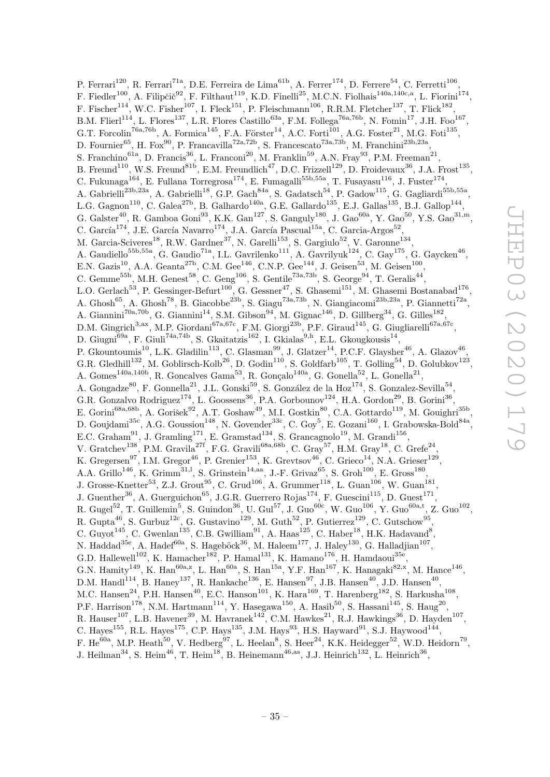P. Ferrari<sup>120</sup>, R. Ferrari<sup>71a</sup>, D.E. Ferreira de Lima<sup>61b</sup>, A. Ferrer<sup>174</sup>, D. Ferrere<sup>54</sup>, C. Ferretti<sup>106</sup>, F. Fiedler<sup>100</sup>, A. Filipčič<sup>92</sup>, F. Filthaut<sup>119</sup>, K.D. Finelli<sup>25</sup>, M.C.N. Fiolhais<sup>140a,140c,a</sup>, L. Fiorini<sup>174</sup>, F. Fischer<sup>114</sup>, W.C. Fisher<sup>107</sup>, I. Fleck<sup>151</sup>, P. Fleischmann<sup>106</sup>, R.R.M. Fletcher<sup>137</sup>, T. Flick<sup>182</sup>, B.M. Flierl<sup>114</sup>, L. Flores<sup>137</sup>, L.R. Flores Castillo<sup>63a</sup>, F.M. Follega<sup>76a,76b</sup>, N. Fomin<sup>17</sup>, J.H. Foo<sup>167</sup>, G.T. Forcolin<sup>76a,76b</sup>, A. Formica<sup>145</sup>, F.A. Förster<sup>14</sup>, A.C. Forti<sup>101</sup>, A.G. Foster<sup>21</sup>, M.G. Foti<sup>135</sup>, D. Fournier<sup>65</sup>, H. Fox<sup>90</sup>, P. Francavilla<sup>72a,72b</sup>, S. Francescato<sup>73a,73b</sup>, M. Franchini<sup>23b,23a</sup>, S. Franchino<sup>61a</sup>, D. Francis<sup>36</sup>, L. Franconi<sup>20</sup>, M. Franklin<sup>59</sup>, A.N. Fray<sup>93</sup>, P.M. Freeman<sup>21</sup>, B. Freund<sup>110</sup>, W.S. Freund<sup>81b</sup>, E.M. Freundlich<sup>47</sup>, D.C. Frizzell<sup>129</sup>, D. Froidevaux<sup>36</sup>, J.A. Frost<sup>135</sup>, C. Fukunaga<sup>164</sup>, E. Fullana Torregrosa<sup>174</sup>, E. Fumagalli<sup>55b,55a</sup>, T. Fusayasu<sup>116</sup>, J. Fuster<sup>174</sup>, A. Gabrielli<sup>23b,23a</sup>, A. Gabrielli<sup>18</sup>, G.P. Gach<sup>84a</sup>, S. Gadatsch<sup>54</sup>, P. Gadow<sup>115</sup>, G. Gagliardi<sup>55b,55a</sup>, L.G. Gagnon<sup>110</sup>, C. Galea<sup>27b</sup>, B. Galhardo<sup>140a</sup>, G.E. Gallardo<sup>135</sup>, E.J. Gallas<sup>135</sup>, B.J. Gallop<sup>144</sup>, G. Galster<sup>40</sup>, R. Gamboa Goni<sup>93</sup>, K.K. Gan<sup>127</sup>, S. Ganguly<sup>180</sup>, J. Gao<sup>60a</sup>, Y. Gao<sup>50</sup>, Y.S. Gao<sup>31,m</sup>, C. García $^{174}$ , J.E. García Navarro $^{174}$ , J.A. García Pascual $^{15a}$ , C. Garcia-Argos $^{52}$ , M. Garcia-Sciveres<sup>18</sup>, R.W. Gardner<sup>37</sup>, N. Garelli<sup>153</sup>, S. Gargiulo<sup>52</sup>, V. Garonne<sup>134</sup>, A. Gaudiello<sup>55b,55a</sup>, G. Gaudio<sup>71a</sup>, I.L. Gavrilenko<sup>111</sup>, A. Gavrilyuk<sup>124</sup>, C. Gay<sup>175</sup>, G. Gaycken<sup>46</sup>, E.N. Gazis<sup>10</sup>, A.A. Geanta<sup>27b</sup>, C.M. Gee<sup>146</sup>, C.N.P. Gee<sup>144</sup>, J. Geisen<sup>53</sup>, M. Geisen<sup>100</sup>, C. Gemme<sup>55b</sup>, M.H. Genest<sup>58</sup>, C. Geng<sup>106</sup>, S. Gentile<sup>73a,73b</sup>, S. George<sup>94</sup>, T. Geralis<sup>44</sup>, L.O. Gerlach<sup>53</sup>, P. Gessinger-Befurt<sup>100</sup>, G. Gessner<sup>47</sup>, S. Ghasemi<sup>151</sup>, M. Ghasemi Bostanabad<sup>176</sup>, A. Ghosh<sup>65</sup>, A. Ghosh<sup>78</sup>, B. Giacobbe<sup>23b</sup>, S. Giagu<sup>73a,73b</sup>, N. Giangiacomi<sup>23b,23a</sup>, P. Giannetti<sup>72a</sup>, A. Giannini<sup>70a,70b</sup>, G. Giannini<sup>14</sup>, S.M. Gibson<sup>94</sup>, M. Gignac<sup>146</sup>, D. Gillberg<sup>34</sup>, G. Gilles<sup>182</sup>, D.M. Gingrich<sup>3,ax</sup>, M.P. Giordani<sup>67a,67c</sup>, F.M. Giorgi<sup>23b</sup>, P.F. Giraud<sup>145</sup>, G. Giugliarelli<sup>67a,67c</sup>, D. Giugni<sup>69a</sup>, F. Giuli<sup>74a,74b</sup>, S. Gkaitatzis<sup>162</sup>, I. Gkialas<sup>9,h</sup>, E.L. Gkougkousis<sup>14</sup>, P. Gkountoumis<sup>10</sup>, L.K. Gladilin<sup>113</sup>, C. Glasman<sup>99</sup>, J. Glatzer<sup>14</sup>, P.C.F. Glaysher<sup>46</sup>, A. Glazov<sup>46</sup>, G.R. Gledhill<sup>132</sup>, M. Goblirsch-Kolb<sup>26</sup>, D. Godin<sup>110</sup>, S. Goldfarb<sup>105</sup>, T. Golling<sup>54</sup>, D. Golubkov<sup>123</sup>, A. Gomes<sup>140a,140b</sup>, R. Goncalves Gama<sup>53</sup>, R. Gonçalo<sup>140a</sup>, G. Gonella<sup>52</sup>, L. Gonella<sup>21</sup>, A. Gongadze<sup>80</sup>, F. Gonnella<sup>21</sup>, J.L. Gonski<sup>59</sup>, S. González de la Hoz<sup>174</sup>, S. Gonzalez-Sevilla<sup>54</sup>, G.R. Gonzalvo Rodriguez<sup>174</sup>, L. Goossens<sup>36</sup>, P.A. Gorbounov<sup>124</sup>, H.A. Gordon<sup>29</sup>, B. Gorini<sup>36</sup>, E. Gorini<sup>68a,68b</sup>, A. Gorišek<sup>92</sup>, A.T. Goshaw<sup>49</sup>, M.I. Gostkin<sup>80</sup>, C.A. Gottardo<sup>119</sup>, M. Gouighri<sup>35b</sup>, D. Goujdami<sup>35c</sup>, A.G. Goussiou<sup>148</sup>, N. Govender<sup>33c</sup>, C. Goy<sup>5</sup>, E. Gozani<sup>160</sup>, I. Grabowska-Bold<sup>84a</sup>, E.C. Graham<sup>91</sup>, J. Gramling<sup>171</sup>, E. Gramstad<sup>134</sup>, S. Grancagnolo<sup>19</sup>, M. Grandi<sup>156</sup>, V. Gratchev<sup>138</sup>, P.M. Gravila<sup>27f</sup>, F.G. Gravili<sup>68a,68b</sup>, C. Gray<sup>57</sup>, H.M. Gray<sup>18</sup>, C. Grefe<sup>24</sup>, K. Gregersen<sup>97</sup>, I.M. Gregor<sup>46</sup>, P. Grenier<sup>153</sup>, K. Grevtsov<sup>46</sup>, C. Grieco<sup>14</sup>, N.A. Grieser<sup>129</sup>, A.A. Grillo<sup>146</sup>, K. Grimm<sup>31,1</sup>, S. Grinstein<sup>14,aa</sup>, J.-F. Grivaz<sup>65</sup>, S. Groh<sup>100</sup>, E. Gross<sup>180</sup>, J. Grosse-Knetter<sup>53</sup>, Z.J. Grout<sup>95</sup>, C. Grud<sup>106</sup>, A. Grummer<sup>118</sup>, L. Guan<sup>106</sup>, W. Guan<sup>181</sup>, J. Guenther<sup>36</sup>, A. Guerguichon<sup>65</sup>, J.G.R. Guerrero Rojas<sup>174</sup>, F. Guescini<sup>115</sup>, D. Guest<sup>171</sup>, R. Gugel<sup>52</sup>, T. Guillemin<sup>5</sup>, S. Guindon<sup>36</sup>, U. Gul<sup>57</sup>, J. Guo<sup>60c</sup>, W. Guo<sup>106</sup>, Y. Guo<sup>60a,t</sup>, Z. Guo<sup>102</sup>, R. Gupta<sup>46</sup>, S. Gurbuz<sup>12c</sup>, G. Gustavino<sup>129</sup>, M. Guth<sup>52</sup>, P. Gutierrez<sup>129</sup>, C. Gutschow<sup>95</sup>, C. Guyot<sup>145</sup>, C. Gwenlan<sup>135</sup>, C.B. Gwilliam<sup>91</sup>, A. Haas<sup>125</sup>, C. Haber<sup>18</sup>, H.K. Hadavand<sup>8</sup>, N. Haddad<sup>35e</sup>, A. Hadef<sup>60a</sup>, S. Hageböck<sup>36</sup>, M. Haleem<sup>177</sup>, J. Haley<sup>130</sup>, G. Halladjian<sup>107</sup>, G.D. Hallewell<sup>102</sup>, K. Hamacher<sup>182</sup>, P. Hamal<sup>131</sup>, K. Hamano<sup>176</sup>, H. Hamdaoui<sup>35e</sup>, G.N. Hamity<sup>149</sup>, K. Han<sup>60a,z</sup>, L. Han<sup>60a</sup>, S. Han<sup>15a</sup>, Y.F. Han<sup>167</sup>, K. Hanagaki<sup>82,x</sup>, M. Hance<sup>146</sup>, D.M. Handl<sup>114</sup>, B. Haney<sup>137</sup>, R. Hankache<sup>136</sup>, E. Hansen<sup>97</sup>, J.B. Hansen<sup>40</sup>, J.D. Hansen<sup>40</sup>, M.C. Hansen<sup>24</sup>, P.H. Hansen<sup>40</sup>, E.C. Hanson<sup>101</sup>, K. Hara<sup>169</sup>, T. Harenberg<sup>182</sup>, S. Harkusha<sup>108</sup>, P.F. Harrison<sup>178</sup>, N.M. Hartmann<sup>114</sup>, Y. Hasegawa<sup>150</sup>, A. Hasib<sup>50</sup>, S. Hassani<sup>145</sup>, S. Haug<sup>20</sup>, R. Hauser<sup>107</sup>, L.B. Havener<sup>39</sup>, M. Havranek<sup>142</sup>, C.M. Hawkes<sup>21</sup>, R.J. Hawkings<sup>36</sup>, D. Hayden<sup>107</sup>, C. Hayes<sup>155</sup>, R.L. Hayes<sup>175</sup>, C.P. Hays<sup>135</sup>, J.M. Hays<sup>93</sup>, H.S. Hayward<sup>91</sup>, S.J. Haywood<sup>144</sup>, F. He<sup>60a</sup>, M.P. Heath<sup>50</sup>, V. Hedberg<sup>97</sup>, L. Heelan<sup>8</sup>, S. Heer<sup>24</sup>, K.K. Heidegger<sup>52</sup>, W.D. Heidorn<sup>79</sup>,

J. Heilman<sup>34</sup>, S. Heim<sup>46</sup>, T. Heim<sup>18</sup>, B. Heinemann<sup>46,as</sup>, J.J. Heinrich<sup>132</sup>, L. Heinrich<sup>36</sup>,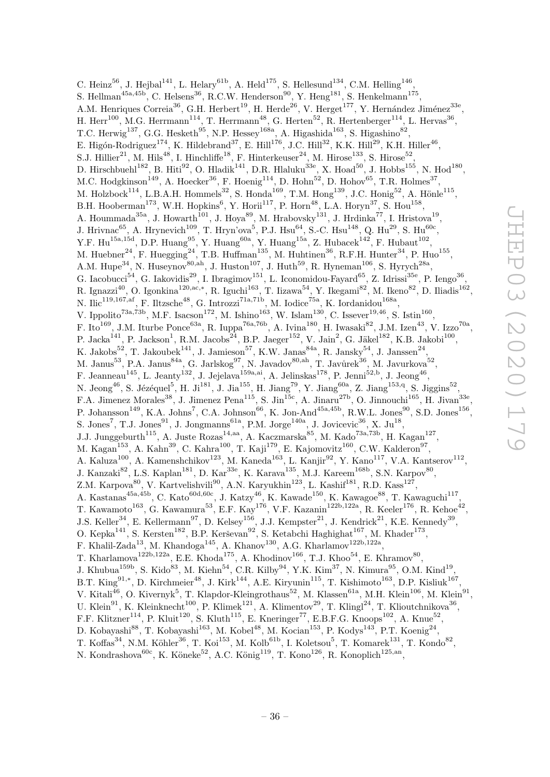C. Heinz<sup>56</sup>, J. Hejbal<sup>141</sup>, L. Helary<sup>61b</sup>, A. Held<sup>175</sup>, S. Hellesund<sup>134</sup>, C.M. Helling<sup>146</sup>, S. Hellman<sup>45a,45b</sup>, C. Helsens<sup>36</sup>, R.C.W. Henderson<sup>90</sup>, Y. Heng<sup>181</sup>, S. Henkelmann<sup>175</sup>, A.M. Henriques Correia<sup>36</sup>, G.H. Herbert<sup>19</sup>, H. Herde<sup>26</sup>, V. Herget<sup>177</sup>, Y. Hernández Jiménez<sup>33e</sup>, H. Herr<sup>100</sup>, M.G. Herrmann<sup>114</sup>, T. Herrmann<sup>48</sup>, G. Herten<sup>52</sup>, R. Hertenberger<sup>114</sup>, L. Hervas<sup>36</sup>, T.C. Herwig<sup>137</sup>, G.G. Hesketh<sup>95</sup>, N.P. Hessey<sup>168a</sup>, A. Higashida<sup>163</sup>, S. Higashino<sup>82</sup>, E. Higón-Rodriguez<sup>174</sup>, K. Hildebrand<sup>37</sup>, E. Hill<sup>176</sup>, J.C. Hill<sup>32</sup>, K.K. Hill<sup>29</sup>, K.H. Hiller<sup>46</sup>, S.J. Hillier<sup>21</sup>, M. Hils<sup>48</sup>, I. Hinchliffe<sup>18</sup>, F. Hinterkeuser<sup>24</sup>, M. Hirose<sup>133</sup>, S. Hirose<sup>52</sup>, D. Hirschbuehl<sup>182</sup>, B. Hiti<sup>92</sup>, O. Hladik<sup>141</sup>, D.R. Hlaluku<sup>33e</sup>, X. Hoad<sup>50</sup>, J. Hobbs<sup>155</sup>, N. Hod<sup>180</sup>, M.C. Hodgkinson<sup>149</sup>, A. Hoecker<sup>36</sup>, F. Hoenig<sup>114</sup>, D. Hohn<sup>52</sup>, D. Hohov<sup>65</sup>, T.R. Holmes<sup>37</sup>, M. Holzbock<sup>114</sup>, L.B.A.H. Hommels<sup>32</sup>, S. Honda<sup>169</sup>, T.M. Hong<sup>139</sup>, J.C. Honig<sup>52</sup>, A. Hönle<sup>115</sup>, B.H. Hooberman<sup>173</sup>, W.H. Hopkins<sup>6</sup>, Y. Horii<sup>117</sup>, P. Horn<sup>48</sup>, L.A. Horyn<sup>37</sup>, S. Hou<sup>158</sup>, A. Hoummada<sup>35a</sup>, J. Howarth<sup>101</sup>, J. Hoya<sup>89</sup>, M. Hrabovsky<sup>131</sup>, J. Hrdinka<sup>77</sup>, I. Hristova<sup>19</sup>, J. Hrivnac<sup>65</sup>, A. Hrynevich<sup>109</sup>, T. Hryn'ova<sup>5</sup>, P.J. Hsu<sup>64</sup>, S.-C. Hsu<sup>148</sup>, Q. Hu<sup>29</sup>, S. Hu<sup>60c</sup>, Y.F. Hu<sup>15a,15d</sup>, D.P. Huang<sup>95</sup>, Y. Huang<sup>60a</sup>, Y. Huang<sup>15a</sup>, Z. Hubacek<sup>142</sup>, F. Hubaut<sup>102</sup>, M. Huebner<sup>24</sup>, F. Huegging<sup>24</sup>, T.B. Huffman<sup>135</sup>, M. Huhtinen<sup>36</sup>, R.F.H. Hunter<sup>34</sup>, P. Huo<sup>155</sup>, A.M. Hupe<sup>34</sup>, N. Huseynov<sup>80,ah</sup>, J. Huston<sup>107</sup>, J. Huth<sup>59</sup>, R. Hyneman<sup>106</sup>, S. Hyrych<sup>28a</sup>, G. Iacobucci<sup>54</sup>, G. Iakovidis<sup>29</sup>, I. Ibragimov<sup>151</sup>, L. Iconomidou-Fayard<sup>65</sup>, Z. Idrissi<sup>35e</sup>, P. Iengo<sup>36</sup>, R. Ignazzi<sup>40</sup>, O. Igonkina<sup>120,ac,\*</sup>, R. Iguchi<sup>163</sup>, T. Iizawa<sup>54</sup>, Y. Ikegami<sup>82</sup>, M. Ikeno<sup>82</sup>, D. Iliadis<sup>162</sup>, N. Ilic<sup>119,167,af</sup>, F. Iltzsche<sup>48</sup>, G. Introzzi<sup>71a,71b</sup>, M. Iodice<sup>75a</sup>, K. Iordanidou<sup>168a</sup>, V. Ippolito<sup>73a,73b</sup>, M.F. Isacson<sup>172</sup>, M. Ishino<sup>163</sup>, W. Islam<sup>130</sup>, C. Issever<sup>19,46</sup>, S. Istin<sup>160</sup>, F. Ito<sup>169</sup>, J.M. Iturbe Ponce<sup>63a</sup>, R. Iuppa<sup>76a,76b</sup>, A. Ivina<sup>180</sup>, H. Iwasaki<sup>82</sup>, J.M. Izen<sup>43</sup>, V. Izzo<sup>70a</sup>, P. Jacka<sup>141</sup>, P. Jackson<sup>1</sup>, R.M. Jacobs<sup>24</sup>, B.P. Jaeger<sup>152</sup>, V. Jain<sup>2</sup>, G. Jäkel<sup>182</sup>, K.B. Jakobi<sup>100</sup>, K. Jakobs<sup>52</sup>, T. Jakoubek<sup>141</sup>, J. Jamieson<sup>57</sup>, K.W. Janas<sup>84a</sup>, R. Jansky<sup>54</sup>, J. Janssen<sup>24</sup>, M. Janus<sup>53</sup>, P.A. Janus<sup>84a</sup>, G. Jarlskog<sup>97</sup>, N. Javadov<sup>80,ah</sup>, T. Javůrek<sup>36</sup>, M. Javurkova<sup>52</sup>, F. Jeanneau<sup>145</sup>, L. Jeanty<sup>132</sup>, J. Jejelava<sup>159a,ai</sup>, A. Jelinskas<sup>178</sup>, P. Jenni<sup>52,b</sup>, J. Jeong<sup>46</sup>, N. Jeong<sup>46</sup>, S. Jézéquel<sup>5</sup>, H. Ji<sup>181</sup>, J. Jia<sup>155</sup>, H. Jiang<sup>79</sup>, Y. Jiang<sup>60a</sup>, Z. Jiang<sup>153,q</sup>, S. Jiggins<sup>52</sup>, F.A. Jimenez Morales<sup>38</sup>, J. Jimenez Pena<sup>115</sup>, S. Jin<sup>15c</sup>, A. Jinaru<sup>27b</sup>, O. Jinnouchi<sup>165</sup>, H. Jivan<sup>33e</sup>, P. Johansson<sup>149</sup>, K.A. Johns<sup>7</sup>, C.A. Johnson<sup>66</sup>, K. Jon-And<sup>45a,45b</sup>, R.W.L. Jones<sup>90</sup>, S.D. Jones<sup>156</sup>, S. Jones<sup>7</sup>, T.J. Jones<sup>91</sup>, J. Jongmanns<sup>61a</sup>, P.M. Jorge<sup>140a</sup>, J. Jovicevic<sup>36</sup>, X. Ju<sup>18</sup>, J.J. Junggeburth<sup>115</sup>, A. Juste Rozas<sup>14,aa</sup>, A. Kaczmarska<sup>85</sup>, M. Kado<sup>73a,73b</sup>, H. Kagan<sup>127</sup>, M. Kagan $^{153}$ , A. Kahn $^{39}$ , C. Kahra $^{100}$ , T. Kaji $^{179}$ , E. Kajomovitz $^{160}$ , C.W. Kalderon $^{97}$ , A. Kaluza<sup>100</sup>, A. Kamenshchikov<sup>123</sup>, M. Kaneda<sup>163</sup>, L. Kanjir<sup>92</sup>, Y. Kano<sup>117</sup>, V.A. Kantserov<sup>112</sup>, J. Kanzaki $^{82}$ , L.S. Kaplan<sup>181</sup>, D. Kar<sup>33e</sup>, K. Karava<sup>135</sup>, M.J. Kareem<sup>168b</sup>, S.N. Karpov<sup>80</sup>, Z.M. Karpova $^{80}$ , V. Kartvelishvili $^{90}$ , A.N. Karyukhin<sup>123</sup>, L. Kashif<sup>181</sup>, R.D. Kass<sup>127</sup>, A. Kastanas<sup>45a,45b</sup>, C. Kato<sup>60d,60c</sup>, J. Katzy<sup>46</sup>, K. Kawade<sup>150</sup>, K. Kawagoe<sup>88</sup>, T. Kawaguchi<sup>117</sup>, T. Kawamoto<sup>163</sup>, G. Kawamura<sup>53</sup>, E.F. Kay<sup>176</sup>, V.F. Kazanin<sup>122b,122a</sup>, R. Keeler<sup>176</sup>, R. Kehoe<sup>42</sup>, J.S. Keller<sup>34</sup>, E. Kellermann<sup>97</sup>, D. Kelsey<sup>156</sup>, J.J. Kempster<sup>21</sup>, J. Kendrick<sup>21</sup>, K.E. Kennedy<sup>39</sup>, O. Kepka<sup>141</sup>, S. Kersten<sup>182</sup>, B.P. Kerševan<sup>92</sup>, S. Ketabchi Haghighat<sup>167</sup>, M. Khader<sup>173</sup>, F. Khalil-Zada<sup>13</sup>, M. Khandoga<sup>145</sup>, A. Khanov<sup>130</sup>, A.G. Kharlamov<sup>122b,122a</sup>, T. Kharlamova<sup>122b,122a</sup>, E.E. Khoda<sup>175</sup>, A. Khodinov<sup>166</sup>, T.J. Khoo<sup>54</sup>, E. Khramov<sup>80</sup>, J. Khubua<sup>159b</sup>, S. Kido<sup>83</sup>, M. Kiehn<sup>54</sup>, C.R. Kilby<sup>94</sup>, Y.K. Kim<sup>37</sup>, N. Kimura<sup>95</sup>, O.M. Kind<sup>19</sup>, B.T. King<sup>91,\*</sup>, D. Kirchmeier<sup>48</sup>, J. Kirk<sup>144</sup>, A.E. Kiryunin<sup>115</sup>, T. Kishimoto<sup>163</sup>, D.P. Kisliuk<sup>167</sup>, V. Kitali<sup>46</sup>, O. Kivernyk<sup>5</sup>, T. Klapdor-Kleingrothaus<sup>52</sup>, M. Klassen<sup>61a</sup>, M.H. Klein<sup>106</sup>, M. Klein<sup>91</sup>, U. Klein<sup>91</sup>, K. Kleinknecht<sup>100</sup>, P. Klimek<sup>121</sup>, A. Klimentov<sup>29</sup>, T. Klingl<sup>24</sup>, T. Klioutchnikova<sup>36</sup>, F.F. Klitzner<sup>114</sup>, P. Kluit<sup>120</sup>, S. Kluth<sup>115</sup>, E. Kneringer<sup>77</sup>, E.B.F.G. Knoops<sup>102</sup>, A. Knue<sup>52</sup>, D. Kobayashi<sup>88</sup>, T. Kobayashi<sup>163</sup>, M. Kobel<sup>48</sup>, M. Kocian<sup>153</sup>, P. Kodys<sup>143</sup>, P.T. Koenig<sup>24</sup>, T. Koffas<sup>34</sup>, N.M. Köhler<sup>36</sup>, T. Koi<sup>153</sup>, M. Kolb<sup>61b</sup>, I. Koletsou<sup>5</sup>, T. Komarek<sup>131</sup>, T. Kondo<sup>82</sup>,

N. Kondrashova ${}^{60c}$ , K. Köneke ${}^{52}$ , A.C. König ${}^{119}$ , T. Kono<sup>126</sup>, R. Konoplich<sup>125,an</sup>,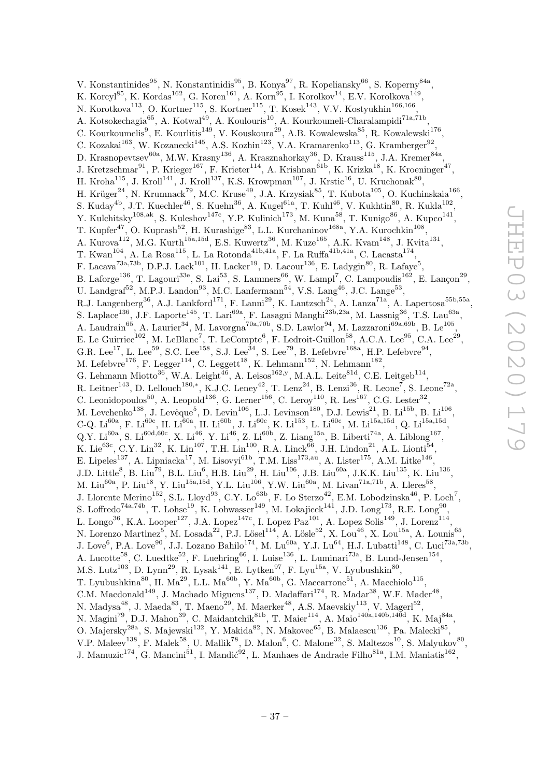V. Konstantinides<sup>95</sup>, N. Konstantinidis<sup>95</sup>, B. Konya<sup>97</sup>, R. Kopeliansky<sup>66</sup>, S. Koperny<sup>84a</sup>, K. Korcyl $^{85}$ , K. Kordas<sup>162</sup>, G. Koren<sup>161</sup>, A. Korn $^{95}$ , I. Korolkov $^{14}$ , E.V. Korolkova $^{149}$ , N. Korotkova $^{113}$ , O. Kortner $^{115}$ , S. Kortner $^{115}$ , T. Kosek $^{143}$ , V.V. Kostyukhin $^{166,166}$ , A. Kotsokechagia<sup>65</sup>, A. Kotwal<sup>49</sup>, A. Koulouris<sup>10</sup>, A. Kourkoumeli-Charalampidi<sup>71a,71b</sup>, C. Kourkoumelis<sup>9</sup>, E. Kourlitis<sup>149</sup>, V. Kouskoura<sup>29</sup>, A.B. Kowalewska<sup>85</sup>, R. Kowalewski<sup>176</sup>, C. Kozakai<sup>163</sup>, W. Kozanecki<sup>145</sup>, A.S. Kozhin<sup>123</sup>, V.A. Kramarenko<sup>113</sup>, G. Kramberger<sup>92</sup>, D. Krasnopevtsev $^{60a}$ , M.W. Krasny $^{136}$ , A. Krasznahorkay $^{36}$ , D. Krauss $^{115}$ , J.A. Kremer $^{84a}$ , J. Kretzschmar<sup>91</sup>, P. Krieger<sup>167</sup>, F. Krieter<sup>114</sup>, A. Krishnan<sup>61b</sup>, K. Krizka<sup>18</sup>, K. Kroeninger<sup>47</sup>, H. Kroha $^{115}$ , J. Kroll<sup>141</sup>, J. Kroll<sup>137</sup>, K.S. Krowpman<sup>107</sup>, J. Krstic<sup>16</sup>, U. Kruchonak<sup>80</sup>, H. Krüger<sup>24</sup>, N. Krumnack<sup>79</sup>, M.C. Kruse<sup>49</sup>, J.A. Krzysiak<sup>85</sup>, T. Kubota<sup>105</sup>, O. Kuchinskaia<sup>166</sup>, S. Kuday<sup>4b</sup>, J.T. Kuechler<sup>46</sup>, S. Kuehn<sup>36</sup>, A. Kugel<sup>61a</sup>, T. Kuhl<sup>46</sup>, V. Kukhtin<sup>80</sup>, R. Kukla<sup>102</sup>, Y. Kulchitsky<sup>108,ak</sup>, S. Kuleshov<sup>147c</sup>, Y.P. Kulinich<sup>173</sup>, M. Kuna<sup>58</sup>, T. Kunigo<sup>86</sup>, A. Kupco<sup>141</sup>, T. Kupfer<sup>47</sup>, O. Kuprash<sup>52</sup>, H. Kurashige<sup>83</sup>, L.L. Kurchaninov<sup>168a</sup>, Y.A. Kurochkin<sup>108</sup>, A. Kurova<sup>112</sup>, M.G. Kurth<sup>15a,15d</sup>, E.S. Kuwertz<sup>36</sup>, M. Kuze<sup>165</sup>, A.K. Kvam<sup>148</sup>, J. Kvita<sup>131</sup>, T. Kwan $^{104}$ , A. La Rosa $^{115}$ , L. La Rotonda $^{41b,41a}$ , F. La Ruffa $^{41b,41a}$ , C. Lacasta $^{174}$ , F. Lacava<sup>73a,73b</sup>, D.P.J. Lack<sup>101</sup>, H. Lacker<sup>19</sup>, D. Lacour<sup>136</sup>, E. Ladygin<sup>80</sup>, R. Lafaye<sup>5</sup>, B. Laforge<sup>136</sup>, T. Lagouri<sup>33e</sup>, S. Lai<sup>53</sup>, S. Lammers<sup>66</sup>, W. Lampl<sup>7</sup>, C. Lampoudis<sup>162</sup>, E. Lançon<sup>29</sup>, U. Landgraf<sup>52</sup>, M.P.J. Landon<sup>93</sup>, M.C. Lanfermann<sup>54</sup>, V.S. Lang<sup>46</sup>, J.C. Lange<sup>53</sup>, R.J. Langenberg<sup>36</sup>, A.J. Lankford<sup>171</sup>, F. Lanni<sup>29</sup>, K. Lantzsch<sup>24</sup>, A. Lanza<sup>71a</sup>, A. Lapertosa<sup>55b,55a</sup>, S. Laplace<sup>136</sup>, J.F. Laporte<sup>145</sup>, T. Lari<sup>69a</sup>, F. Lasagni Manghi<sup>23b,23a</sup>, M. Lassnig<sup>36</sup>, T.S. Lau<sup>63a</sup>, A. Laudrain<sup>65</sup>, A. Laurier<sup>34</sup>, M. Lavorgna<sup>70a,70b</sup>, S.D. Lawlor<sup>94</sup>, M. Lazzaroni<sup>69a,69b</sup>, B. Le<sup>105</sup>, E. Le Guirriec<sup>102</sup>, M. LeBlanc<sup>7</sup>, T. LeCompte<sup>6</sup>, F. Ledroit-Guillon<sup>58</sup>, A.C.A. Lee<sup>95</sup>, C.A. Lee<sup>29</sup>, G.R. Lee<sup>17</sup>, L. Lee<sup>59</sup>, S.C. Lee<sup>158</sup>, S.J. Lee<sup>34</sup>, S. Lee<sup>79</sup>, B. Lefebvre<sup>168a</sup>, H.P. Lefebvre<sup>94</sup>, M. Lefebvre<sup>176</sup>, F. Legger<sup>114</sup>, C. Leggett<sup>18</sup>, K. Lehmann<sup>152</sup>, N. Lehmann<sup>182</sup>, G. Lehmann Miotto<sup>36</sup>, W.A. Leight<sup>46</sup>, A. Leisos<sup>162,y</sup>, M.A.L. Leite<sup>81d</sup>, C.E. Leitgeb<sup>114</sup>, R. Leitner<sup>143</sup>, D. Lellouch<sup>180,\*</sup>, K.J.C. Leney<sup>42</sup>, T. Lenz<sup>24</sup>, B. Lenzi<sup>36</sup>, R. Leone<sup>7</sup>, S. Leone<sup>72a</sup>, C. Leonidopoulos<sup>50</sup>, A. Leopold<sup>136</sup>, G. Lerner<sup>156</sup>, C. Leroy<sup>110</sup>, R. Les<sup>167</sup>, C.G. Lester<sup>32</sup>, M. Levchenko<sup>138</sup>, J. Levêque<sup>5</sup>, D. Levin<sup>106</sup>, L.J. Levinson<sup>180</sup>, D.J. Lewis<sup>21</sup>, B. Li<sup>15b</sup>, B. Li<sup>106</sup>, C-Q.  $\text{Li}^{60a}$ , F.  $\text{Li}^{60c}$ , H.  $\text{Li}^{60a}$ , H.  $\text{Li}^{60b}$ , J.  $\text{Li}^{60c}$ , K.  $\text{Li}^{153}$ , L.  $\text{Li}^{60c}$ , M.  $\text{Li}^{15a,15d}$ , Q.  $\text{Li}^{15a,15d}$ ,  $Q.Y. Lif^{60a}, S. Lif^{60d, 60c}, X. Lif^{46}, Y. Lif^{46}, Z. Li^{60b}, Z. Liang<sup>15a</sup>, B. Liberti<sup>74a</sup>, A. Liblong<sup>167</sup>,$ K. Lie $^{63c}$ , C.Y. Lin<sup>32</sup>, K. Lin<sup>107</sup>, T.H. Lin<sup>100</sup>, R.A. Linck<sup>66</sup>, J.H. Lindon<sup>21</sup>, A.L. Lionti<sup>54</sup>, E. Lipeles<sup>137</sup>, A. Lipniacka<sup>17</sup>, M. Lisovyi<sup>61b</sup>, T.M. Liss<sup>173,au</sup>, A. Lister<sup>175</sup>, A.M. Litke<sup>146</sup>,  $J.D.$  Little<sup>8</sup>, B. Liu<sup>79</sup>, B.L. Liu<sup>6</sup>, H.B. Liu<sup>29</sup>, H. Liu<sup>106</sup>, J.B. Liu<sup>60a</sup>, J.K.K. Liu<sup>135</sup>, K. Liu<sup>136</sup>, M. Liu<sup>60a</sup>, P. Liu<sup>18</sup>, Y. Liu<sup>15a,15d</sup>, Y.L. Liu<sup>106</sup>, Y.W. Liu<sup>60a</sup>, M. Livan<sup>71a,71b</sup>, A. Lleres<sup>58</sup>, J. Llorente Merino<sup>152</sup>, S.L. Lloyd<sup>93</sup>, C.Y. Lo<sup>63b</sup>, F. Lo Sterzo<sup>42</sup>, E.M. Lobodzinska<sup>46</sup>, P. Loch<sup>7</sup>, S. Loffredo<sup>74a,74b</sup>, T. Lohse<sup>19</sup>, K. Lohwasser<sup>149</sup>, M. Lokajicek<sup>141</sup>, J.D. Long<sup>173</sup>, R.E. Long<sup>90</sup>, L. Longo<sup>36</sup>, K.A. Looper<sup>127</sup>, J.A. Lopez<sup>147c</sup>, I. Lopez Paz<sup>101</sup>, A. Lopez Solis<sup>149</sup>, J. Lorenz<sup>114</sup>, N. Lorenzo Martinez<sup>5</sup>, M. Losada<sup>22</sup>, P.J. Lösel<sup>114</sup>, A. Lösle<sup>52</sup>, X. Lou<sup>46</sup>, X. Lou<sup>15a</sup>, A. Lounis<sup>65</sup>, J. Love<sup>6</sup>, P.A. Love<sup>90</sup>, J.J. Lozano Bahilo<sup>174</sup>, M. Lu<sup>60a</sup>, Y.J. Lu<sup>64</sup>, H.J. Lubatti<sup>148</sup>, C. Luci<sup>73a,73b</sup>, A. Lucotte<sup>58</sup>, C. Luedtke<sup>52</sup>, F. Luehring<sup>66</sup>, I. Luise<sup>136</sup>, L. Luminari<sup>73a</sup>, B. Lund-Jensen<sup>154</sup>, M.S. Lutz<sup>103</sup>, D. Lynn<sup>29</sup>, R. Lysak<sup>141</sup>, E. Lytken<sup>97</sup>, F. Lyu<sup>15a</sup>, V. Lyubushkin<sup>80</sup>, T. Lyubushkina $^{80}$ , H. Ma $^{29}$ , L.L. Ma $^{60b}$ , Y. Ma $^{60b}$ , G. Maccarrone<sup>51</sup>, A. Macchiolo<sup>115</sup>, C.M. Macdonald<sup>149</sup>, J. Machado Miguens<sup>137</sup>, D. Madaffari<sup>174</sup>, R. Madar<sup>38</sup>, W.F. Mader<sup>48</sup>, N. Madysa $^{48}$ , J. Maeda $^{83}$ , T. Maeno $^{29}$ , M. Maerker $^{48}$ , A.S. Maevskiy $^{113}$ , V. Magerl $^{52}$ , N. Magini<sup>79</sup>, D.J. Mahon<sup>39</sup>, C. Maidantchik<sup>81b</sup>, T. Maier<sup>114</sup>, A. Maio<sup>140a,140b,140d</sup>, K. Maj<sup>84a</sup>, O. Majersky<sup>28a</sup>, S. Majewski<sup>132</sup>, Y. Makida<sup>82</sup>, N. Makovec<sup>65</sup>, B. Malaescu<sup>136</sup>, Pa. Malecki<sup>85</sup>, V.P. Maleev<sup>138</sup>, F. Malek<sup>58</sup>, U. Mallik<sup>78</sup>, D. Malon<sup>6</sup>, C. Malone<sup>32</sup>, S. Maltezos<sup>10</sup>, S. Malyukov<sup>80</sup>, J. Mamuzic<sup>174</sup>, G. Mancini<sup>51</sup>, I. Mandić<sup>92</sup>, L. Manhaes de Andrade Filho<sup>81a</sup>, I.M. Maniatis<sup>162</sup>,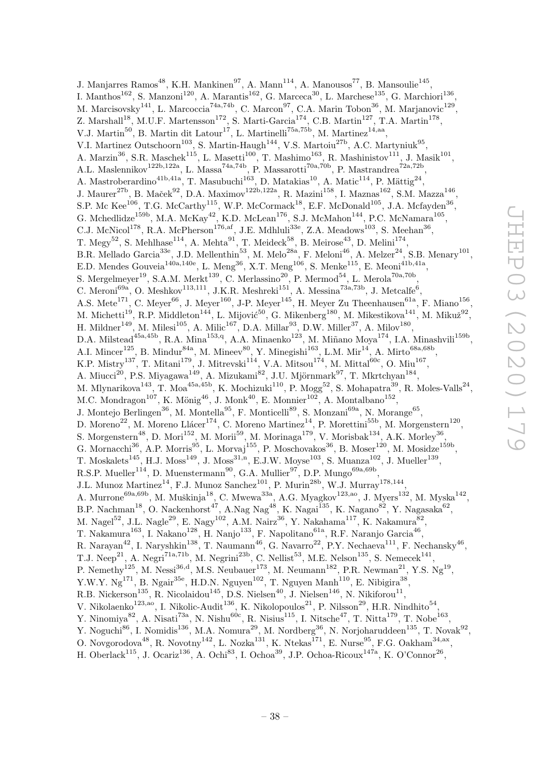J. Manjarres Ramos<sup>48</sup>, K.H. Mankinen<sup>97</sup>, A. Mann<sup>114</sup>, A. Manousos<sup>77</sup>, B. Mansoulie<sup>145</sup>, I. Manthos<sup>162</sup>, S. Manzoni<sup>120</sup>, A. Marantis<sup>162</sup>, G. Marceca<sup>30</sup>, L. Marchese<sup>135</sup>, G. Marchiori<sup>136</sup>, M. Marcisovsky<sup>141</sup>, L. Marcoccia<sup>74a,74b</sup>, C. Marcon<sup>97</sup>, C.A. Marin Tobon<sup>36</sup>, M. Marjanovic<sup>129</sup>, Z. Marshall<sup>18</sup>, M.U.F. Martensson<sup>172</sup>, S. Marti-Garcia<sup>174</sup>, C.B. Martin<sup>127</sup>, T.A. Martin<sup>178</sup>, V.J. Martin<sup>50</sup>, B. Martin dit Latour<sup>17</sup>, L. Martinelli<sup>75a,75b</sup>, M. Martinez<sup>14,aa</sup>, V.I. Martinez Outschoorn<sup>103</sup>, S. Martin-Haugh<sup>144</sup>, V.S. Martoiu<sup>27b</sup>, A.C. Martyniuk<sup>95</sup>, A. Marzin<sup>36</sup>, S.R. Maschek<sup>115</sup>, L. Masetti<sup>100</sup>, T. Mashimo<sup>163</sup>, R. Mashinistov<sup>111</sup>, J. Masik<sup>101</sup>, A.L. Maslennikov<sup>122b,122a</sup>, L. Massa<sup>74a,74b</sup>, P. Massarotti<sup>70a,70b</sup>, P. Mastrandrea<sup>72a,72b</sup>, A. Mastroberardino<sup>41b,41a</sup>, T. Masubuchi<sup>163</sup>, D. Matakias<sup>10</sup>, A. Matic<sup>114</sup>, P. Mättig<sup>24</sup>, J. Maurer<sup>27b</sup>, B. Maček<sup>92</sup>, D.A. Maximov<sup>122b,122a</sup>, R. Mazini<sup>158</sup>, I. Maznas<sup>162</sup>, S.M. Mazza<sup>146</sup>, S.P. Mc Kee<sup>106</sup>, T.G. McCarthy<sup>115</sup>, W.P. McCormack<sup>18</sup>, E.F. McDonald<sup>105</sup>, J.A. Mcfayden<sup>36</sup>, G. Mchedlidze<sup>159b</sup>, M.A. McKay<sup>42</sup>, K.D. McLean<sup>176</sup>, S.J. McMahon<sup>144</sup>, P.C. McNamara<sup>105</sup>, C.J. McNicol<sup>178</sup>, R.A. McPherson<sup>176,af</sup>, J.E. Mdhluli<sup>33e</sup>, Z.A. Meadows<sup>103</sup>, S. Meehan<sup>36</sup>, T. Megy<sup>52</sup>, S. Mehlhase<sup>114</sup>, A. Mehta<sup>91</sup>, T. Meideck<sup>58</sup>, B. Meirose<sup>43</sup>, D. Melini<sup>174</sup>, B.R. Mellado Garcia<sup>33e</sup>, J.D. Mellenthin<sup>53</sup>, M. Melo<sup>28a</sup>, F. Meloni<sup>46</sup>, A. Melzer<sup>24</sup>, S.B. Menary<sup>101</sup>, E.D. Mendes Gouveia<sup>140a,140e</sup>, L. Meng<sup>36</sup>, X.T. Meng<sup>106</sup>, S. Menke<sup>115</sup>, E. Meoni<sup>41b,41a</sup>, S. Mergelmeyer<sup>19</sup>, S.A.M. Merkt<sup>139</sup>, C. Merlassino<sup>20</sup>, P. Mermod<sup>54</sup>, L. Merola<sup>70a,70b</sup>, C. Meroni<sup>69a</sup>, O. Meshkov<sup>113,111</sup>, J.K.R. Meshreki<sup>151</sup>, A. Messina<sup>73a,73b</sup>, J. Metcalfe<sup>6</sup>, A.S. Mete<sup>171</sup>, C. Meyer<sup>66</sup>, J. Meyer<sup>160</sup>, J-P. Meyer<sup>145</sup>, H. Meyer Zu Theenhausen<sup>61a</sup>, F. Miano<sup>156</sup>, M. Michetti<sup>19</sup>, R.P. Middleton<sup>144</sup>, L. Mijović<sup>50</sup>, G. Mikenberg<sup>180</sup>, M. Mikestikova<sup>141</sup>, M. Mikuž<sup>92</sup>, H. Mildner $^{149}$ , M. Milesi $^{105}$ , A. Milic $^{167}$ , D.A. Millar $^{93}$ , D.W. Miller $^{37}$ , A. Milov $^{180}$ , D.A. Milstead<sup>45a,45b</sup>, R.A. Mina<sup>153,q</sup>, A.A. Minaenko<sup>123</sup>, M. Miñano Moya<sup>174</sup>, I.A. Minashvili<sup>159b</sup>, A.I. Mincer<sup>125</sup>, B. Mindur<sup>84a</sup>, M. Mineev<sup>80</sup>, Y. Minegishi<sup>163</sup>, L.M. Mir<sup>14</sup>, A. Mirto<sup>68a,68b</sup>, K.P. Mistry<sup>137</sup>, T. Mitani<sup>179</sup>, J. Mitrevski<sup>114</sup>, V.A. Mitsou<sup>174</sup>, M. Mittal<sup>60c</sup>, O. Miu<sup>167</sup>, A. Miucci<sup>20</sup>, P.S. Miyagawa<sup>149</sup>, A. Mizukami<sup>82</sup>, J.U. Mjörnmark<sup>97</sup>, T. Mkrtchyan<sup>184</sup>, M. Mlynarikova<sup>143</sup>, T. Moa<sup>45a,45b</sup>, K. Mochizuki<sup>110</sup>, P. Mogg<sup>52</sup>, S. Mohapatra<sup>39</sup>, R. Moles-Valls<sup>24</sup>, M.C. Mondragon<sup>107</sup>, K. Mönig<sup>46</sup>, J. Monk<sup>40</sup>, E. Monnier<sup>102</sup>, A. Montalbano<sup>152</sup>, J. Montejo Berlingen<sup>36</sup>, M. Montella<sup>95</sup>, F. Monticelli<sup>89</sup>, S. Monzani<sup>69a</sup>, N. Morange<sup>65</sup>, D. Moreno<sup>22</sup>, M. Moreno Llácer<sup>174</sup>, C. Moreno Martinez<sup>14</sup>, P. Morettini<sup>55b</sup>, M. Morgenstern<sup>120</sup>, S. Morgenstern<sup>48</sup>, D. Mori<sup>152</sup>, M. Morii<sup>59</sup>, M. Morinaga<sup>179</sup>, V. Morisbak<sup>134</sup>, A.K. Morley<sup>36</sup>, G. Mornacchi<sup>36</sup>, A.P. Morris<sup>95</sup>, L. Morvaj<sup>155</sup>, P. Moschovakos<sup>36</sup>, B. Moser<sup>120</sup>, M. Mosidze<sup>159b</sup>, T. Moskalets<sup>145</sup>, H.J. Moss<sup>149</sup>, J. Moss<sup>31,n</sup>, E.J.W. Moyse<sup>103</sup>, S. Muanza<sup>102</sup>, J. Mueller<sup>139</sup>, R.S.P. Mueller<sup>114</sup>, D. Muenstermann<sup>90</sup>, G.A. Mullier<sup>97</sup>, D.P. Mungo<sup>69a,69b</sup>, J.L. Munoz Martinez<sup>14</sup>, F.J. Munoz Sanchez<sup>101</sup>, P. Murin<sup>28b</sup>, W.J. Murray<sup>178,144</sup>, A. Murrone<sup>69a,69b</sup>, M. Muškinja<sup>18</sup>, C. Mwewa<sup>33a</sup>, A.G. Myagkov<sup>123,ao</sup>, J. Myers<sup>132</sup>, M. Myska<sup>142</sup>, B.P. Nachman<sup>18</sup>, O. Nackenhorst<sup>47</sup>, A.Nag Nag<sup>48</sup>, K. Nagai<sup>135</sup>, K. Nagano<sup>82</sup>, Y. Nagasaka<sup>62</sup>, M. Nagel $^{52}$ , J.L. Nagle $^{29}$ , E. Nagy $^{102}$ , A.M. Nairz $^{36}$ , Y. Nakahama $^{117}$ , K. Nakamura $^{82}$ , T. Nakamura $^{163}$ , I. Nakano $^{128}$ , H. Nanjo $^{133}$ , F. Napolitano $^{61a}$ , R.F. Naranjo Garcia $^{46}$ , R. Narayan<sup>42</sup>, I. Naryshkin<sup>138</sup>, T. Naumann<sup>46</sup>, G. Navarro<sup>22</sup>, P.Y. Nechaeva<sup>111</sup>, F. Nechansky<sup>46</sup>, T.J. Neep<sup>21</sup>, A. Negri<sup>71a,71b</sup>, M. Negrini<sup>23b</sup>, C. Nellist<sup>53</sup>, M.E. Nelson<sup>135</sup>, S. Nemecek<sup>141</sup>, P. Nemethy<sup>125</sup>, M. Nessi<sup>36,d</sup>, M.S. Neubauer<sup>173</sup>, M. Neumann<sup>182</sup>, P.R. Newman<sup>21</sup>, Y.S. Ng<sup>19</sup>, Y.W.Y. Ng<sup>171</sup>, B. Ngair<sup>35e</sup>, H.D.N. Nguyen<sup>102</sup>, T. Nguyen Manh<sup>110</sup>, E. Nibigira<sup>38</sup>, R.B. Nickerson<sup>135</sup>, R. Nicolaidou<sup>145</sup>, D.S. Nielsen<sup>40</sup>, J. Nielsen<sup>146</sup>, N. Nikiforou<sup>11</sup>, V. Nikolaenko<sup>123,ao</sup>, I. Nikolic-Audit<sup>136</sup>, K. Nikolopoulos<sup>21</sup>, P. Nilsson<sup>29</sup>, H.R. Nindhito<sup>54</sup>, Y. Ninomiya<sup>82</sup>, A. Nisati<sup>73a</sup>, N. Nishu<sup>60c</sup>, R. Nisius<sup>115</sup>, I. Nitsche<sup>47</sup>, T. Nitta<sup>179</sup>, T. Nobe<sup>163</sup>, Y. Noguchi<sup>86</sup>, I. Nomidis<sup>136</sup>, M.A. Nomura<sup>29</sup>, M. Nordberg<sup>36</sup>, N. Norjoharuddeen<sup>135</sup>, T. Novak<sup>92</sup>, O. Novgorodova<sup>48</sup>, R. Novotny<sup>142</sup>, L. Nozka<sup>131</sup>, K. Ntekas<sup>171</sup>, E. Nurse<sup>95</sup>, F.G. Oakham<sup>34,ax</sup>,

H. Oberlack<sup>115</sup>, J. Ocariz<sup>136</sup>, A. Ochi<sup>83</sup>, I. Ochoa<sup>39</sup>, J.P. Ochoa-Ricoux<sup>147a</sup>, K. O'Connor<sup>26</sup>,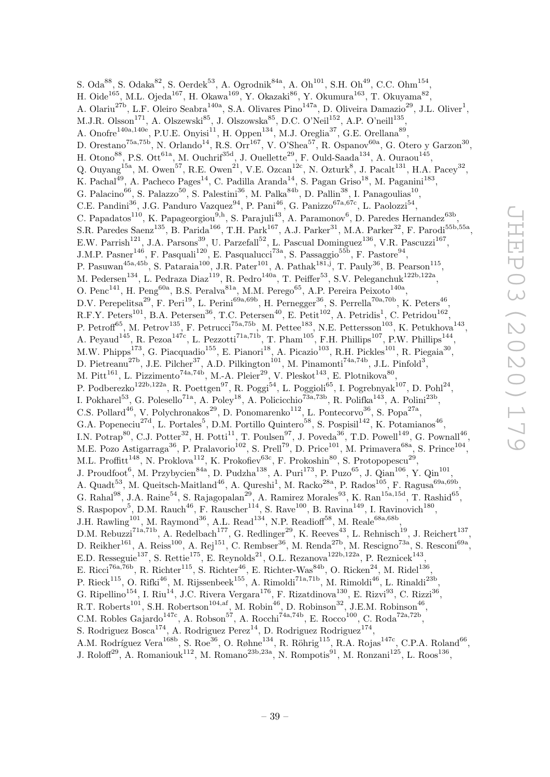S. Oda<sup>88</sup>, S. Odaka<sup>82</sup>, S. Oerdek<sup>53</sup>, A. Ogrodnik<sup>84a</sup>, A. Oh<sup>101</sup>, S.H. Oh<sup>49</sup>, C.C. Ohm<sup>154</sup>, H. Oide<sup>165</sup>, M.L. Ojeda<sup>167</sup>, H. Okawa<sup>169</sup>, Y. Okazaki<sup>86</sup>, Y. Okumura<sup>163</sup>, T. Okuyama<sup>82</sup>, A. Olariu<sup>27b</sup>, L.F. Oleiro Seabra<sup>140a</sup>, S.A. Olivares Pino<sup>147a</sup>, D. Oliveira Damazio<sup>29</sup>, J.L. Oliver<sup>1</sup>, M.J.R. Olsson<sup>171</sup>, A. Olszewski<sup>85</sup>, J. Olszowska<sup>85</sup>, D.C. O'Neil<sup>152</sup>, A.P. O'neill<sup>135</sup>, A. Onofre<sup>140a,140e</sup>, P.U.E. Onyisi<sup>11</sup>, H. Oppen<sup>134</sup>, M.J. Oreglia<sup>37</sup>, G.E. Orellana<sup>89</sup>, D. Orestano<sup>75a,75b</sup>, N. Orlando<sup>14</sup>, R.S. Orr<sup>167</sup>, V. O'Shea<sup>57</sup>, R. Ospanov<sup>60a</sup>, G. Otero y Garzon<sup>30</sup>, H. Otono $^{88}$ , P.S. Ott $^{61a}$ , M. Ouchrif<sup>35d</sup>, J. Ouellette<sup>29</sup>, F. Ould-Saada<sup>134</sup>, A. Ouraou<sup>145</sup>, Q. Ouyang<sup>15a</sup>, M. Owen<sup>57</sup>, R.E. Owen<sup>21</sup>, V.E. Ozcan<sup>12c</sup>, N. Ozturk<sup>8</sup>, J. Pacalt<sup>131</sup>, H.A. Pacey<sup>32</sup>, K. Pachal<sup>49</sup>, A. Pacheco Pages<sup>14</sup>, C. Padilla Aranda<sup>14</sup>, S. Pagan Griso<sup>18</sup>, M. Paganini<sup>183</sup>, G. Palacino<sup>66</sup>, S. Palazzo<sup>50</sup>, S. Palestini<sup>36</sup>, M. Palka<sup>84b</sup>, D. Pallin<sup>38</sup>, I. Panagoulias<sup>10</sup>, C.E. Pandini<sup>36</sup>, J.G. Panduro Vazquez<sup>94</sup>, P. Pani<sup>46</sup>, G. Panizzo<sup>67a,67c</sup>, L. Paolozzi<sup>54</sup>, C. Papadatos<sup>110</sup>, K. Papageorgiou<sup>9,h</sup>, S. Parajuli<sup>43</sup>, A. Paramonov<sup>6</sup>, D. Paredes Hernandez<sup>63b</sup>, S.R. Paredes Saenz<sup>135</sup>, B. Parida<sup>166</sup>, T.H. Park<sup>167</sup>, A.J. Parker<sup>31</sup>, M.A. Parker<sup>32</sup>, F. Parodi<sup>55b,55a</sup>, E.W. Parrish<sup>121</sup>, J.A. Parsons<sup>39</sup>, U. Parzefall<sup>52</sup>, L. Pascual Dominguez<sup>136</sup>, V.R. Pascuzzi<sup>167</sup>, J.M.P. Pasner<sup>146</sup>, F. Pasquali<sup>120</sup>, E. Pasqualucci<sup>73a</sup>, S. Passaggio<sup>55b</sup>, F. Pastore<sup>94</sup>, P. Pasuwan<sup>45a,45b</sup>, S. Pataraia<sup>100</sup>, J.R. Pater<sup>101</sup>, A. Pathak<sup>181,j</sup>, T. Pauly<sup>36</sup>, B. Pearson<sup>115</sup>, M. Pedersen<sup>134</sup>, L. Pedraza Diaz<sup>119</sup>, R. Pedro<sup>140a</sup>, T. Peiffer<sup>53</sup>, S.V. Peleganchuk<sup>122b,122a</sup>, O. Penc<sup>141</sup>, H. Peng<sup>60a</sup>, B.S. Peralva<sup>81a</sup>, M.M. Perego<sup>65</sup>, A.P. Pereira Peixoto<sup>140a</sup>, D.V. Perepelitsa<sup>29</sup>, F. Peri<sup>19</sup>, L. Perini<sup>69a,69b</sup>, H. Pernegger<sup>36</sup>, S. Perrella<sup>70a,70b</sup>, K. Peters<sup>46</sup>, R.F.Y. Peters<sup>101</sup>, B.A. Petersen<sup>36</sup>, T.C. Petersen<sup>40</sup>, E. Petit<sup>102</sup>, A. Petridis<sup>1</sup>, C. Petridou<sup>162</sup>, P. Petroff<sup>65</sup>, M. Petrov<sup>135</sup>, F. Petrucci<sup>75a,75b</sup>, M. Pettee<sup>183</sup>, N.E. Pettersson<sup>103</sup>, K. Petukhova<sup>143</sup>, A. Peyaud<sup>145</sup>, R. Pezoa<sup>147c</sup>, L. Pezzotti<sup>71a,71b</sup>, T. Pham<sup>105</sup>, F.H. Phillips<sup>107</sup>, P.W. Phillips<sup>144</sup>, M.W. Phipps<sup>173</sup>, G. Piacquadio<sup>155</sup>, E. Pianori<sup>18</sup>, A. Picazio<sup>103</sup>, R.H. Pickles<sup>101</sup>, R. Piegaia<sup>30</sup>, D. Pietreanu<sup>27b</sup>, J.E. Pilcher<sup>37</sup>, A.D. Pilkington<sup>101</sup>, M. Pinamonti<sup>74a,74b</sup>, J.L. Pinfold<sup>3</sup>, M. Pitt<sup>161</sup>, L. Pizzimento<sup>74a,74b</sup>, M.-A. Pleier<sup>29</sup>, V. Pleskot<sup>143</sup>, E. Plotnikova<sup>80</sup>, P. Podberezko<sup>122b,122a</sup>, R. Poettgen<sup>97</sup>, R. Poggi<sup>54</sup>, L. Poggioli<sup>65</sup>, I. Pogrebnyak<sup>107</sup>, D. Pohl<sup>24</sup>, I. Pokharel<sup>53</sup>, G. Polesello<sup>71a</sup>, A. Poley<sup>18</sup>, A. Policicchio<sup>73a,73b</sup>, R. Polifka<sup>143</sup>, A. Polini<sup>23b</sup>, C.S. Pollard<sup>46</sup>, V. Polychronakos<sup>29</sup>, D. Ponomarenko<sup>112</sup>, L. Pontecorvo<sup>36</sup>, S. Popa<sup>27a</sup>, G.A. Popeneciu<sup>27d</sup>, L. Portales<sup>5</sup>, D.M. Portillo Quintero<sup>58</sup>, S. Pospisil<sup>142</sup>, K. Potamianos<sup>46</sup>, I.N. Potrap<sup>80</sup>, C.J. Potter<sup>32</sup>, H. Potti<sup>11</sup>, T. Poulsen<sup>97</sup>, J. Poveda<sup>36</sup>, T.D. Powell<sup>149</sup>, G. Pownall<sup>46</sup>, M.E. Pozo Astigarraga<sup>36</sup>, P. Pralavorio<sup>102</sup>, S. Prell<sup>79</sup>, D. Price<sup>101</sup>, M. Primavera<sup>68a</sup>, S. Prince<sup>104</sup>, M.L. Proffitt<sup>148</sup>, N. Proklova<sup>112</sup>, K. Prokofiev<sup>63c</sup>, F. Prokoshin<sup>80</sup>, S. Protopopescu<sup>29</sup>, J. Proudfoot<sup>6</sup>, M. Przybycien<sup>84a</sup>, D. Pudzha<sup>138</sup>, A. Puri<sup>173</sup>, P. Puzo<sup>65</sup>, J. Qian<sup>106</sup>, Y. Qin<sup>101</sup>, A. Quadt<sup>53</sup>, M. Queitsch-Maitland<sup>46</sup>, A. Qureshi<sup>1</sup>, M. Racko<sup>28a</sup>, P. Rados<sup>105</sup>, F. Ragusa<sup>69a,69b</sup>, G. Rahal<sup>98</sup>, J.A. Raine<sup>54</sup>, S. Rajagopalan<sup>29</sup>, A. Ramirez Morales<sup>93</sup>, K. Ran<sup>15a,15d</sup>, T. Rashid<sup>65</sup>, S. Raspopov<sup>5</sup>, D.M. Rauch<sup>46</sup>, F. Rauscher<sup>114</sup>, S. Rave<sup>100</sup>, B. Ravina<sup>149</sup>, I. Ravinovich<sup>180</sup>, J.H. Rawling<sup>101</sup>, M. Raymond<sup>36</sup>, A.L. Read<sup>134</sup>, N.P. Readioff<sup>58</sup>, M. Reale<sup>68a,68b</sup>, D.M. Rebuzzi<sup>71a,71b</sup>, A. Redelbach<sup>177</sup>, G. Redlinger<sup>29</sup>, K. Reeves<sup>43</sup>, L. Rehnisch<sup>19</sup>, J. Reichert<sup>137</sup>, D. Reikher<sup>161</sup>, A. Reiss<sup>100</sup>, A. Rej<sup>151</sup>, C. Rembser<sup>36</sup>, M. Renda<sup>27b</sup>, M. Rescigno<sup>73a</sup>, S. Resconi<sup>69a</sup>, E.D. Resseguie<sup>137</sup>, S. Rettie<sup>175</sup>, E. Reynolds<sup>21</sup>, O.L. Rezanova<sup>122b,122a</sup>, P. Reznicek<sup>143</sup>, E. Ricci<sup>76a,76b</sup>, R. Richter<sup>115</sup>, S. Richter<sup>46</sup>, E. Richter-Was<sup>84b</sup>, O. Ricken<sup>24</sup>, M. Ridel<sup>136</sup>, P. Rieck $^{115}$ , O. Rifki<sup>46</sup>, M. Rijssenbeek $^{155}$ , A. Rimoldi<sup>71a,71b</sup>, M. Rimoldi<sup>46</sup>, L. Rinaldi<sup>23b</sup>, G. Ripellino<sup>154</sup>, I. Riu<sup>14</sup>, J.C. Rivera Vergara<sup>176</sup>, F. Rizatdinova<sup>130</sup>, E. Rizvi<sup>93</sup>, C. Rizzi<sup>36</sup>, R.T. Roberts<sup>101</sup>, S.H. Robertson<sup>104,af</sup>, M. Robin<sup>46</sup>, D. Robinson<sup>32</sup>, J.E.M. Robinson<sup>46</sup>, C.M. Robles Gajardo<sup>147c</sup>, A. Robson<sup>57</sup>, A. Rocchi<sup>74a,74b</sup>, E. Rocco<sup>100</sup>, C. Roda<sup>72a,72b</sup>, S. Rodriguez Bosca<sup>174</sup>, A. Rodriguez Perez<sup>14</sup>, D. Rodriguez Rodriguez<sup>174</sup>, A.M. Rodríguez Vera<sup>168b</sup>, S. Roe<sup>36</sup>, O. Røhne<sup>134</sup>, R. Röhrig<sup>115</sup>, R.A. Rojas<sup>147c</sup>, C.P.A. Roland<sup>66</sup>,

J. Roloff<sup>29</sup>, A. Romaniouk<sup>112</sup>, M. Romano<sup>23b,23a</sup>, N. Rompotis<sup>91</sup>, M. Ronzani<sup>125</sup>, L. Roos<sup>136</sup>,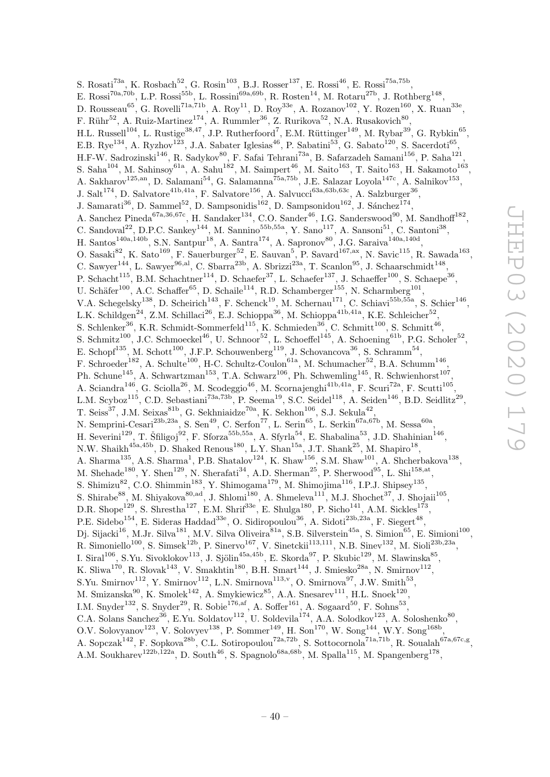S. Rosati<sup>73a</sup>, K. Rosbach<sup>52</sup>, G. Rosin<sup>103</sup>, B.J. Rosser<sup>137</sup>, E. Rossi<sup>46</sup>, E. Rossi<sup>75a,75b</sup>, E. Rossi<sup>70a,70b</sup>, L.P. Rossi<sup>55b</sup>, L. Rossini<sup>69a,69b</sup>, R. Rosten<sup>14</sup>, M. Rotaru<sup>27b</sup>, J. Rothberg<sup>148</sup>, D. Rousseau<sup>65</sup>, G. Rovelli<sup>71a,71b</sup>, A. Roy<sup>11</sup>, D. Roy<sup>33e</sup>, A. Rozanov<sup>102</sup>, Y. Rozen<sup>160</sup>, X. Ruan<sup>33e</sup>, F. Rühr $^{52}$ , A. Ruiz-Martinez<sup>174</sup>, A. Rummler<sup>36</sup>, Z. Rurikova<sup>52</sup>, N.A. Rusakovich<sup>80</sup>, H.L. Russell<sup>104</sup>, L. Rustige<sup>38,47</sup>, J.P. Rutherfoord<sup>7</sup>, E.M. Rüttinger<sup>149</sup>, M. Rybar<sup>39</sup>, G. Rybkin<sup>65</sup>, E.B. Rye<sup>134</sup>, A. Ryzhov<sup>123</sup>, J.A. Sabater Iglesias<sup>46</sup>, P. Sabatini<sup>53</sup>, G. Sabato<sup>120</sup>, S. Sacerdoti<sup>65</sup>, H.F-W. Sadrozinski $^{146}$ , R. Sadykov $^{80}$ , F. Safai Tehrani $^{73a}$ , B. Safarzadeh Samani $^{156}$ , P. Saha $^{121}$ , S. Saha<sup>104</sup>, M. Sahinsoy<sup>61a</sup>, A. Sahu<sup>182</sup>, M. Saimpert<sup>46</sup>, M. Saito<sup>163</sup>, T. Saito<sup>163</sup>, H. Sakamoto<sup>163</sup>, A. Sakharov<sup>125,an</sup>, D. Salamani<sup>54</sup>, G. Salamanna<sup>75a,75b</sup>, J.E. Salazar Loyola<sup>147c</sup>, A. Salnikov<sup>153</sup>, J. Salt<sup>174</sup>, D. Salvatore<sup>41b,41a</sup>, F. Salvatore<sup>156</sup>, A. Salvucci<sup>63a,63b,63c</sup>, A. Salzburger<sup>36</sup>, J. Samarati<sup>36</sup>, D. Sammel<sup>52</sup>, D. Sampsonidis<sup>162</sup>, D. Sampsonidou<sup>162</sup>, J. Sánchez<sup>174</sup>, A. Sanchez Pineda<sup>67a,36,67c</sup>, H. Sandaker<sup>134</sup>, C.O. Sander<sup>46</sup>, I.G. Sanderswood<sup>90</sup>, M. Sandhoff<sup>182</sup>, C. Sandoval<sup>22</sup>, D.P.C. Sankey<sup>144</sup>, M. Sannino<sup>55b,55a</sup>, Y. Sano<sup>117</sup>, A. Sansoni<sup>51</sup>, C. Santoni<sup>38</sup>, H. Santos<sup>140a,140b</sup>, S.N. Santpur<sup>18</sup>, A. Santra<sup>174</sup>, A. Sapronov<sup>80</sup>, J.G. Saraiva<sup>140a,140d</sup>, O. Sasaki<sup>82</sup>, K. Sato<sup>169</sup>, F. Sauerburger<sup>52</sup>, E. Sauvan<sup>5</sup>, P. Savard<sup>167,ax</sup>, N. Savic<sup>115</sup>, R. Sawada<sup>163</sup>, C. Sawyer<sup>144</sup>, L. Sawyer<sup>96,al</sup>, C. Sbarra<sup>23b</sup>, A. Sbrizzi<sup>23a</sup>, T. Scanlon<sup>95</sup>, J. Schaarschmidt<sup>148</sup>, P. Schacht<sup>115</sup>, B.M. Schachtner<sup>114</sup>, D. Schaefer<sup>37</sup>, L. Schaefer<sup>137</sup>, J. Schaeffer<sup>100</sup>, S. Schaepe<sup>36</sup>, U. Schäfer<sup>100</sup>, A.C. Schaffer<sup>65</sup>, D. Schaile<sup>114</sup>, R.D. Schamberger<sup>155</sup>, N. Scharmberg<sup>101</sup>, V.A. Schegelsky<sup>138</sup>, D. Scheirich<sup>143</sup>, F. Schenck<sup>19</sup>, M. Schernau<sup>171</sup>, C. Schiavi<sup>55b,55a</sup>, S. Schier<sup>146</sup>, L.K. Schildgen<sup>24</sup>, Z.M. Schillaci<sup>26</sup>, E.J. Schioppa<sup>36</sup>, M. Schioppa<sup>41b,41a</sup>, K.E. Schleicher<sup>52</sup>, S. Schlenker<sup>36</sup>, K.R. Schmidt-Sommerfeld<sup>115</sup>, K. Schmieden<sup>36</sup>, C. Schmitt<sup>100</sup>, S. Schmitt<sup>46</sup>, S. Schmitz<sup>100</sup>, J.C. Schmoeckel<sup>46</sup>, U. Schnoor<sup>52</sup>, L. Schoeffel<sup>145</sup>, A. Schoening<sup>61b</sup>, P.G. Scholer<sup>52</sup>, E. Schopf<sup>135</sup>, M. Schott<sup>100</sup>, J.F.P. Schouwenberg<sup>119</sup>, J. Schovancova<sup>36</sup>, S. Schramm<sup>54</sup>, F. Schroeder<sup>182</sup>, A. Schulte<sup>100</sup>, H-C. Schultz-Coulon<sup>61a</sup>, M. Schumacher<sup>52</sup>, B.A. Schumm<sup>146</sup>, Ph. Schune<sup>145</sup>, A. Schwartzman<sup>153</sup>, T.A. Schwarz<sup>106</sup>, Ph. Schwemling<sup>145</sup>, R. Schwienhorst<sup>107</sup>, A. Sciandra<sup>146</sup>, G. Sciolla<sup>26</sup>, M. Scodeggio<sup>46</sup>, M. Scornajenghi<sup>41b,41a</sup>, F. Scuri<sup>72a</sup>, F. Scutti<sup>105</sup>, L.M. Scyboz<sup>115</sup>, C.D. Sebastiani<sup>73a,73b</sup>, P. Seema<sup>19</sup>, S.C. Seidel<sup>118</sup>, A. Seiden<sup>146</sup>, B.D. Seidlitz<sup>29</sup>, T. Seiss<sup>37</sup>, J.M. Seixas<sup>81b</sup>, G. Sekhniaidze<sup>70a</sup>, K. Sekhon<sup>106</sup>, S.J. Sekula<sup>42</sup>, N. Semprini-Cesari<sup>23b,23a</sup>, S. Sen<sup>49</sup>, C. Serfon<sup>77</sup>, L. Serin<sup>65</sup>, L. Serkin<sup>67a,67b</sup>, M. Sessa<sup>60a</sup>, H. Severini<sup>129</sup>, T. Šfiligoj<sup>92</sup>, F. Sforza<sup>55b,55a</sup>, A. Sfyrla<sup>54</sup>, E. Shabalina<sup>53</sup>, J.D. Shahinian<sup>146</sup>, N.W. Shaikh<sup>45a,45b</sup>, D. Shaked Renous<sup>180</sup>, L.Y. Shan<sup>15a</sup>, J.T. Shank<sup>25</sup>, M. Shapiro<sup>18</sup>, A. Sharma<sup>135</sup>, A.S. Sharma<sup>1</sup>, P.B. Shatalov<sup>124</sup>, K. Shaw<sup>156</sup>, S.M. Shaw<sup>101</sup>, A. Shcherbakova<sup>138</sup>, M. Shehade<sup>180</sup>, Y. Shen<sup>129</sup>, N. Sherafati<sup>34</sup>, A.D. Sherman<sup>25</sup>, P. Sherwood<sup>95</sup>, L. Shi<sup>158,at</sup>, S. Shimizu<sup>82</sup>, C.O. Shimmin<sup>183</sup>, Y. Shimogama<sup>179</sup>, M. Shimojima<sup>116</sup>, I.P.J. Shipsey<sup>135</sup>, S. Shirabe<sup>88</sup>, M. Shiyakova<sup>80,ad</sup>, J. Shlomi<sup>180</sup>, A. Shmeleva<sup>111</sup>, M.J. Shochet<sup>37</sup>, J. Shojaii<sup>105</sup>, D.R. Shope<sup>129</sup>, S. Shrestha<sup>127</sup>, E.M. Shrif<sup>33e</sup>, E. Shulga<sup>180</sup>, P. Sicho<sup>141</sup>, A.M. Sickles<sup>173</sup>, P.E. Sidebo<sup>154</sup>, E. Sideras Haddad<sup>33e</sup>, O. Sidiropoulou<sup>36</sup>, A. Sidoti<sup>23b,23a</sup>, F. Siegert<sup>48</sup>, Dj. Sijacki $^{16}$ , M.Jr. Silva<sup>181</sup>, M.V. Silva Oliveira<sup>81a</sup>, S.B. Silverstein<sup>45a</sup>, S. Simion<sup>65</sup>, E. Simioni<sup>100</sup>, R. Simoniello<sup>100</sup>, S. Simsek<sup>12b</sup>, P. Sinervo<sup>167</sup>, V. Sinetckii<sup>113,111</sup>, N.B. Sinev<sup>132</sup>, M. Sioli<sup>23b,23a</sup>, I. Siral<sup>106</sup>, S.Yu. Sivoklokov<sup>113</sup>, J. Sjölin<sup>45a,45b</sup>, E. Skorda<sup>97</sup>, P. Skubic<sup>129</sup>, M. Slawinska<sup>85</sup>, K. Sliwa<sup>170</sup>, R. Slovak<sup>143</sup>, V. Smakhtin<sup>180</sup>, B.H. Smart<sup>144</sup>, J. Smiesko<sup>28a</sup>, N. Smirnov<sup>112</sup>, S.Yu. Smirnov<sup>112</sup>, Y. Smirnov<sup>112</sup>, L.N. Smirnova<sup>113,v</sup>, O. Smirnova<sup>97</sup>, J.W. Smith<sup>53</sup>, M. Smizanska $^{90}$ , K. Smolek $^{142}$ , A. Smykiewicz $^{85}$ , A.A. Snesarev $^{111}$ , H.L. Snoek $^{120}$ , I.M. Snyder<sup>132</sup>, S. Snyder<sup>29</sup>, R. Sobie<sup>176,af</sup>, A. Soffer<sup>161</sup>, A. Søgaard<sup>50</sup>, F. Sohns<sup>53</sup>, C.A. Solans Sanchez<sup>36</sup>, E.Yu. Soldatov<sup>112</sup>, U. Soldevila<sup>174</sup>, A.A. Solodkov<sup>123</sup>, A. Soloshenko<sup>80</sup>, O.V. Solovyanov<sup>123</sup>, V. Solovyev<sup>138</sup>, P. Sommer<sup>149</sup>, H. Son<sup>170</sup>, W. Song<sup>144</sup>, W.Y. Song<sup>168b</sup>, A. Sopczak<sup>142</sup>, F. Sopkova<sup>28b</sup>, C.L. Sotiropoulou<sup>72a,72b</sup>, S. Sottocornola<sup>71a,71b</sup>, R. Soualah<sup>67a,67c,g</sup>,

A.M. Soukharev<sup>122b,122a</sup>, D. South<sup>46</sup>, S. Spagnolo<sup>68a,68b</sup>, M. Spalla<sup>115</sup>, M. Spangenberg<sup>178</sup>,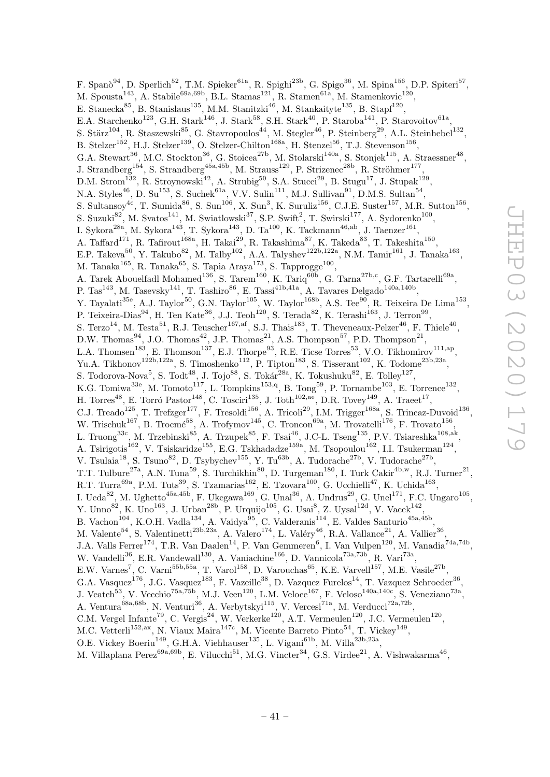F. Span $\delta^{94}$ , D. Sperlich<sup>52</sup>, T.M. Spieker<sup>61a</sup>, R. Spighi<sup>23b</sup>, G. Spigo<sup>36</sup>, M. Spina<sup>156</sup>, D.P. Spiteri<sup>57</sup>, M. Spousta<sup>143</sup>, A. Stabile<sup>69a,69b</sup>, B.L. Stamas<sup>121</sup>, R. Stamen<sup>61a</sup>, M. Stamenkovic<sup>120</sup>, E. Stanecka $^{85}$ , B. Stanislaus $^{135}$ , M.M. Stanitzki $^{46}$ , M. Stankaityte $^{135}$ , B. Stapf $^{120}$ , E.A. Starchenko<sup>123</sup>, G.H. Stark<sup>146</sup>, J. Stark<sup>58</sup>, S.H. Stark<sup>40</sup>, P. Staroba<sup>141</sup>, P. Starovoitov<sup>61a</sup>, S. Stärz<sup>104</sup>, R. Staszewski<sup>85</sup>, G. Stavropoulos<sup>44</sup>, M. Stegler<sup>46</sup>, P. Steinberg<sup>29</sup>, A.L. Steinhebel<sup>132</sup>, B. Stelzer<sup>152</sup>, H.J. Stelzer<sup>139</sup>, O. Stelzer-Chilton<sup>168a</sup>, H. Stenzel<sup>56</sup>, T.J. Stevenson<sup>156</sup>, G.A. Stewart<sup>36</sup>, M.C. Stockton<sup>36</sup>, G. Stoicea<sup>27b</sup>, M. Stolarski<sup>140a</sup>, S. Stonjek<sup>115</sup>, A. Straessner<sup>48</sup>, J. Strandberg<sup>154</sup>, S. Strandberg<sup>45a,45b</sup>, M. Strauss<sup>129</sup>, P. Strizenec<sup>28b</sup>, R. Ströhmer<sup>177</sup>, D.M. Strom<sup>132</sup>, R. Stroynowski<sup>42</sup>, A. Strubig<sup>50</sup>, S.A. Stucci<sup>29</sup>, B. Stugu<sup>17</sup>, J. Stupak<sup>129</sup>, N.A. Styles<sup>46</sup>, D. Su<sup>153</sup>, S. Suchek<sup>61a</sup>, V.V. Sulin<sup>111</sup>, M.J. Sullivan<sup>91</sup>, D.M.S. Sultan<sup>54</sup>, S. Sultansoy<sup>4c</sup>, T. Sumida<sup>86</sup>, S. Sun<sup>106</sup>, X. Sun<sup>3</sup>, K. Suruliz<sup>156</sup>, C.J.E. Suster<sup>157</sup>, M.R. Sutton<sup>156</sup>, S. Suzuki $^{82}$ , M. Svatos<sup>141</sup>, M. Swiatlowski<sup>37</sup>, S.P. Swift<sup>2</sup>, T. Swirski<sup>177</sup>, A. Sydorenko<sup>100</sup>, I. Sykora<sup>28a</sup>, M. Sykora<sup>143</sup>, T. Sykora<sup>143</sup>, D. Ta<sup>100</sup>, K. Tackmann<sup>46,ab</sup>, J. Taenzer<sup>161</sup>, A. Taffard<sup>171</sup>, R. Tafirout<sup>168a</sup>, H. Takai<sup>29</sup>, R. Takashima<sup>87</sup>, K. Takeda<sup>83</sup>, T. Takeshita<sup>150</sup>, E.P. Takeva<sup>50</sup>, Y. Takubo<sup>82</sup>, M. Talby<sup>102</sup>, A.A. Talyshev<sup>122b,122a</sup>, N.M. Tamir<sup>161</sup>, J. Tanaka<sup>163</sup>, M. Tanaka $^{165}$ , R. Tanaka $^{65}$ , S. Tapia Araya $^{173}$ , S. Tapprogge $^{100}$ , A. Tarek Abouelfadl Mohamed<sup>136</sup>, S. Tarem<sup>160</sup>, K. Tariq<sup>60b</sup>, G. Tarna<sup>27b,c</sup>, G.F. Tartarelli<sup>69a</sup>, P. Tas<sup>143</sup>, M. Tasevsky<sup>141</sup>, T. Tashiro<sup>86</sup>, E. Tassi<sup>41b,41a</sup>, A. Tavares Delgado<sup>140a,140b</sup>, Y. Tayalati<sup>35e</sup>, A.J. Taylor<sup>50</sup>, G.N. Taylor<sup>105</sup>, W. Taylor<sup>168b</sup>, A.S. Tee<sup>90</sup>, R. Teixeira De Lima<sup>153</sup>, P. Teixeira-Dias<sup>94</sup>, H. Ten Kate<sup>36</sup>, J.J. Teoh<sup>120</sup>, S. Terada<sup>82</sup>, K. Terashi<sup>163</sup>, J. Terron<sup>99</sup>, S. Terzo<sup>14</sup>, M. Testa<sup>51</sup>, R.J. Teuscher<sup>167,af</sup>, S.J. Thais<sup>183</sup>, T. Theveneaux-Pelzer<sup>46</sup>, F. Thiele<sup>40</sup>, D.W. Thomas<sup>94</sup>, J.O. Thomas<sup>42</sup>, J.P. Thomas<sup>21</sup>, A.S. Thompson<sup>57</sup>, P.D. Thompson<sup>21</sup>, L.A. Thomsen<sup>183</sup>, E. Thomson<sup>137</sup>, E.J. Thorpe<sup>93</sup>, R.E. Ticse Torres<sup>53</sup>, V.O. Tikhomirov<sup>111,ap</sup>, Yu.A. Tikhonov<sup>122b,122a</sup>, S. Timoshenko<sup>112</sup>, P. Tipton<sup>183</sup>, S. Tisserant<sup>102</sup>, K. Todome<sup>23b,23a</sup>, S. Todorova-Nova<sup>5</sup>, S. Tod $t^{48}$ , J. Tojo $^{88}$ , S. Tokár<sup>28a</sup>, K. Tokushuku<sup>82</sup>, E. Tolley<sup>127</sup>, K.G. Tomiwa<sup>33e</sup>, M. Tomoto<sup>117</sup>, L. Tompkins<sup>153,q</sup>, B. Tong<sup>59</sup>, P. Tornambe<sup>103</sup>, E. Torrence<sup>132</sup>, H. Torres<sup>48</sup>, E. Torró Pastor<sup>148</sup>, C. Tosciri<sup>135</sup>, J. Toth<sup>102,ae</sup>, D.R. Tovey<sup>149</sup>, A. Traeet<sup>17</sup>, C.J. Treado<sup>125</sup>, T. Trefzger<sup>177</sup>, F. Tresoldi<sup>156</sup>, A. Tricoli<sup>29</sup>, I.M. Trigger<sup>168a</sup>, S. Trincaz-Duvoid<sup>136</sup>, W. Trischuk<sup>167</sup>, B. Trocmé<sup>58</sup>, A. Trofymov<sup>145</sup>, C. Troncon<sup>69a</sup>, M. Trovatelli<sup>176</sup>, F. Trovato<sup>156</sup>, L. Truong<sup>33c</sup>, M. Trzebinski<sup>85</sup>, A. Trzupek<sup>85</sup>, F. Tsai<sup>46</sup>, J.C-L. Tseng<sup>135</sup>, P.V. Tsiareshka<sup>108,ak</sup>, A. Tsirigotis<sup>162</sup>, V. Tsiskaridze<sup>155</sup>, E.G. Tskhadadze<sup>159a</sup>, M. Tsopoulou<sup>162</sup>, I.I. Tsukerman<sup>124</sup>, V. Tsulaia<sup>18</sup>, S. Tsuno<sup>82</sup>, D. Tsybychev<sup>155</sup>, Y. Tu<sup>63b</sup>, A. Tudorache<sup>27b</sup>, V. Tudorache<sup>27b</sup>, T.T. Tulbure<sup>27a</sup>, A.N. Tuna<sup>59</sup>, S. Turchikhin<sup>80</sup>, D. Turgeman<sup>180</sup>, I. Turk Cakir<sup>4b,w</sup>, R.J. Turner<sup>21</sup>, R.T. Turra<sup>69a</sup>, P.M. Tuts<sup>39</sup>, S. Tzamarias<sup>162</sup>, E. Tzovara<sup>100</sup>, G. Ucchielli<sup>47</sup>, K. Uchida<sup>163</sup>, I. Ueda<sup>82</sup>, M. Ughetto<sup>45a,45b</sup>, F. Ukegawa<sup>169</sup>, G. Unal<sup>36</sup>, A. Undrus<sup>29</sup>, G. Unel<sup>171</sup>, F.C. Ungaro<sup>105</sup>, Y. Unno<sup>82</sup>, K. Uno<sup>163</sup>, J. Urban<sup>28b</sup>, P. Urquijo<sup>105</sup>, G. Usai<sup>8</sup>, Z. Uysal<sup>12d</sup>, V. Vacek<sup>142</sup>, B. Vachon<sup>104</sup>, K.O.H. Vadla<sup>134</sup>, A. Vaidya<sup>95</sup>, C. Valderanis<sup>114</sup>, E. Valdes Santurio<sup>45a,45b</sup>, M. Valente<sup>54</sup>, S. Valentinetti<sup>23b,23a</sup>, A. Valero<sup>174</sup>, L. Valéry<sup>46</sup>, R.A. Vallance<sup>21</sup>, A. Vallier<sup>36</sup>, J.A. Valls Ferrer<sup>174</sup>, T.R. Van Daalen<sup>14</sup>, P. Van Gemmeren<sup>6</sup>, I. Van Vulpen<sup>120</sup>, M. Vanadia<sup>74a,74b</sup>, W. Vandelli<sup>36</sup>, E.R. Vandewall<sup>130</sup>, A. Vaniachine<sup>166</sup>, D. Vannicola<sup>73a,73b</sup>, R. Vari<sup>73a</sup>, E.W. Varnes<sup>7</sup>, C. Varni<sup>55b,55a</sup>, T. Varol<sup>158</sup>, D. Varouchas<sup>65</sup>, K.E. Varvell<sup>157</sup>, M.E. Vasile<sup>27b</sup>, G.A. Vasquez<sup>176</sup>, J.G. Vasquez<sup>183</sup>, F. Vazeille<sup>38</sup>, D. Vazquez Furelos<sup>14</sup>, T. Vazquez Schroeder<sup>36</sup>, J. Veatch<sup>53</sup>, V. Vecchio<sup>75a,75b</sup>, M.J. Veen<sup>120</sup>, L.M. Veloce<sup>167</sup>, F. Veloso<sup>140a,140c</sup>, S. Veneziano<sup>73a</sup>, A. Ventura<sup>68a,68b</sup>, N. Venturi<sup>36</sup>, A. Verbytskyi<sup>115</sup>, V. Vercesi<sup>71a</sup>, M. Verducci<sup>72a,72b</sup>, C.M. Vergel Infante<sup>79</sup>, C. Vergis<sup>24</sup>, W. Verkerke<sup>120</sup>, A.T. Vermeulen<sup>120</sup>, J.C. Vermeulen<sup>120</sup>, M.C. Vetterli<sup>152,ax</sup>, N. Viaux Maira<sup>147c</sup>, M. Vicente Barreto Pinto<sup>54</sup>, T. Vickey<sup>149</sup>, O.E. Vickey Boeriu<sup>149</sup>, G.H.A. Viehhauser<sup>135</sup>, L. Vigani<sup>61b</sup>, M. Villa<sup>23b,23a</sup>, M. Villaplana Perez<sup>69a,69b</sup>, E. Vilucchi<sup>51</sup>, M.G. Vincter<sup>34</sup>, G.S. Virdee<sup>21</sup>, A. Vishwakarma<sup>46</sup>,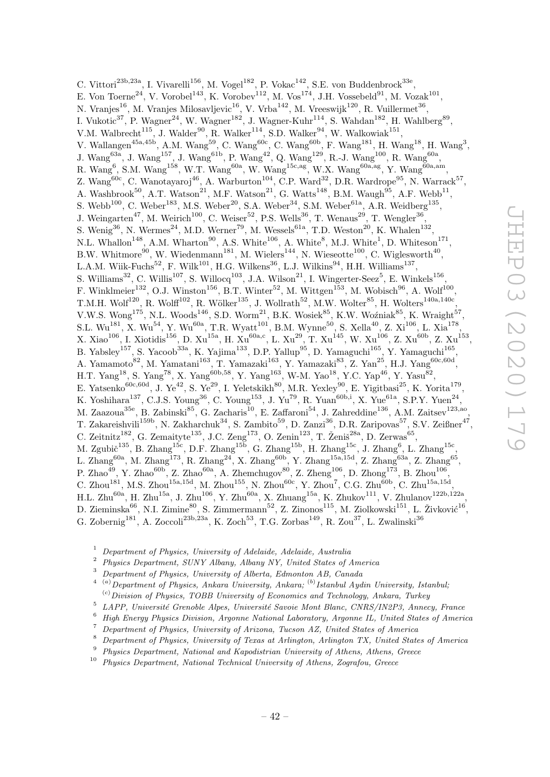C. Vittori<sup>23b,23a</sup>, I. Vivarelli<sup>156</sup>, M. Vogel<sup>182</sup>, P. Vokac<sup>142</sup>, S.E. von Buddenbrock<sup>33e</sup>, E. Von Toerne<sup>24</sup>, V. Vorobel<sup>143</sup>, K. Vorobev<sup>112</sup>, M. Vos<sup>174</sup>, J.H. Vossebeld<sup>91</sup>, M. Vozak<sup>101</sup>, N. Vranjes $^{16}$ , M. Vranjes Milosavljevic $^{16}$ , V. Vrba $^{142}$ , M. Vreeswijk $^{120}$ , R. Vuillermet $^{36}$ , I. Vukotic<sup>37</sup>, P. Wagner<sup>24</sup>, W. Wagner<sup>182</sup>, J. Wagner-Kuhr<sup>114</sup>, S. Wahdan<sup>182</sup>, H. Wahlberg<sup>89</sup>, V.M. Walbrecht<sup>115</sup>, J. Walder<sup>90</sup>, R. Walker<sup>114</sup>, S.D. Walker<sup>94</sup>, W. Walkowiak<sup>151</sup>, V. Wallangen<sup>45a,45b</sup>, A.M. Wang<sup>59</sup>, C. Wang<sup>60c</sup>, C. Wang<sup>60b</sup>, F. Wang<sup>181</sup>, H. Wang<sup>18</sup>, H. Wang<sup>3</sup>, J. Wang<sup>63a</sup>, J. Wang<sup>157</sup>, J. Wang<sup>61b</sup>, P. Wang<sup>42</sup>, Q. Wang<sup>129</sup>, R.-J. Wang<sup>100</sup>, R. Wang<sup>60a</sup>, R. Wang<sup>6</sup>, S.M. Wang<sup>158</sup>, W.T. Wang<sup>60a</sup>, W. Wang<sup>15c,ag</sup>, W.X. Wang<sup>60a,ag</sup>, Y. Wang<sup>60a,am</sup>, Z. Wang<sup>60c</sup>, C. Wanotayaroj<sup>46</sup>, A. Warburton<sup>104</sup>, C.P. Ward<sup>32</sup>, D.R. Wardrope<sup>95</sup>, N. Warrack<sup>57</sup>, A. Washbrook<sup>50</sup>, A.T. Watson<sup>21</sup>, M.F. Watson<sup>21</sup>, G. Watts<sup>148</sup>, B.M. Waugh<sup>95</sup>, A.F. Webb<sup>11</sup>, S. Webb<sup>100</sup>, C. Weber<sup>183</sup>, M.S. Weber<sup>20</sup>, S.A. Weber<sup>34</sup>, S.M. Weber<sup>61a</sup>, A.R. Weidberg<sup>135</sup>, J. Weingarten<sup>47</sup>, M. Weirich<sup>100</sup>, C. Weiser<sup>52</sup>, P.S. Wells<sup>36</sup>, T. Wenaus<sup>29</sup>, T. Wengler<sup>36</sup>, S. Wenig<sup>36</sup>, N. Wermes<sup>24</sup>, M.D. Werner<sup>79</sup>, M. Wessels<sup>61a</sup>, T.D. Weston<sup>20</sup>, K. Whalen<sup>132</sup>, N.L. Whallon<sup>148</sup>, A.M. Wharton<sup>90</sup>, A.S. White<sup>106</sup>, A. White<sup>8</sup>, M.J. White<sup>1</sup>, D. Whiteson<sup>171</sup>, B.W. Whitmore<sup>90</sup>, W. Wiedenmann<sup>181</sup>, M. Wielers<sup>144</sup>, N. Wieseotte<sup>100</sup>, C. Wiglesworth<sup>40</sup>, L.A.M. Wiik-Fuchs<sup>52</sup>, F. Wilk<sup>101</sup>, H.G. Wilkens<sup>36</sup>, L.J. Wilkins<sup>94</sup>, H.H. Williams<sup>137</sup>, S. Williams<sup>32</sup>, C. Willis<sup>107</sup>, S. Willocq<sup>103</sup>, J.A. Wilson<sup>21</sup>, I. Wingerter-Seez<sup>5</sup>, E. Winkels<sup>156</sup>, F. Winklmeier<sup>132</sup>, O.J. Winston<sup>156</sup>, B.T. Winter<sup>52</sup>, M. Wittgen<sup>153</sup>, M. Wobisch<sup>96</sup>, A. Wolf<sup>100</sup>, T.M.H. Wolf $^{120}$ , R. Wolff $^{102}$ , R. Wölker $^{135}$ , J. Wollrath $^{52}$ , M.W. Wolter $^{85}$ , H. Wolters $^{140a,140c}$ , V.W.S. Wong<sup>175</sup>, N.L. Woods<sup>146</sup>, S.D. Worm<sup>21</sup>, B.K. Wosiek<sup>85</sup>, K.W. Woźniak<sup>85</sup>, K. Wraight<sup>57</sup>, S.L.  $\rm{Wu}^{181},$  X.  $\rm{Wu}^{54},$  Y.  $\rm{Wu}^{60a},$  T.R.  $\rm{Wyatt}^{101},$  B.M.  $\rm{Wynne}^{50},$  S.  $\rm{Xella}^{40},$  Z.  $\rm{Xi}^{106},$  L.  $\rm{Xia}^{178},$  $X. Xiao<sup>106</sup>, I. Xiotidis<sup>156</sup>, D. Xu<sup>15a</sup>, H. Xu<sup>60a,c</sup>, L. Xu<sup>29</sup>, T. Xu<sup>145</sup>, W. Xu<sup>106</sup>, Z. Xu<sup>60b</sup>, Z. Xu<sup>153</sup>,$ B. Yabsley<sup>157</sup>, S. Yacoob<sup>33a</sup>, K. Yajima<sup>133</sup>, D.P. Yallup<sup>95</sup>, D. Yamaguchi<sup>165</sup>, Y. Yamaguchi<sup>165</sup>, A. Yamamoto<sup>82</sup>, M. Yamatani<sup>163</sup>, T. Yamazaki<sup>163</sup>, Y. Yamazaki<sup>83</sup>, Z. Yan<sup>25</sup>, H.J. Yang<sup>60c,60d</sup>, H.T. Yang<sup>18</sup>, S. Yang<sup>78</sup>, X. Yang<sup>60b,58</sup>, Y. Yang<sup>163</sup>, W-M. Yao<sup>18</sup>, Y.C. Yap<sup>46</sup>, Y. Yasu<sup>82</sup>, E. Yatsenko<sup>60c,60d</sup>, J. Ye<sup>42</sup>, S. Ye<sup>29</sup>, I. Yeletskikh<sup>80</sup>, M.R. Yexley<sup>90</sup>, E. Yigitbasi<sup>25</sup>, K. Yorita<sup>179</sup>, K. Yoshihara<sup>137</sup>, C.J.S. Young<sup>36</sup>, C. Young<sup>153</sup>, J. Yu<sup>79</sup>, R. Yuan<sup>60b,i</sup>, X. Yue<sup>61a</sup>, S.P.Y. Yuen<sup>24</sup>, M. Zaazoua<sup>35e</sup>, B. Zabinski<sup>85</sup>, G. Zacharis<sup>10</sup>, E. Zaffaroni<sup>54</sup>, J. Zahreddine<sup>136</sup>, A.M. Zaitsev<sup>123,ao</sup>, T. Zakareishvili<sup>159b</sup>, N. Zakharchuk<sup>34</sup>, S. Zambito<sup>59</sup>, D. Zanzi<sup>36</sup>, D.R. Zaripovas<sup>57</sup>, S.V. Zeißner<sup>47</sup>, C. Zeitnitz<sup>182</sup>, G. Zemaityte<sup>135</sup>, J.C. Zeng<sup>173</sup>, O. Zenin<sup>123</sup>, T. Ženiš<sup>28a</sup>, D. Zerwas<sup>65</sup>, M. Zgubič $^{135}$ , B. Zhang $^{15c}$ , D.F. Zhang $^{15b}$ , G. Zhang $^{15b}$ , H. Zhang $^{15c}$ , J. Zhang $^6$ , L. Zhang $^{15c}$ , L. Zhang $^{60a}$ , M. Zhang $^{173}$ , R. Zhang $^{24}$ , X. Zhang $^{60b}$ , Y. Zhang $^{15a,15d}$ , Z. Zhang $^{63a}$ , Z. Zhang $^{65}$ , P. Zhao<sup>49</sup>, Y. Zhao<sup>60b</sup>, Z. Zhao<sup>60a</sup>, A. Zhemchugov<sup>80</sup>, Z. Zheng<sup>106</sup>, D. Zhong<sup>173</sup>, B. Zhou<sup>106</sup>, C. Zhou<sup>181</sup>, M.S. Zhou<sup>15a,15d</sup>, M. Zhou<sup>155</sup>, N. Zhou<sup>60c</sup>, Y. Zhou<sup>7</sup>, C.G. Zhu<sup>60b</sup>, C. Zhu<sup>15a,15d</sup>,  $H.L. Zhu^{60a}, H. Zhu^{15a}, J. Zhu^{106}, Y. Zhu^{60a}, X. Zhuang^{15a}, K. Zhukov^{111}, V. Zhulanov^{122b,122a},$ D. Zieminska $^{66}$ , N.I. Zimine $^{80}$ , S. Zimmermann $^{52}$ , Z. Zinonos $^{115}$ , M. Ziolkowski $^{151}$ , L. Živković $^{16}$ , G. Zobernig<sup>181</sup>, A. Zoccoli<sup>23b,23a</sup>, K. Zoch<sup>53</sup>, T.G. Zorbas<sup>149</sup>, R. Zou<sup>37</sup>, L. Zwalinski<sup>36</sup>

- $1$  Department of Physics, University of Adelaide, Adelaide, Australia
- <sup>2</sup> Physics Department, SUNY Albany, Albany NY, United States of America
- <sup>3</sup> Department of Physics, University of Alberta, Edmonton AB, Canada
- $^{4-(a)}$ Department of Physics, Ankara University, Ankara;  $^{(b)}$ Istanbul Aydin University, Istanbul;  $^{(c)}$  Division of Physics, TOBB University of Economics and Technology, Ankara, Turkey
- 5 LAPP, Université Grenoble Alpes, Université Savoie Mont Blanc, CNRS/IN2P3, Annecy, France
- <sup>6</sup> High Energy Physics Division, Argonne National Laboratory, Argonne IL, United States of America
- <sup>7</sup> Department of Physics, University of Arizona, Tucson AZ, United States of America
- <sup>8</sup> Department of Physics, University of Texas at Arlington, Arlington TX, United States of America
- <sup>9</sup> Physics Department, National and Kapodistrian University of Athens, Athens, Greece
- $10$  Physics Department, National Technical University of Athens, Zografou, Greece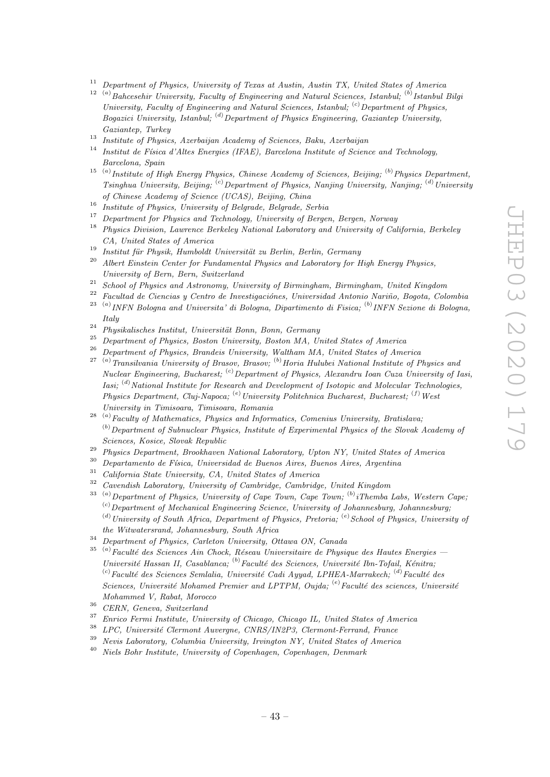- <sup>11</sup> Department of Physics, University of Texas at Austin, Austin TX, United States of America
- $12^{-(a)}$ Bahcesehir University, Faculty of Engineering and Natural Sciences, Istanbul;  $^{(b)}$ Istanbul Bilgi University, Faculty of Engineering and Natural Sciences, Istanbul;  $\left( c \right)$  Department of Physics.  $Boqazici$  University, Istanbul; (d) Department of Physics Engineering, Gaziantep University, Gaziantep, Turkey
- <sup>13</sup> Institute of Physics, Azerbaijan Academy of Sciences, Baku, Azerbaijan  $\frac{14}{\sqrt{14}}$
- Institut de Física d'Altes Energies (IFAE), Barcelona Institute of Science and Technology, Barcelona, Spain
- <sup>15 (a)</sup> Institute of High Energy Physics, Chinese Academy of Sciences, Beijing; <sup>(b)</sup> Physics Department, Tsinghua University, Beijing; <sup>(c)</sup>Department of Physics, Nanjing University, Nanjing; <sup>(d)</sup>University of Chinese Academy of Science (UCAS), Beijing, China
- <sup>16</sup> Institute of Physics, University of Belgrade, Belgrade, Serbia
- <sup>17</sup> Department for Physics and Technology, University of Bergen, Bergen, Norway
- <sup>18</sup> Physics Division, Lawrence Berkeley National Laboratory and University of California, Berkeley CA, United States of America
- <sup>19</sup> Institut für Physik, Humboldt Universität zu Berlin, Berlin, Germany
- <sup>20</sup> Albert Einstein Center for Fundamental Physics and Laboratory for High Energy Physics, University of Bern, Bern, Switzerland
- <sup>21</sup> School of Physics and Astronomy, University of Birmingham, Birmingham, United Kingdom
- Facultad de Ciencias y Centro de Investigaciónes, Universidad Antonio Nariño, Bogota, Colombia
- $^{23-(a)}$  INFN Bologna and Universita' di Bologna, Dipartimento di Fisica;  $^{(b)}$  INFN Sezione di Bologna, Italy
- <sup>24</sup> Physikalisches Institut, Universität Bonn, Bonn, Germany
- <sup>25</sup> Department of Physics, Boston University, Boston MA, United States of America
- <sup>26</sup> Department of Physics, Brandeis University, Waltham MA, United States of America
- $27$ <sup>(a)</sup>Transilvania University of Brasov, Brasov; <sup>(b)</sup>Horia Hulubei National Institute of Physics and Nuclear Engineering, Bucharest;  ${}^{(c)}$ Department of Physics, Alexandru Ioan Cuza University of Iasi, *Iasi*;  $^{(d)}$  National Institute for Research and Development of Isotopic and Molecular Technologies, Physics Department, Cluj-Napoca; <sup>(e)</sup>University Politehnica Bucharest, Bucharest; <sup>(f)</sup>West University in Timisoara, Timisoara, Romania
- $^{28-(a)}$  Faculty of Mathematics, Physics and Informatics, Comenius University, Bratislava;  $<sup>(b)</sup>$  Department of Subnuclear Physics, Institute of Experimental Physics of the Slovak Academy of</sup> Sciences, Kosice, Slovak Republic
- <sup>29</sup> Physics Department, Brookhaven National Laboratory, Upton NY, United States of America<br><sup>30</sup> Departments de Fécies Universidad de Buenos Aires, Buenos Aires, Areentine
- $30$  Departamento de Física, Universidad de Buenos Aires, Buenos Aires, Argentina<br> $31$  Colifornia Clark Hainmailte CA Haited States of America
- <sup>31</sup> California State University, CA, United States of America<br> $\frac{3^2}{2}$
- <sup>32</sup> Cavendish Laboratory, University of Cambridge, Cambridge, United Kingdom
- $^{33-(a)}$  Department of Physics, University of Cape Town, Cape Town;  $^{(b)}$  iThemba Labs, Western Cape,  $^{(c)}$ Department of Mechanical Engineering Science, University of Johannesburg, Johannesburg;  $^{(d)}$ University of South Africa, Department of Physics, Pretoria;  $^{(e)}$ School of Physics, University of the Witwatersrand, Johannesburg, South Africa
- <sup>34</sup> Department of Physics, Carleton University, Ottawa ON, Canada
- <sup>35 (a)</sup> Faculté des Sciences Ain Chock, Réseau Universitaire de Physique des Hautes Energies Université Hassan II, Casablanca;  $^{(b)}$  Faculté des Sciences, Université Ibn-Tofail, Kénitra; <sup>(c)</sup> Faculté des Sciences Semlalia, Université Cadi Ayyad, LPHEA-Marrakech; <sup>(d)</sup> Faculté des Sciences, Université Mohamed Premier and LPTPM, Oujda;  $(e)$  Faculté des sciences, Université Mohammed V, Rabat, Morocco
- $36$  CERN, Geneva, Switzerland
- <sup>37</sup> Enrico Fermi Institute, University of Chicago, Chicago IL, United States of America
- $138$  LPC, Université Clermont Auvergne, CNRS/IN2P3, Clermont-Ferrand, France
- <sup>39</sup> Nevis Laboratory, Columbia University, Irvington NY, United States of America
- $^{40}\,$  Niels Bohr Institute, University of Copenhagen, Copenhagen, Denmark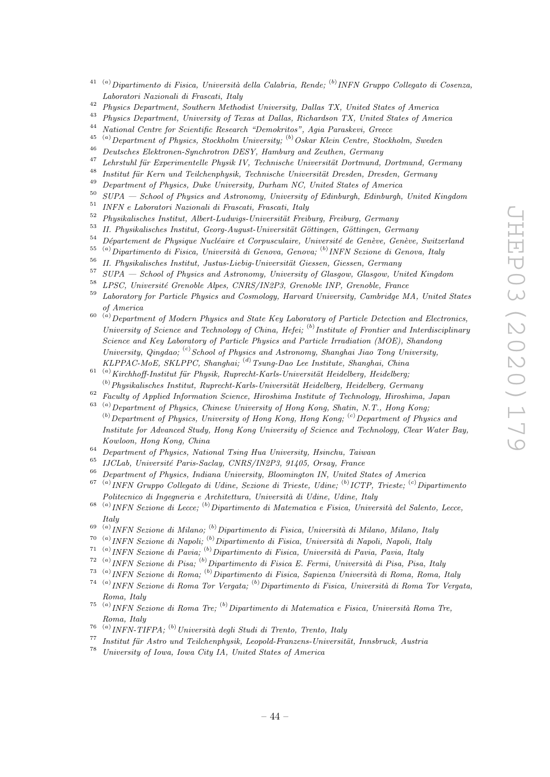- $^{41-(a)}$ Dipartimento di Fisica, Università della Calabria, Rende; <sup>(b)</sup> INFN Gruppo Collegato di Cosenza, Laboratori Nazionali di Frascati, Italy
- <sup>42</sup> Physics Department, Southern Methodist University, Dallas TX, United States of America
- <sup>43</sup> Physics Department, University of Texas at Dallas, Richardson TX, United States of America<br><sup>44</sup> National Centre for Scientific Bessexsh "Demokratos", Asia Bernskewi, Crosse
- <sup>44</sup> National Centre for Scientific Research "Demokritos", Agia Paraskevi, Greece
- <sup>45 (a)</sup>Department of Physics, Stockholm University; <sup>(b)</sup>Oskar Klein Centre, Stockholm, Sweden
- <sup>46</sup> Deutsches Elektronen-Synchrotron DESY, Hamburg and Zeuthen, Germany
- <sup>47</sup> Lehrstuhl für Experimentelle Physik IV, Technische Universität Dortmund, Dortmund, Germany
- <sup>48</sup> Institut für Kern und Teilchenphysik, Technische Universität Dresden, Dresden, Germany
- <sup>49</sup> Department of Physics, Duke University, Durham NC, United States of America<br><sup>50</sup> SUPA School of Physics and Astronomy, University of Edinburgh Edinburgh
- <sup>50</sup> SUPA School of Physics and Astronomy, University of Edinburgh, Edinburgh, United Kingdom
- $^{51}$  INFN e Laboratori Nazionali di Frascati, Frascati, Italy<br> $^{52}$  Pl
- <sup>52</sup> Physikalisches Institut, Albert-Ludwigs-Universität Freiburg, Freiburg, Germany
- <sup>53</sup> II. Physikalisches Institut, Georg-August-Universität Göttingen, Göttingen, Germany<br><sup>54</sup> Département de Physique Nucléaire et Compuessione, Université de Cenève, Cenève
- <sup>54</sup> Département de Physique Nucléaire et Corpusculaire, Université de Genève, Genève, Switzerland<br><sup>55</sup> <sup>(a)</sup> Dinastimente di Fisice, Université di Geneve, Geneve, <sup>(b)</sup> INFN Seriene di Geneve, Italy
- <sup>55 (a)</sup> Dipartimento di Fisica, Università di Genova, Genova; <sup>(b)</sup> INFN Sezione di Genova, Italy
- <sup>56</sup> II. Physikalisches Institut, Justus-Liebig-Universität Giessen, Giessen, Germany
- <sup>57</sup> SUPA School of Physics and Astronomy, University of Glasgow, Glasgow, United Kingdom
- <sup>58</sup> LPSC, Université Grenoble Alpes, CNRS/IN2P3, Grenoble INP, Grenoble, France
- <sup>59</sup> Laboratory for Particle Physics and Cosmology, Harvard University, Cambridge MA, United States of America
- $\overset{(a)}{=}$  Department of Modern Physics and State Key Laboratory of Particle Detection and Electronics, University of Science and Technology of China, Hefei;  $^{(b)}$ Institute of Frontier and Interdisciplinary Science and Key Laboratory of Particle Physics and Particle Irradiation (MOE), Shandong University, Qingdao;  $\binom{c}{c}$  School of Physics and Astronomy, Shanghai Jiao Tong University, KLPPAC-MoE, SKLPPC, Shanghai; (d) Tsung-Dao Lee Institute, Shanghai, China
- $\frac{(a)}{i}$ Kirchhoff-Institut für Physik, Ruprecht-Karls-Universität Heidelberg, Heidelberg;  $<sup>(b)</sup> Physikalisches Institut, Ruprecht-Karls-Universität Heidelberg, Heidelberg, Germany$ </sup>
- <sup>62</sup> Faculty of Applied Information Science, Hiroshima Institute of Technology, Hiroshima, Japan
- $^{63}$  (a) Department of Physics, Chinese University of Hong Kong, Shatin, N.T., Hong Kong;  $^{(b)}$ Department of Physics, University of Hong Kong, Hong Kong;  $^{(c)}$ Department of Physics and Institute for Advanced Study, Hong Kong University of Science and Technology, Clear Water Bay, Kowloon, Hong Kong, China
- $\frac{64}{100}$  Department of Physics, National Tsing Hua University, Hsinchu, Taiwan<br> $\frac{65}{1000}$  LUCLab Université Paris Saeley, CNRS/UN2R2, 0.1.05, Oregu, France
- <sup>65</sup> IJCLab, Université Paris-Saclay, CNRS/IN2P3, 91405, Orsay, France  $^{66}$  December of Physics Indians Heimselts Physics Indian Physics Indian Physics Indian Physics Indian Physics Indian Physics Indian Physics Indian
- <sup>66</sup> Department of Physics, Indiana University, Bloomington IN, United States of America
- <sup>67 (a)</sup> INFN Gruppo Collegato di Udine, Sezione di Trieste, Udine; <sup>(b)</sup> ICTP, Trieste; <sup>(c)</sup> Dipartimento Politecnico di Ingegneria e Architettura, Università di Udine, Udine, Italy
- <sup>68 (a)</sup> INFN Sezione di Lecce; <sup>(b)</sup> Dipartimento di Matematica e Fisica, Università del Salento, Lecce, Italy
- <sup>69 (a)</sup> INFN Sezione di Milano; <sup>(b)</sup> Dipartimento di Fisica, Università di Milano, Milano, Italy
- <sup>70 (a)</sup> INFN Sezione di Napoli; <sup>(b)</sup> Dipartimento di Fisica, Università di Napoli, Napoli, Italy
- <sup>71 (a)</sup> INFN Sezione di Pavia; <sup>(b)</sup> Dipartimento di Fisica, Università di Pavia, Pavia, Italy
- <sup>72 (a)</sup> INFN Sezione di Pisa; <sup>(b)</sup> Dipartimento di Fisica E. Fermi, Università di Pisa, Pisa, Italy
- <sup>73 (a)</sup> INFN Sezione di Roma; <sup>(b)</sup> Dipartimento di Fisica, Sapienza Università di Roma, Roma, Italy
- <sup>74 (a)</sup> INFN Sezione di Roma Tor Vergata; <sup>(b)</sup> Dipartimento di Fisica, Università di Roma Tor Vergata, Roma, Italy
- <sup>75 (a)</sup> INFN Sezione di Roma Tre; <sup>(b)</sup> Dipartimento di Matematica e Fisica, Università Roma Tre, Roma, Italy
- <sup>76 (a)</sup> INFN-TIFPA; <sup>(b)</sup> Università degli Studi di Trento, Trento, Italy
- $77$  Institut für Astro und Teilchenphysik, Leopold-Franzens-Universität, Innsbruck, Austria
- <sup>78</sup> University of Iowa, Iowa City IA, United States of America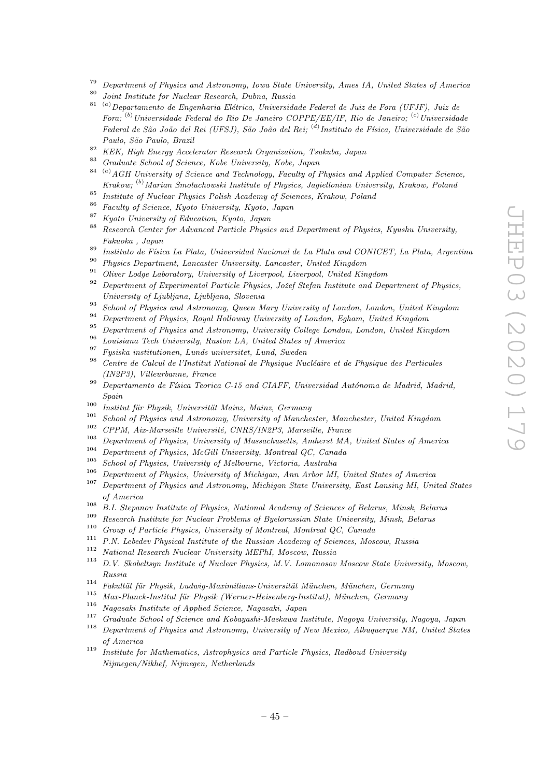- <sup>79</sup> Department of Physics and Astronomy, Iowa State University, Ames IA, United States of America
- <sup>80</sup> Joint Institute for Nuclear Research, Dubna, Russia
- $81$ <sup>(a)</sup>Departamento de Engenharia Elétrica, Universidade Federal de Juiz de Fora (UFJF), Juiz de Fora;  $^{(b)}$ Universidade Federal do Rio De Janeiro COPPE/EE/IF, Rio de Janeiro;  $^{(c)}$ Universidade Federal de São João del Rei (UFSJ), São João del Rei; <sup>(d)</sup>Instituto de Física, Universidade de São Paulo, São Paulo, Brazil
- 82 KEK, High Energy Accelerator Research Organization, Tsukuba, Japan
- <sup>83</sup> Graduate School of Science, Kobe University, Kobe, Japan<br><sup>84</sup> <sup>(a)</sup>  $\sim$  61 U is the set of the set of the set of the set of the set of the set of the set of the set of the set of the set of the set of the set of the
- $^{(a)}$ AGH University of Science and Technology, Faculty of Physics and Applied Computer Science, Krakow; <sup>(b)</sup>Marian Smoluchowski Institute of Physics, Jagiellonian University, Krakow, Poland
- <sup>85</sup> Institute of Nuclear Physics Polish Academy of Sciences, Krakow, Poland  $\frac{86}{\pi}$
- $^{86}$  Faculty of Science, Kyoto University, Kyoto, Japan
- <sup>87</sup> Kyoto University of Education, Kyoto, Japan<br><sup>88</sup> Research Center for Advanced Bertiels Physic
- <sup>88</sup> Research Center for Advanced Particle Physics and Department of Physics, Kyushu University, Fukuoka , Japan
- <sup>89</sup> Instituto de Física La Plata, Universidad Nacional de La Plata and CONICET, La Plata, Argentina
- <sup>90</sup> Physics Department, Lancaster University, Lancaster, United Kingdom
- <sup>91</sup> Oliver Lodge Laboratory, University of Liverpool, Liverpool, United Kingdom
- Department of Experimental Particle Physics, Jožef Stefan Institute and Department of Physics, University of Ljubljana, Ljubljana, Slovenia
- <sup>93</sup> School of Physics and Astronomy, Queen Mary University of London, London, United Kingdom
- <sup>94</sup> Department of Physics, Royal Holloway University of London, Egham, United Kingdom<br><sup>95</sup> Department of Physics and Action and *University Collage Landon*, Lydyn, United Kingdom
- <sup>95</sup> Department of Physics and Astronomy, University College London, London, United Kingdom
- $\frac{96}{97}$  Louisiana Tech University, Ruston LA, United States of America
- <sup>97</sup> Fysiska institutionen, Lunds universitet, Lund, Sweden<br><sup>98</sup> Centre de Celevi de l'Institut Netional de Physique Nu
- Centre de Calcul de l'Institut National de Physique Nucléaire et de Physique des Particules (IN2P3), Villeurbanne, France
- $99$  Departamento de Física Teorica C-15 and CIAFF, Universidad Autónoma de Madrid, Madrid, Spain
- <sup>100</sup> Institut für Physik, Universität Mainz, Mainz, Germany
- <sup>101</sup> School of Physics and Astronomy, University of Manchester, Manchester, United Kingdom<br><sup>102</sup> CPPM, Air Mancoille Université, CNPS/UN2P2, Marcoille, France
- <sup>102</sup> CPPM, Aix-Marseille Université, CNRS/IN2P3, Marseille, France
- <sup>103</sup> Department of Physics, University of Massachusetts, Amherst MA, United States of America
- <sup>104</sup> Department of Physics, McGill University, Montreal QC, Canada<br><sup>105</sup> Sebool of Physics, University of Melbourne, Vectoria, Australia
- $105$  School of Physics, University of Melbourne, Victoria, Australia
- <sup>106</sup> Department of Physics, University of Michigan, Ann Arbor MI, United States of America
- <sup>107</sup> Department of Physics and Astronomy, Michigan State University, East Lansing MI, United States of America
- <sup>108</sup> B.I. Stepanov Institute of Physics, National Academy of Sciences of Belarus, Minsk, Belarus
- <sup>109</sup> Research Institute for Nuclear Problems of Byelorussian State University, Minsk, Belarus
- <sup>110</sup> Group of Particle Physics, University of Montreal, Montreal QC, Canada<br><sup>111</sup> B.M. Labelay Physics, University of the Pussian Asedemy of Sciences, Mac
- <sup>111</sup> P.N. Lebedev Physical Institute of the Russian Academy of Sciences, Moscow, Russia
- <sup>112</sup> National Research Nuclear University MEPhI, Moscow, Russia
- <sup>113</sup> D.V. Skobeltsyn Institute of Nuclear Physics, M.V. Lomonosov Moscow State University, Moscow, Russia
- <sup>114</sup> Fakultät für Physik, Ludwig-Maximilians-Universität München, München, Germany
- <sup>115</sup> Max-Planck-Institut für Physik (Werner-Heisenberg-Institut), München, Germany
- <sup>116</sup> Nagasaki Institute of Applied Science, Nagasaki, Japan<br><sup>117</sup> Contract and Contract and Contract and Contract and Contract and Contract and Contract and Contract and Con
- <sup>117</sup> Graduate School of Science and Kobayashi-Maskawa Institute, Nagoya University, Nagoya, Japan
- <sup>118</sup> Department of Physics and Astronomy, University of New Mexico, Albuquerque NM, United States of America
- <sup>119</sup> Institute for Mathematics, Astrophysics and Particle Physics, Radboud University Nijmegen/Nikhef, Nijmegen, Netherlands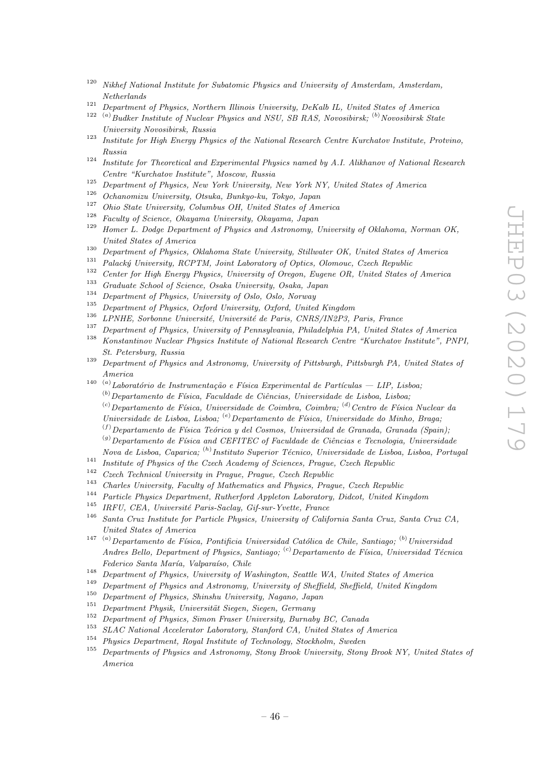- $120$  Nikhef National Institute for Subatomic Physics and University of Amsterdam, Amsterdam, Netherlands
- <sup>121</sup> Department of Physics, Northern Illinois University, DeKalb IL, United States of America
- $122$  (a) Budker Institute of Nuclear Physics and NSU, SB RAS, Novosibirsk; <sup>(b)</sup> Novosibirsk State University Novosibirsk, Russia
- <sup>123</sup> Institute for High Energy Physics of the National Research Centre Kurchatov Institute, Protvino, Russia
- <sup>124</sup> Institute for Theoretical and Experimental Physics named by A.I. Alikhanov of National Research Centre "Kurchatov Institute", Moscow, Russia
- <sup>125</sup> Department of Physics, New York University, New York NY, United States of America<br><sup>126</sup> Orknowian University, Ottober Parker Jesus January</sub>
- $\frac{126}{127}$  Ochanomizu University, Otsuka, Bunkyo-ku, Tokyo, Japan<br> $\frac{127}{127}$  Oli University Oli University Oli University
- <sup>127</sup> Ohio State University, Columbus OH, United States of America
- <sup>128</sup> Faculty of Science, Okayama University, Okayama, Japan<br><sup>129</sup> Haman L. Dedas Department of Physics and Astronomy
- Homer L. Dodge Department of Physics and Astronomy, University of Oklahoma, Norman OK, United States of America
- <sup>130</sup> Department of Physics, Oklahoma State University, Stillwater OK, United States of America
- <sup>131</sup> Palacký University, RCPTM, Joint Laboratory of Optics, Olomouc, Czech Republic<br><sup>132</sup> Contract Line Republic Republic Republic Republic Republic Republic Republic Republic Republic Republic Republic Republic Republic
- <sup>132</sup> Center for High Energy Physics, University of Oregon, Eugene OR, United States of America
- <sup>133</sup> Graduate School of Science, Osaka University, Osaka, Japan
- <sup>134</sup> Department of Physics, University of Oslo, Oslo, Norway
- <sup>135</sup> Department of Physics, Oxford University, Oxford, United Kingdom<br><sup>136</sup> LDMUE Systems University, University de Periz CNDS/UNOR
- <sup>136</sup> LPNHE, Sorbonne Université, Université de Paris, CNRS/IN2P3, Paris, France<br><sup>137</sup> Department of Physics, Hainmaile of Pennsylvania, Philadelphia, PA, Haited Cte
- <sup>137</sup> Department of Physics, University of Pennsylvania, Philadelphia PA, United States of America<br><sup>138</sup> Kanstantinew Nuclear Physics Institute of National Bessarsk Centre "Kurskatev Institute", PN
- <sup>138</sup> Konstantinov Nuclear Physics Institute of National Research Centre "Kurchatov Institute", PNPI, St. Petersburg, Russia
- <sup>139</sup> Department of Physics and Astronomy, University of Pittsburgh, Pittsburgh PA, United States of America
- <sup>140 (a)</sup>Laboratório de Instrumentação e Física Experimental de Partículas LIP, Lisboa,
	- $(16)$ Departamento de Física, Faculdade de Ciências, Universidade de Lisboa, Lisboa;
	- $\alpha^{(c)}$ Departamento de Física, Universidade de Coimbra, Coimbra; <sup>(d)</sup>Centro de Física Nuclear da
	- Universidade de Lisboa, Lisboa; <sup>(e)</sup>Departamento de Física, Universidade do Minho, Braga;
	- $(0)$ Departamento de Física Teórica y del Cosmos, Universidad de Granada, Granada (Spain);  $\alpha^{(g)}$ Departamento de Física and CEFITEC of Faculdade de Ciências e Tecnologia, Universidade
- Nova de Lisboa, Caparica; <sup>(h)</sup> Instituto Superior Técnico, Universidade de Lisboa, Lisboa, Portugal
- <sup>141</sup> Institute of Physics of the Czech Academy of Sciences, Prague, Czech Republic<br><sup>142</sup> Caroli Technical University in Pressure Republic Republic
- <sup>142</sup> Czech Technical University in Prague, Prague, Czech Republic<br><sup>143</sup> Czech II. Wielki Republic
- <sup>143</sup> Charles University, Faculty of Mathematics and Physics, Prague, Czech Republic  $144$
- <sup>144</sup> Particle Physics Department, Rutherford Appleton Laboratory, Didcot, United Kingdom
- <sup>145</sup> IRFU, CEA, Université Paris-Saclay, Gif-sur-Yvette, France
- <sup>146</sup> Santa Cruz Institute for Particle Physics, University of California Santa Cruz, Santa Cruz CA, United States of America
- <sup>147 (a)</sup>Departamento de Física, Pontificia Universidad Católica de Chile, Santiago; <sup>(b)</sup>Universidad Andres Bello, Department of Physics, Santiago; <sup>(c)</sup> Departamento de Física, Universidad Técnica Federico Santa María, Valparaíso, Chile
- <sup>148</sup> Department of Physics, University of Washington, Seattle WA, United States of America
- <sup>149</sup> Department of Physics and Astronomy, University of Sheffield, Sheffield, United Kingdom
- <sup>150</sup> Department of Physics, Shinshu University, Nagano, Japan<br><sup>151</sup> Department Physics University Circum Circum Company
- <sup>151</sup> Department Physik, Universität Siegen, Siegen, Germany
- <sup>152</sup> Department of Physics, Simon Fraser University, Burnaby BC, Canada
- <sup>153</sup> SLAC National Accelerator Laboratory, Stanford CA, United States of America
- <sup>154</sup> Physics Department, Royal Institute of Technology, Stockholm, Sweden<br><sup>155</sup> Departments of Physics and Astronomy, Stany Prack University, Stany
- <sup>155</sup> Departments of Physics and Astronomy, Stony Brook University, Stony Brook NY, United States of America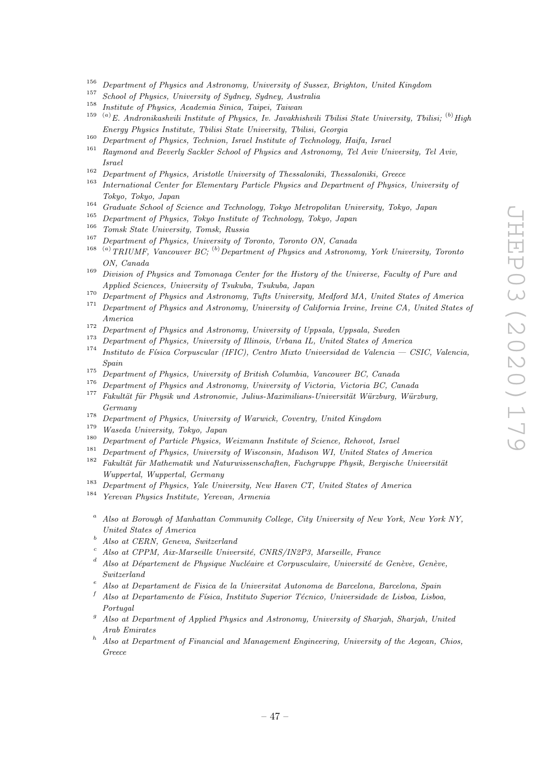- <sup>156</sup> Department of Physics and Astronomy, University of Sussex, Brighton, United Kingdom
- <sup>157</sup> School of Physics, University of Sydney, Sydney, Australia<br><sup>158</sup> Little of Planting Australia Sinics, Tringi, Tringa
- <sup>158</sup> Institute of Physics, Academia Sinica, Taipei, Taiwan
- <sup>159</sup> <sup>(a)</sup>E. Andronikashvili Institute of Physics, Iv. Javakhishvili Tbilisi State University, Tbilisi; <sup>(b)</sup> High Energy Physics Institute, Tbilisi State University, Tbilisi, Georgia
- $\frac{160}{161}$  Department of Physics, Technion, Israel Institute of Technology, Haifa, Israel
- <sup>161</sup> Raymond and Beverly Sackler School of Physics and Astronomy, Tel Aviv University, Tel Aviv, Israel
- <sup>162</sup> Department of Physics, Aristotle University of Thessaloniki, Thessaloniki, Greece
- <sup>163</sup> International Center for Elementary Particle Physics and Department of Physics, University of Tokyo, Tokyo, Japan
- <sup>164</sup> Graduate School of Science and Technology, Tokyo Metropolitan University, Tokyo, Japan<br><sup>165</sup> Bullion Collection Collection Collection Collection Collection Collection Collection Collection Collection Collection Coll
- <sup>165</sup> Department of Physics, Tokyo Institute of Technology, Tokyo, Japan<br><sup>166</sup>  $\pi$   $\rightarrow$   $\alpha$   $\rightarrow$   $\cdots$   $\pi$
- <sup>166</sup> Tomsk State University, Tomsk, Russia<br><sup>167</sup> Department of Physics, University of T
- <sup>167</sup> Department of Physics, University of Toronto, Toronto ON, Canada<br><sup>168</sup> (a)  $TPLIME$ , Version and C<sub>(</sub><sup>b)</sup> Danasty and of Physics and Actuary
- $^{(a)}$ TRIUMF, Vancouver BC;  $^{(b)}$ Department of Physics and Astronomy, York University, Toronto ON, Canada
- <sup>169</sup> Division of Physics and Tomonaga Center for the History of the Universe, Faculty of Pure and Applied Sciences, University of Tsukuba, Tsukuba, Japan
- <sup>170</sup> Department of Physics and Astronomy, Tufts University, Medford MA, United States of America
- Department of Physics and Astronomy, University of California Irvine, Irvine CA, United States of America
- <sup>172</sup> Department of Physics and Astronomy, University of Uppsala, Uppsala, Sweden<br><sup>173</sup> Department of Physics and Astronomy, University of Uppsala, Uppsala, Sweden
- <sup>173</sup> Department of Physics, University of Illinois, Urbana IL, United States of America
- Instituto de Física Corpuscular (IFIC), Centro Mixto Universidad de Valencia CSIC, Valencia, Spain
- <sup>175</sup> Department of Physics, University of British Columbia, Vancouver BC, Canada
- <sup>176</sup> Department of Physics and Astronomy, University of Victoria, Victoria BC, Canada<br><sup>177</sup> Establist für Physik and Astronomia, Isling Maximilians Hainomitit Würten, Würt  $Fakultät für Physik und Astronomie, Julius-Maximilians-Universität Würzburg, Würzburg,$
- Germany
- <sup>178</sup> Department of Physics, University of Warwick, Coventry, United Kingdom<br><sup>179</sup> Wasada University Tabua, Japan
- $\frac{179}{180}$  Waseda University, Tokyo, Japan
- <sup>180</sup> Department of Particle Physics, Weizmann Institute of Science, Rehovot, Israel
- <sup>181</sup> Department of Physics, University of Wisconsin, Madison WI, United States of America<sup>182</sup> Echaltät für Mathematik und Naturguissenschaften, Eccharuma Physik, Bergische University
- $Fakultät für Mathematik und Naturwissenschaften, Fachgruppe Physik, Bergische Universität$ Wuppertal, Wuppertal, Germany
- <sup>183</sup> Department of Physics, Yale University, New Haven CT, United States of America
- <sup>184</sup> Yerevan Physics Institute, Yerevan, Armenia
- <sup>a</sup> Also at Borough of Manhattan Community College, City University of New York, New York NY, United States of America
- <sup>b</sup> Also at CERN, Geneva, Switzerland
- <sup>c</sup> Also at CPPM, Aix-Marseille Université, CNRS/IN2P3, Marseille, France
- Also at Département de Physique Nucléaire et Corpusculaire, Université de Genève, Genève, Switzerland
- <sup>e</sup> Also at Departament de Fisica de la Universitat Autonoma de Barcelona, Barcelona, Spain
- Also at Departamento de Física, Instituto Superior Técnico, Universidade de Lisboa, Lisboa, Portugal
- <sup>g</sup> Also at Department of Applied Physics and Astronomy, University of Sharjah, Sharjah, United Arab Emirates
- <sup>h</sup> Also at Department of Financial and Management Engineering, University of the Aegean, Chios, Greece